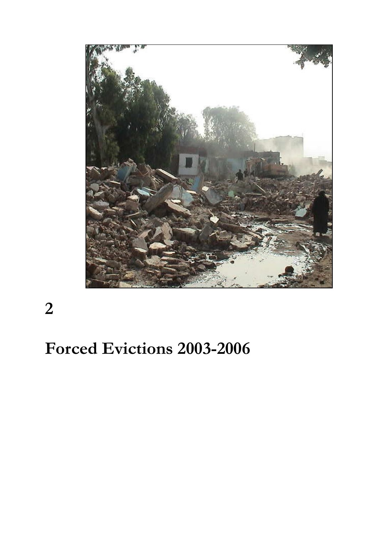

2

# Forced Evictions 2003-2006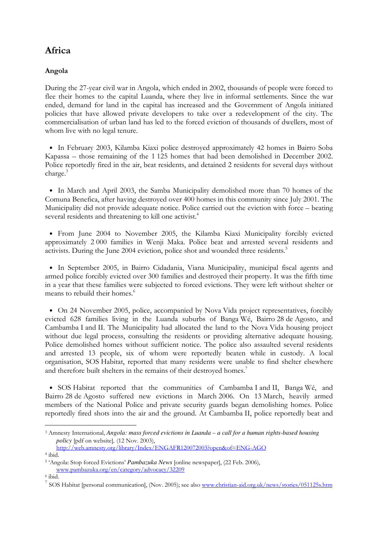# Africa

# Angola

During the 27-year civil war in Angola, which ended in 2002, thousands of people were forced to flee their homes to the capital Luanda, where they live in informal settlements. Since the war ended, demand for land in the capital has increased and the Government of Angola initiated policies that have allowed private developers to take over a redevelopment of the city. The commercialisation of urban land has led to the forced eviction of thousands of dwellers, most of whom live with no legal tenure.

• In February 2003, Kilamba Kiaxi police destroyed approximately 42 homes in Bairro Soba Kapassa – those remaining of the 1 125 homes that had been demolished in December 2002. Police reportedly fired in the air, beat residents, and detained 2 residents for several days without charge.<sup>3</sup>

• In March and April 2003, the Samba Municipality demolished more than 70 homes of the Comuna Benefica, after having destroyed over 400 homes in this community since July 2001. The Municipality did not provide adequate notice. Police carried out the eviction with force – beating several residents and threatening to kill one activist.<sup>4</sup>

• From June 2004 to November 2005, the Kilamba Kiaxi Municipality forcibly evicted approximately 2 000 families in Wenji Maka. Police beat and arrested several residents and activists. During the June 2004 eviction, police shot and wounded three residents.<sup>5</sup>

• In September 2005, in Bairro Cidadania, Viana Municipality, municipal fiscal agents and armed police forcibly evicted over 300 families and destroyed their property. It was the fifth time in a year that these families were subjected to forced evictions. They were left without shelter or means to rebuild their homes.<sup>6</sup>

• On 24 November 2005, police, accompanied by Nova Vida project representatives, forcibly evicted 628 families living in the Luanda suburbs of Banga Wé, Bairro 28 de Agosto, and Cambamba I and II. The Municipality had allocated the land to the Nova Vida housing project without due legal process, consulting the residents or providing alternative adequate housing. Police demolished homes without sufficient notice. The police also assaulted several residents and arrested 13 people, six of whom were reportedly beaten while in custody. A local organisation, SOS Habitat, reported that many residents were unable to find shelter elsewhere and therefore built shelters in the remains of their destroyed homes.<sup>7</sup>

• SOS Habitat reported that the communities of Cambamba I and II, Banga Wé, and Bairro 28 de Agosto suffered new evictions in March 2006. On 13 March, heavily armed members of the National Police and private security guards began demolishing homes. Police reportedly fired shots into the air and the ground. At Cambamba II, police reportedly beat and

<sup>3</sup> Amnesty International, *Angola: mass forced evictions in Luanda – a call for a human rights-based housing policy* [pdf on website]*,* (12 Nov. 2003),

http://web.amnesty.org/library/Index/ENGAFR120072003?open&of=ENG-AGO 4 ibid.

<sup>5</sup> 'Angola: Stop forced Evictions' *Pambazuka News* [online newspaper], (22 Feb. 2006), www.pambazuka.org/en/category/advocacy/32209

<sup>6</sup> ibid.

<sup>&</sup>lt;sup>7</sup> SOS Habitat [personal communication], (Nov. 2005); see also www.christian-aid.org.uk/news/stories/051125s.htm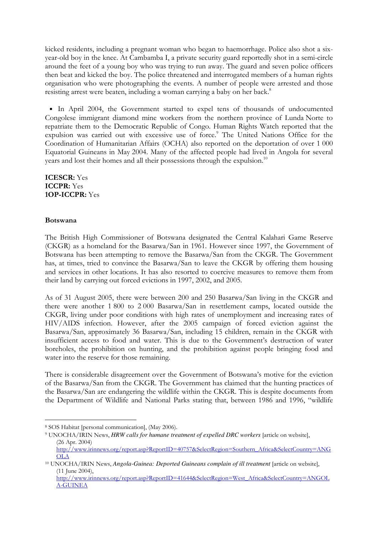kicked residents, including a pregnant woman who began to haemorrhage. Police also shot a sixyear-old boy in the knee. At Cambamba I, a private security guard reportedly shot in a semi-circle around the feet of a young boy who was trying to run away. The guard and seven police officers then beat and kicked the boy. The police threatened and interrogated members of a human rights organisation who were photographing the events. A number of people were arrested and those resisting arrest were beaten, including a woman carrying a baby on her back.<sup>8</sup>

• In April 2004, the Government started to expel tens of thousands of undocumented Congolese immigrant diamond mine workers from the northern province of Lunda Norte to repatriate them to the Democratic Republic of Congo. Human Rights Watch reported that the expulsion was carried out with excessive use of force.<sup>9</sup> The United Nations Office for the Coordination of Humanitarian Affairs (OCHA) also reported on the deportation of over 1 000 Equatorial Guineans in May 2004. Many of the affected people had lived in Angola for several years and lost their homes and all their possessions through the expulsion.<sup>10</sup>

ICESCR: Yes ICCPR: Yes 1OP-ICCPR: Yes

### Botswana

-

The British High Commissioner of Botswana designated the Central Kalahari Game Reserve (CKGR) as a homeland for the Basarwa/San in 1961. However since 1997, the Government of Botswana has been attempting to remove the Basarwa/San from the CKGR. The Government has, at times, tried to convince the Basarwa/San to leave the CKGR by offering them housing and services in other locations. It has also resorted to coercive measures to remove them from their land by carrying out forced evictions in 1997, 2002, and 2005.

As of 31 August 2005, there were between 200 and 250 Basarwa/San living in the CKGR and there were another 1 800 to 2 000 Basarwa/San in resettlement camps, located outside the CKGR, living under poor conditions with high rates of unemployment and increasing rates of HIV/AIDS infection. However, after the 2005 campaign of forced eviction against the Basarwa/San, approximately 36 Basarwa/San, including 15 children, remain in the CKGR with insufficient access to food and water. This is due to the Government's destruction of water boreholes, the prohibition on hunting, and the prohibition against people bringing food and water into the reserve for those remaining.

There is considerable disagreement over the Government of Botswana's motive for the eviction of the Basarwa/San from the CKGR. The Government has claimed that the hunting practices of the Basarwa/San are endangering the wildlife within the CKGR. This is despite documents from the Department of Wildlife and National Parks stating that, between 1986 and 1996, "wildlife

<sup>8</sup> SOS Habitat [personal communication], (May 2006).

<sup>&</sup>lt;sup>9</sup> UNOCHA/IRIN News, *HRW calls for humane treatment of expelled DRC workers* [article on website], (26 Apr. 2004)

http://www.irinnews.org/report.asp?ReportID=40757&SelectRegion=Southern\_Africa&SelectCountry=ANG OLA

<sup>&</sup>lt;sup>10</sup> UNOCHA/IRIN News, *Angola-Guinea: Deported Guineans complain of ill treatment* [article on website], (11 June 2004),

http://www.irinnews.org/report.asp?ReportID=41644&SelectRegion=West\_Africa&SelectCountry=ANGOL A-GUINEA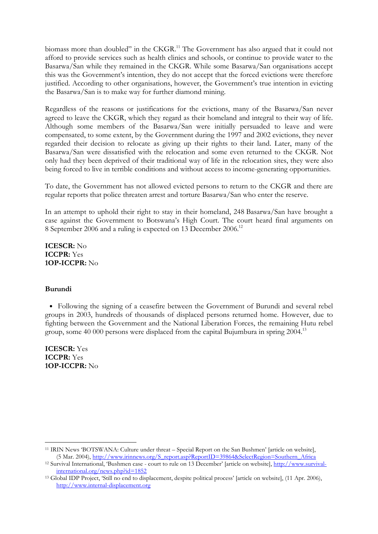biomass more than doubled" in the CKGR.<sup>11</sup> The Government has also argued that it could not afford to provide services such as health clinics and schools, or continue to provide water to the Basarwa/San while they remained in the CKGR. While some Basarwa/San organisations accept this was the Government's intention, they do not accept that the forced evictions were therefore justified. According to other organisations, however, the Government's true intention in evicting the Basarwa/San is to make way for further diamond mining.

Regardless of the reasons or justifications for the evictions, many of the Basarwa/San never agreed to leave the CKGR, which they regard as their homeland and integral to their way of life. Although some members of the Basarwa/San were initially persuaded to leave and were compensated, to some extent, by the Government during the 1997 and 2002 evictions, they never regarded their decision to relocate as giving up their rights to their land. Later, many of the Basarwa/San were dissatisfied with the relocation and some even returned to the CKGR. Not only had they been deprived of their traditional way of life in the relocation sites, they were also being forced to live in terrible conditions and without access to income-generating opportunities.

To date, the Government has not allowed evicted persons to return to the CKGR and there are regular reports that police threaten arrest and torture Basarwa/San who enter the reserve.

In an attempt to uphold their right to stay in their homeland, 248 Basarwa/San have brought a case against the Government to Botswana's High Court. The court heard final arguments on 8 September 2006 and a ruling is expected on 13 December 2006.<sup>12</sup>

ICESCR: No ICCPR: Yes 1OP-ICCPR: No

#### Burundi

• Following the signing of a ceasefire between the Government of Burundi and several rebel groups in 2003, hundreds of thousands of displaced persons returned home. However, due to fighting between the Government and the National Liberation Forces, the remaining Hutu rebel group, some 40 000 persons were displaced from the capital Bujumbura in spring 2004.<sup>13</sup>

ICESCR: Yes ICCPR: Yes 1OP-ICCPR: No

<sup>-</sup><sup>11</sup> IRIN News 'BOTSWANA: Culture under threat – Special Report on the San Bushmen' [article on website], (5 Mar. 2004), http://www.irinnews.org/S\_report.asp?ReportID=39864&SelectRegion=Southern\_Africa

<sup>12</sup> Survival International, 'Bushmen case - court to rule on 13 December' [article on website], http://www.survivalinternational.org/news.php?id=1852

<sup>13</sup> Global IDP Project, 'Still no end to displacement, despite political process' [article on website], (11 Apr. 2006), http://www.internal-displacement.org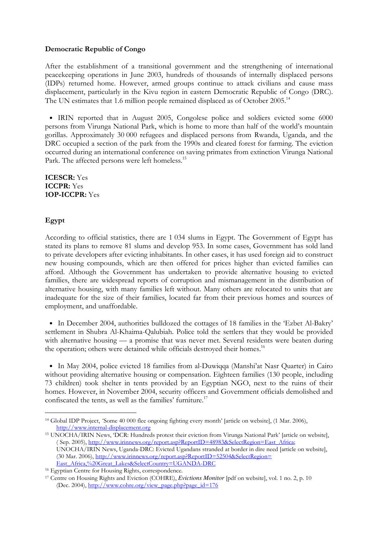## Democratic Republic of Congo

After the establishment of a transitional government and the strengthening of international peacekeeping operations in June 2003, hundreds of thousands of internally displaced persons (IDPs) returned home. However, armed groups continue to attack civilians and cause mass displacement, particularly in the Kivu region in eastern Democratic Republic of Congo (DRC). The UN estimates that 1.6 million people remained displaced as of October 2005.<sup>14</sup>

• IRIN reported that in August 2005, Congolese police and soldiers evicted some 6000 persons from Virunga National Park, which is home to more than half of the world's mountain gorillas. Approximately 30 000 refugees and displaced persons from Rwanda, Uganda, and the DRC occupied a section of the park from the 1990s and cleared forest for farming. The eviction occurred during an international conference on saving primates from extinction Virunga National Park. The affected persons were left homeless.<sup>15</sup>

ICESCR: Yes ICCPR: Yes 1OP-ICCPR: Yes

# Egypt

-

According to official statistics, there are 1 034 slums in Egypt. The Government of Egypt has stated its plans to remove 81 slums and develop 953. In some cases, Government has sold land to private developers after evicting inhabitants. In other cases, it has used foreign aid to construct new housing compounds, which are then offered for prices higher than evicted families can afford. Although the Government has undertaken to provide alternative housing to evicted families, there are widespread reports of corruption and mismanagement in the distribution of alternative housing, with many families left without. Many others are relocated to units that are inadequate for the size of their families, located far from their previous homes and sources of employment, and unaffordable.

• In December 2004, authorities bulldozed the cottages of 18 families in the 'Ezbet Al-Bakry' settlement in Shubra Al-Khaima-Qalubiah. Police told the settlers that they would be provided with alternative housing — a promise that was never met. Several residents were beaten during the operation; others were detained while officials destroyed their homes.<sup>16</sup>

• In May 2004, police evicted 18 families from al-Duwiqqa (Manshi'at Nasr Quarter) in Cairo without providing alternative housing or compensation. Eighteen families (130 people, including 73 children) took shelter in tents provided by an Egyptian NGO, next to the ruins of their homes. However, in November 2004, security officers and Government officials demolished and confiscated the tents, as well as the families' furniture.<sup>17</sup>

<sup>14</sup> Global IDP Project, *'*Some 40 000 flee ongoing fighting every month' [article on website], (1 Mar. 2006), http://www.internal-displacement.org

<sup>15</sup> UNOCHA/IRIN News, 'DCR: Hundreds protest their eviction from Virunga National Park' [article on website], ( Sep. 2005), http://www.irinnews.org/report.asp?ReportID=48983&SelectRegion=East\_Africa; UNOCHA/IRIN News, Uganda-DRC: Evicted Ugandans stranded at border in dire need [article on website], (30 Mar. 2006), http://www.irinnews.org/report.asp?ReportID=52504&SelectRegion= East Africa,%20Great Lakes&SelectCountry=UGANDA-DRC

<sup>16</sup> Egyptian Centre for Housing Rights, correspondence.

<sup>17</sup> Centre on Housing Rights and Eviction (COHRE), *Evictions Monitor* [pdf on website], vol. 1 no. 2, p. 10 (Dec. 2004), http://www.cohre.org/view\_page.php?page\_id=176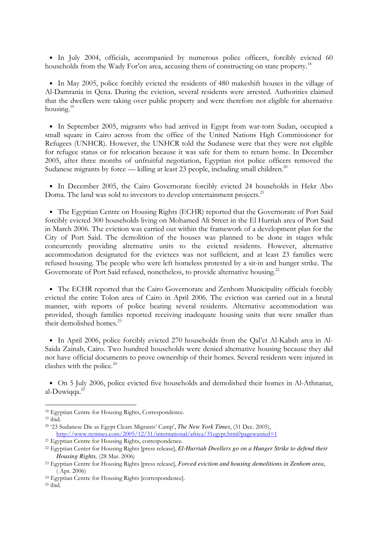• In July 2004, officials, accompanied by numerous police officers, forcibly evicted 60 households from the Wady For'on area, accusing them of constructing on state property.<sup>18</sup>

• In May 2005, police forcibly evicted the residents of 480 makeshift houses in the village of Al-Damrania in Qena. During the eviction, several residents were arrested. Authorities claimed that the dwellers were taking over public property and were therefore not eligible for alternative housing.<sup>19</sup>

• In September 2005, migrants who had arrived in Egypt from war-torn Sudan, occupied a small square in Cairo across from the office of the United Nations High Commissioner for Refugees (UNHCR). However, the UNHCR told the Sudanese were that they were not eligible for refugee status or for relocation because it was safe for them to return home. In December 2005, after three months of unfruitful negotiation, Egyptian riot police officers removed the Sudanese migrants by force — killing at least 23 people, including small children.<sup>20</sup>

• In December 2005, the Cairo Governorate forcibly evicted 24 households in Hekr Abo Doma. The land was sold to investors to develop entertainment projects.<sup>21</sup>

• The Egyptian Centre on Housing Rights (ECHR) reported that the Governorate of Port Said forcibly evicted 300 households living on Mohamed Ali Street in the El Hurriah area of Port Said in March 2006. The eviction was carried out within the framework of a development plan for the City of Port Said. The demolition of the houses was planned to be done in stages while concurrently providing alternative units to the evicted residents. However, alternative accommodation designated for the evictees was not sufficient, and at least 23 families were refused housing. The people who were left homeless protested by a sit-in and hunger strike. The Governorate of Port Said refused, nonetheless, to provide alternative housing.<sup>22</sup>

• The ECHR reported that the Cairo Governorate and Zenhom Municipality officials forcibly evicted the entire Tolon area of Cairo in April 2006. The eviction was carried out in a brutal manner, with reports of police beating several residents. Alternative accommodation was provided, though families reported receiving inadequate housing units that were smaller than their demolished homes.<sup>23</sup>

• In April 2006, police forcibly evicted 270 households from the Qal'et Al-Kabsh area in Al-Saida Zainab, Cairo. Two hundred households were denied alternative housing because they did not have official documents to prove ownership of their homes. Several residents were injured in clashes with the police.<sup>24</sup>

• On 5 July 2006, police evicted five households and demolished their homes in Al-Athnanat, al-Duwiqqa.<sup>25</sup>

<sup>18</sup> Egyptian Centre for Housing Rights, Correspondence.

 $19$  ibid.

<sup>20</sup> '23 Sudanese Die as Egypt Clears Migrants' Camp', *The New York Times*, (31 Dec. 2005), http://www.nytimes.com/2005/12/31/international/africa/31egypt.html?pagewanted=1

<sup>&</sup>lt;sup>21</sup> Egyptian Centre for Housing Rights, correspondence.

<sup>&</sup>lt;sup>22</sup> Egyptian Center for Housing Rights [press release], *El-Hurriah Dwellers go on a Hunger Strike to defend their Housing Rights,* (28 Mar. 2006)

<sup>23</sup> Egyptian Centre for Housing Rights [press release], *Forced eviction and housing demolitions in Zenhom area*, ( Apr. 2006)

<sup>24</sup> Egyptian Centre for Housing Rights [correspondence].

<sup>25</sup> ibid.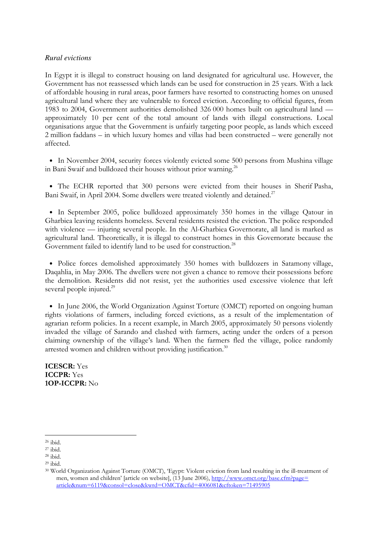### *Rural evictions*

In Egypt it is illegal to construct housing on land designated for agricultural use. However, the Government has not reassessed which lands can be used for construction in 25 years. With a lack of affordable housing in rural areas, poor farmers have resorted to constructing homes on unused agricultural land where they are vulnerable to forced eviction. According to official figures, from 1983 to 2004, Government authorities demolished 326 000 homes built on agricultural land approximately 10 per cent of the total amount of lands with illegal constructions. Local organisations argue that the Government is unfairly targeting poor people, as lands which exceed 2 million faddans – in which luxury homes and villas had been constructed – were generally not affected.

• In November 2004, security forces violently evicted some 500 persons from Mushina village in Bani Swaif and bulldozed their houses without prior warning. 26

• The ECHR reported that 300 persons were evicted from their houses in Sherif Pasha, Bani Swaif, in April 2004. Some dwellers were treated violently and detained.<sup>27</sup>

• In September 2005, police bulldozed approximately 350 homes in the village Qatour in Gharbiea leaving residents homeless. Several residents resisted the eviction. The police responded with violence — injuring several people. In the Al-Gharbiea Governorate, all land is marked as agricultural land. Theoretically, it is illegal to construct homes in this Governorate because the Government failed to identify land to be used for construction.<sup>28</sup>

• Police forces demolished approximately 350 homes with bulldozers in Satamony village, Daqahlia, in May 2006. The dwellers were not given a chance to remove their possessions before the demolition. Residents did not resist, yet the authorities used excessive violence that left several people injured.<sup>29</sup>

• In June 2006, the World Organization Against Torture (OMCT) reported on ongoing human rights violations of farmers, including forced evictions, as a result of the implementation of agrarian reform policies. In a recent example, in March 2005, approximately 50 persons violently invaded the village of Sarando and clashed with farmers, acting under the orders of a person claiming ownership of the village's land. When the farmers fled the village, police randomly arrested women and children without providing justification.<sup>30</sup>

ICESCR: Yes ICCPR: Yes 1OP-ICCPR: No

<sup>26</sup> ibid.

<sup>27</sup> ibid.

<sup>28</sup> ibid.

<sup>29</sup> ibid.

<sup>30</sup> World Organization Against Torture (OMCT), 'Egypt: Violent eviction from land resulting in the ill-treatment of men, women and children' [article on website], (13 June 2006), http://www.omct.org/base.cfm?page= article&num=6119&consol=close&kwrd=OMCT&cfid=4006081&cftoken=71495905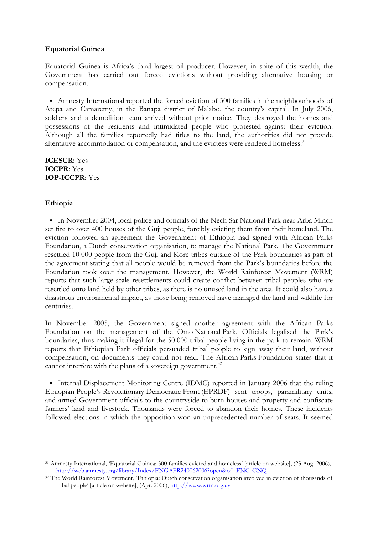# Equatorial Guinea

Equatorial Guinea is Africa's third largest oil producer. However, in spite of this wealth, the Government has carried out forced evictions without providing alternative housing or compensation.

• Amnesty International reported the forced eviction of 300 families in the neighbourhoods of Atepa and Camaremy, in the Banapa district of Malabo, the country's capital. In July 2006, soldiers and a demolition team arrived without prior notice. They destroyed the homes and possessions of the residents and intimidated people who protested against their eviction. Although all the families reportedly had titles to the land, the authorities did not provide alternative accommodation or compensation, and the evictees were rendered homeless.<sup>31</sup>

ICESCR: Yes ICCPR: Yes 1OP-ICCPR: Yes

# Ethiopia

• In November 2004, local police and officials of the Nech Sar National Park near Arba Minch set fire to over 400 houses of the Guji people, forcibly evicting them from their homeland. The eviction followed an agreement the Government of Ethiopia had signed with African Parks Foundation, a Dutch conservation organisation, to manage the National Park. The Government resettled 10 000 people from the Guji and Kore tribes outside of the Park boundaries as part of the agreement stating that all people would be removed from the Park's boundaries before the Foundation took over the management. However, the World Rainforest Movement (WRM) reports that such large-scale resettlements could create conflict between tribal peoples who are resettled onto land held by other tribes, as there is no unused land in the area. It could also have a disastrous environmental impact, as those being removed have managed the land and wildlife for centuries.

In November 2005, the Government signed another agreement with the African Parks Foundation on the management of the Omo National Park. Officials legalised the Park's boundaries, thus making it illegal for the 50 000 tribal people living in the park to remain. WRM reports that Ethiopian Park officials persuaded tribal people to sign away their land, without compensation, on documents they could not read. The African Parks Foundation states that it cannot interfere with the plans of a sovereign government.<sup>32</sup>

• Internal Displacement Monitoring Centre (IDMC) reported in January 2006 that the ruling Ethiopian People's Revolutionary Democratic Front (EPRDF) sent troops, paramilitary units, and armed Government officials to the countryside to burn houses and property and confiscate farmers' land and livestock. Thousands were forced to abandon their homes. These incidents followed elections in which the opposition won an unprecedented number of seats. It seemed

<sup>-</sup><sup>31</sup> Amnesty International, 'Equatorial Guinea: 300 families evicted and homeless' [article on website], (23 Aug. 2006), http://web.amnesty.org/library/Index/ENGAFR240062006?open&of=ENG-GNQ

<sup>32</sup> The World Rainforest Movement*,* 'Ethiopia: Dutch conservation organisation involved in eviction of thousands of tribal people' [article on website], (Apr. 2006), http://www.wrm.org.uy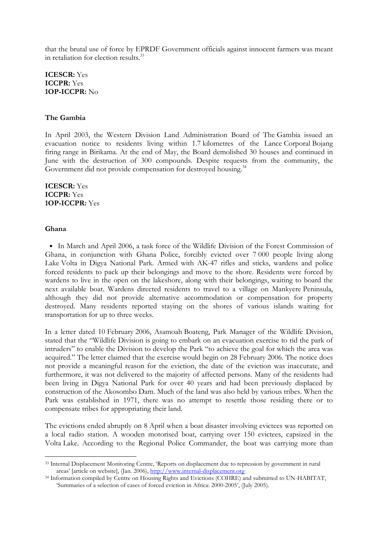that the brutal use of force by EPRDF Government officials against innocent farmers was meant in retaliation for election results.<sup>33</sup>

ICESCR: Yes ICCPR: Yes 1OP-ICCPR: No

#### The Gambia

In April 2003, the Western Division Land Administration Board of The Gambia issued an evacuation notice to residents living within 1.7 kilometres of the Lance Corporal Bojang firing range in Birikama. At the end of May, the Board demolished 30 houses and continued in June with the destruction of 300 compounds. Despite requests from the community, the Government did not provide compensation for destroyed housing.<sup>34</sup>

ICESCR: Yes ICCPR: Yes 1OP-ICCPR: Yes

#### Ghana

-

• In March and April 2006, a task force of the Wildlife Division of the Forest Commission of Ghana, in conjunction with Ghana Police, forcibly evicted over 7 000 people living along Lake Volta in Digya National Park. Armed with AK-47 rifles and sticks, wardens and police forced residents to pack up their belongings and move to the shore. Residents were forced by wardens to live in the open on the lakeshore, along with their belongings, waiting to board the next available boat. Wardens directed residents to travel to a village on Mankyere Peninsula, although they did not provide alternative accommodation or compensation for property destroyed. Many residents reported staying on the shores of various islands waiting for transportation for up to three weeks.

In a letter dated 10 February 2006, Asamoah Boateng, Park Manager of the Wildlife Division, stated that the "Wildlife Division is going to embark on an evacuation exercise to rid the park of intruders" to enable the Division to develop the Park "to achieve the goal for which the area was acquired." The letter claimed that the exercise would begin on 28 February 2006. The notice does not provide a meaningful reason for the eviction, the date of the eviction was inaccurate, and furthermore, it was not delivered to the majority of affected persons. Many of the residents had been living in Digya National Park for over 40 years and had been previously displaced by construction of the Akosombo Dam. Much of the land was also held by various tribes. When the Park was established in 1971, there was no attempt to resettle those residing there or to compensate tribes for appropriating their land.

The evictions ended abruptly on 8 April when a boat disaster involving evictees was reported on a local radio station. A wooden motorised boat, carrying over 150 evictees, capsized in the Volta Lake. According to the Regional Police Commander, the boat was carrying more than

<sup>33</sup> Internal Displacement Monitoring Centre, 'Reports on displacement due to repression by government in rural areas' [article on website], (Jan. 2006), http://www.internal-displacement.org

<sup>34</sup> Information compiled by Centre on Housing Rights and Evictions (COHRE) and submitted to UN-HABITAT, 'Summaries of a selection of cases of forced eviction in Africa: 2000-2005', (July 2005).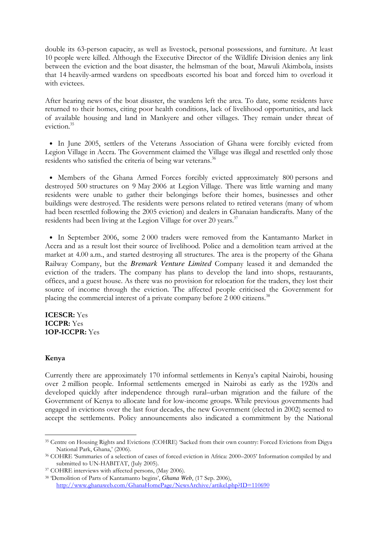double its 63-person capacity, as well as livestock, personal possessions, and furniture. At least 10 people were killed. Although the Executive Director of the Wildlife Division denies any link between the eviction and the boat disaster, the helmsman of the boat, Mawuli Akimbola, insists that 14 heavily-armed wardens on speedboats escorted his boat and forced him to overload it with evictees.

After hearing news of the boat disaster, the wardens left the area. To date, some residents have returned to their homes, citing poor health conditions, lack of livelihood opportunities, and lack of available housing and land in Mankyere and other villages. They remain under threat of eviction.<sup>35</sup>

• In June 2005, settlers of the Veterans Association of Ghana were forcibly evicted from Legion Village in Accra. The Government claimed the Village was illegal and resettled only those residents who satisfied the criteria of being war veterans.<sup>36</sup>

• Members of the Ghana Armed Forces forcibly evicted approximately 800 persons and destroyed 500 structures on 9 May 2006 at Legion Village. There was little warning and many residents were unable to gather their belongings before their homes, businesses and other buildings were destroyed. The residents were persons related to retired veterans (many of whom had been resettled following the 2005 eviction) and dealers in Ghanaian handicrafts. Many of the residents had been living at the Legion Village for over 20 years.<sup>37</sup>

• In September 2006, some 2 000 traders were removed from the Kantamanto Market in Accra and as a result lost their source of livelihood. Police and a demolition team arrived at the market at 4.00 a.m., and started destroying all structures. The area is the property of the Ghana Railway Company, but the *Bremark Venture Limited* Company leased it and demanded the eviction of the traders. The company has plans to develop the land into shops, restaurants, offices, and a guest house. As there was no provision for relocation for the traders, they lost their source of income through the eviction. The affected people criticised the Government for placing the commercial interest of a private company before 2 000 citizens.<sup>38</sup>

ICESCR: Yes ICCPR: Yes 1OP-ICCPR: Yes

# Kenya

-

Currently there are approximately 170 informal settlements in Kenya's capital Nairobi, housing over 2 million people. Informal settlements emerged in Nairobi as early as the 1920s and developed quickly after independence through rural–urban migration and the failure of the Government of Kenya to allocate land for low-income groups. While previous governments had engaged in evictions over the last four decades, the new Government (elected in 2002) seemed to accept the settlements. Policy announcements also indicated a commitment by the National

<sup>35</sup> Centre on Housing Rights and Evictions (COHRE) 'Sacked from their own country: Forced Evictions from Digya National Park, Ghana,' (2006).

<sup>36</sup> COHRE 'Summaries of a selection of cases of forced eviction in Africa: 2000–2005' Information compiled by and submitted to UN-HABITAT, (July 2005).

<sup>37</sup> COHRE interviews with affected persons, (May 2006).

<sup>38</sup> 'Demolition of Parts of Kantamanto begins', *Ghana Web*, (17 Sep. 2006), http://www.ghanaweb.com/GhanaHomePage/NewsArchive/artikel.php?ID=110690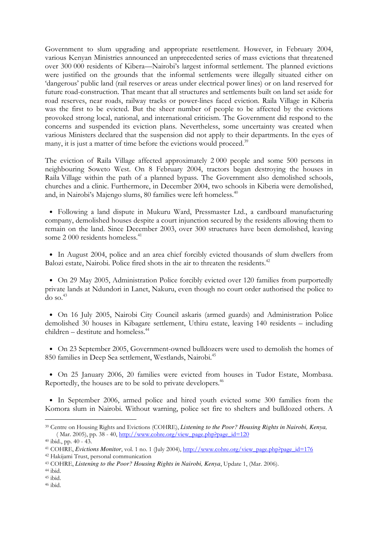Government to slum upgrading and appropriate resettlement. However, in February 2004, various Kenyan Ministries announced an unprecedented series of mass evictions that threatened over 300 000 residents of Kibera—Nairobi's largest informal settlement. The planned evictions were justified on the grounds that the informal settlements were illegally situated either on 'dangerous' public land (rail reserves or areas under electrical power lines) or on land reserved for future road-construction. That meant that all structures and settlements built on land set aside for road reserves, near roads, railway tracks or power-lines faced eviction. Raila Village in Kiberia was the first to be evicted. But the sheer number of people to be affected by the evictions provoked strong local, national, and international criticism. The Government did respond to the concerns and suspended its eviction plans. Nevertheless, some uncertainty was created when various Ministers declared that the suspension did not apply to their departments. In the eyes of many, it is just a matter of time before the evictions would proceed.<sup>39</sup>

The eviction of Raila Village affected approximately 2 000 people and some 500 persons in neighbouring Soweto West. On 8 February 2004, tractors began destroying the houses in Raila Village within the path of a planned bypass. The Government also demolished schools, churches and a clinic. Furthermore, in December 2004, two schools in Kiberia were demolished, and, in Nairobi's Majengo slums, 80 families were left homeless.<sup>40</sup>

• Following a land dispute in Mukuru Ward, Pressmaster Ltd., a cardboard manufacturing company, demolished houses despite a court injunction secured by the residents allowing them to remain on the land. Since December 2003, over 300 structures have been demolished, leaving some 2 000 residents homeless.<sup>41</sup>

• In August 2004, police and an area chief forcibly evicted thousands of slum dwellers from Balozi estate, Nairobi. Police fired shots in the air to threaten the residents.<sup>42</sup>

• On 29 May 2005, Administration Police forcibly evicted over 120 families from purportedly private lands at Ndundori in Lanet, Nakuru, even though no court order authorised the police to  $\frac{d}{d}$  so.  $43$ 

• On 16 July 2005, Nairobi City Council askaris (armed guards) and Administration Police demolished 30 houses in Kibagare settlement, Uthiru estate, leaving 140 residents – including  $children - destitute$  and homeless.<sup>44</sup>

• On 23 September 2005, Government-owned bulldozers were used to demolish the homes of 850 families in Deep Sea settlement, Westlands, Nairobi.<sup>45</sup>

• On 25 January 2006, 20 families were evicted from houses in Tudor Estate, Mombasa. Reportedly, the houses are to be sold to private developers.<sup>46</sup>

• In September 2006, armed police and hired youth evicted some 300 families from the Komora slum in Nairobi. Without warning, police set fire to shelters and bulldozed others. A

<sup>39</sup> Centre on Housing Rights and Evictions (COHRE), *Listening to the Poor? Housing Rights in Nairobi, Kenya,* ( Mar. 2005), pp. 38 - 40, http://www.cohre.org/view\_page.php?page\_id=120

<sup>40</sup> ibid., pp. 40 - 43.

<sup>41</sup> COHRE, *Evictions Monitor*, vol. 1 no. 1 (July 2004), http://www.cohre.org/view\_page.php?page\_id=176

<sup>42</sup> Hakijami Trust, personal communication

<sup>43</sup> COHRE, *Listening to the Poor? Housing Rights in Nairobi, Kenya*, Update 1, (Mar. 2006).

<sup>44</sup> ibid.

<sup>45</sup> ibid.

<sup>46</sup> ibid.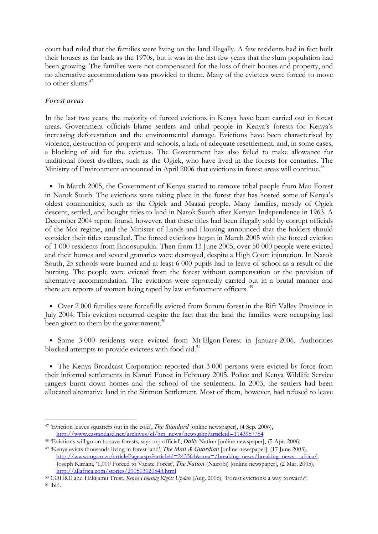court had ruled that the families were living on the land illegally. A few residents had in fact built their houses as far back as the 1970s, but it was in the last few years that the slum population had been growing. The families were not compensated for the loss of their houses and property, and no alternative accommodation was provided to them. Many of the evictees were forced to move to other slums.<sup>47</sup>

# *Forest areas*

In the last two years, the majority of forced evictions in Kenya have been carried out in forest areas. Government officials blame settlers and tribal people in Kenya's forests for Kenya's increasing deforestation and the environmental damage. Evictions have been characterised by violence, destruction of property and schools, a lack of adequate resettlement, and, in some cases, a blocking of aid for the evictees. The Government has also failed to make allowance for traditional forest dwellers, such as the Ogiek, who have lived in the forests for centuries. The Ministry of Environment announced in April 2006 that evictions in forest areas will continue.<sup>48</sup>

• In March 2005, the Government of Kenya started to remove tribal people from Mau Forest in Narok South. The evictions were taking place in the forest that has hosted some of Kenya's oldest communities, such as the Ogiek and Maasai people. Many families, mostly of Ogiek descent, settled, and bought titles to land in Narok South after Kenyan Independence in 1963. A December 2004 report found, however, that these titles had been illegally sold by corrupt officials of the Moi regime, and the Minister of Lands and Housing announced that the holders should consider their titles cancelled. The forced evictions began in March 2005 with the forced eviction of 1 000 residents from Enoosupukia. Then from 13 June 2005, over 50 000 people were evicted and their homes and several granaries were destroyed, despite a High Court injunction. In Narok South, 25 schools were burned and at least 6 000 pupils had to leave of school as a result of the burning. The people were evicted from the forest without compensation or the provision of alternative accommodation. The evictions were reportedly carried out in a brutal manner and there are reports of women being raped by law enforcement officers.<sup>49</sup>

• Over 2 000 families were forcefully evicted from Sururu forest in the Rift Valley Province in July 2004. This eviction occurred despite the fact that the land the families were occupying had been given to them by the government.<sup>50</sup>

• Some 3 000 residents were evicted from Mt Elgon Forest in January 2006. Authorities blocked attempts to provide evictees with food aid.<sup>51</sup>

• The Kenya Broadcast Corporation reported that 3 000 persons were evicted by force from their informal settlements in Karuri Forest in February 2005. Police and Kenya Wildlife Service rangers burnt down homes and the school of the settlement. In 2003, the settlers had been allocated alternative land in the Sirimon Settlement. Most of them, however, had refused to leave

Joseph Kimani, '1,000 Forced to Vacate Forest', *The Nation* (Nairobi) [online newspaper], (2 Mar. 2005), http://allafrica.com/stories/200503020543.html

 $^{\rm 51}$ ibid.

<sup>47</sup> 'Eviction leaves squatters out in the cold', *The Standard* [online newspaper], (4 Sep. 2006), http://www.eastandard.net/archives/cl/hm\_news/news.php?articleid=1143957754

<sup>48</sup> 'Evictions will go on to save forests, says top official', *Daily* Nation [online newspaper], (5 Apr. 2006) <sup>49</sup> 'Kenya evicts thousands living in forest land', *The Mail & Guardian* [online newspaper], (17 June 2005), http://www.mg.co.za/articlePage.aspx?articleid=243364&area=/breaking\_news/breaking\_news\_africa/;

<sup>50</sup> COHRE and Hakijamii Trust, Kenya Housing Rights Update (Aug. 2006), 'Forest evictions: a way forward?'.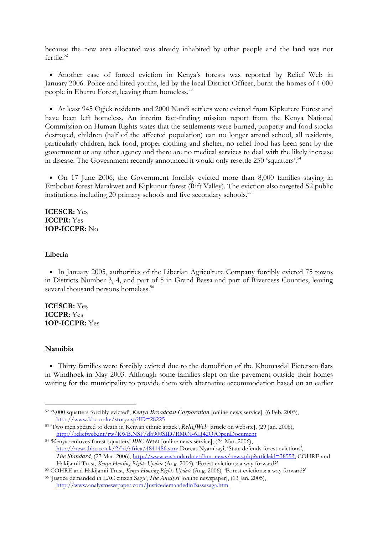because the new area allocated was already inhabited by other people and the land was not  $f$ ertile<sup>52</sup>

• Another case of forced eviction in Kenya's forests was reported by Relief Web in January 2006. Police and hired youths, led by the local District Officer, burnt the homes of 4 000 people in Eburru Forest, leaving them homeless.<sup>53</sup>

• At least 945 Ogiek residents and 2000 Nandi settlers were evicted from Kipkurere Forest and have been left homeless. An interim fact-finding mission report from the Kenya National Commission on Human Rights states that the settlements were burned, property and food stocks destroyed, children (half of the affected population) can no longer attend school, all residents, particularly children, lack food, proper clothing and shelter, no relief food has been sent by the government or any other agency and there are no medical services to deal with the likely increase in disease. The Government recently announced it would only resettle 250 'squatters'.<sup>54</sup>

• On 17 June 2006, the Government forcibly evicted more than 8,000 families staying in Embobut forest Marakwet and Kipkunur forest (Rift Valley). The eviction also targeted 52 public institutions including 20 primary schools and five secondary schools.<sup>55</sup>

ICESCR: Yes ICCPR: Yes 1OP-ICCPR: No

#### Liberia

• In January 2005, authorities of the Liberian Agriculture Company forcibly evicted 75 towns in Districts Number 3, 4, and part of 5 in Grand Bassa and part of Rivercess Counties, leaving several thousand persons homeless.<sup>56</sup>

ICESCR: Yes ICCPR: Yes 1OP-ICCPR: Yes

#### Namibia

-

• Thirty families were forcibly evicted due to the demolition of the Khomasdal Pietersen flats in Windhoek in May 2003. Although some families slept on the pavement outside their homes waiting for the municipality to provide them with alternative accommodation based on an earlier

<sup>52</sup> '3,000 squatters forcibly evicted', *Kenya Broadcast Corporation* [online news service], (6 Feb. 2005), http://www.kbc.co.ke/story.asp?ID=28225

<sup>53</sup> 'Two men speared to death in Kenyan ethnic attack', *ReliefWeb* [article on website], (29 Jan. 2006), http://reliefweb.int/rw/RWB.NSF/db900SID/RMOI-6LJ42Q?OpenDocument

<sup>54</sup> 'Kenya removes forest squatters' *BBC News* [online news service], (24 Mar. 2006), http://news.bbc.co.uk/2/hi/africa/4841486.stm; Dorcas Nyambayi, 'State defends forest evictions', The Standard, (27 Mar. 2006), http://www.eastandard.net/hm\_news/news.php?articleid=38553; COHRE and Hakijamii Trust, Kenya Housing Rights Update (Aug. 2006), 'Forest evictions: a way forward?'.

<sup>55</sup> COHRE and Hakijamii Trust, Kenya Housing Rights Update (Aug. 2006), 'Forest evictions: a way forward?'

<sup>56</sup> 'Justice demanded in LAC citizen Saga', *The Analyst* [online newspaper], (13 Jan. 2005), http://www.analystnewspaper.com/JusticedemandedinBassasaga.htm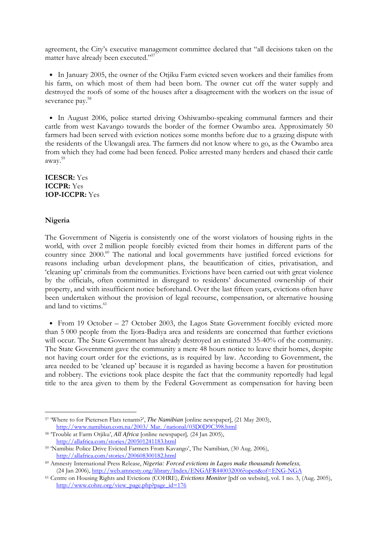agreement, the City's executive management committee declared that "all decisions taken on the matter have already been executed."<sup>57</sup>

• In January 2005, the owner of the Otjiku Farm evicted seven workers and their families from his farm, on which most of them had been born. The owner cut off the water supply and destroyed the roofs of some of the houses after a disagreement with the workers on the issue of severance pay.<sup>58</sup>

• In August 2006, police started driving Oshiwambo-speaking communal farmers and their cattle from west Kavango towards the border of the former Owambo area. Approximately 50 farmers had been served with eviction notices some months before due to a grazing dispute with the residents of the Ukwangali area. The farmers did not know where to go, as the Owambo area from which they had come had been fenced. Police arrested many herders and chased their cattle away. 59

ICESCR: Yes ICCPR: Yes 1OP-ICCPR: Yes

### Nigeria

-

The Government of Nigeria is consistently one of the worst violators of housing rights in the world, with over 2 million people forcibly evicted from their homes in different parts of the country since 2000.<sup>60</sup> The national and local governments have justified forced evictions for reasons including urban development plans, the beautification of cities, privatisation, and 'cleaning up' criminals from the communities. Evictions have been carried out with great violence by the officials, often committed in disregard to residents' documented ownership of their property, and with insufficient notice beforehand. Over the last fifteen years, evictions often have been undertaken without the provision of legal recourse, compensation, or alternative housing and land to victims.<sup>61</sup>

• From 19 October – 27 October 2003, the Lagos State Government forcibly evicted more than 5 000 people from the Ijora-Badiya area and residents are concerned that further evictions will occur. The State Government has already destroyed an estimated 35-40% of the community. The State Government gave the community a mere 48 hours notice to leave their homes, despite not having court order for the evictions, as is required by law. According to Government, the area needed to be 'cleaned up' because it is regarded as having become a haven for prostitution and robbery. The evictions took place despite the fact that the community reportedly had legal title to the area given to them by the Federal Government as compensation for having been

<sup>57</sup> 'Where to for Pietersen Flats tenants?', *The Namibian* [online newspaper], (21 May 2003), http://www.namibian.com.na/2003/ Mar. /national/03D0D9C398.html

<sup>58</sup> 'Trouble at Farm Otjiku', *All Africa* [online newspaper]*,* (24 Jan 2005), http://allafrica.com/stories/200501241183.html

<sup>59</sup> 'Namibia: Police Drive Evicted Farmers From Kavango', The Namibian, (30 Aug. 2006), http://allafrica.com/stories/200608300182.html

<sup>60</sup> Amnesty International Press Release, *Nigeria: Forced evictions in Lagos make thousands homeless,*  (24 Jan 2006), http://web.amnesty.org/library/Index/ENGAFR440032006?open&of=ENG-NGA

<sup>61</sup> Centre on Housing Rights and Evictions (COHRE), *Evictions Monitor* [pdf on website], vol. 1 no. 3, (Aug. 2005), http://www.cohre.org/view\_page.php?page\_id=176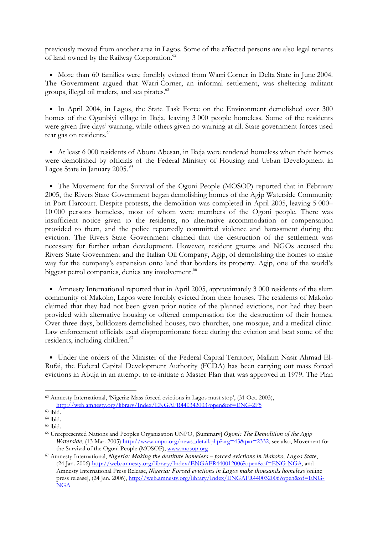previously moved from another area in Lagos. Some of the affected persons are also legal tenants of land owned by the Railway Corporation.<sup>62</sup>

• More than 60 families were forcibly evicted from Warri Corner in Delta State in June 2004. The Government argued that Warri Corner, an informal settlement, was sheltering militant groups, illegal oil traders, and sea pirates.<sup>63</sup>

• In April 2004, in Lagos, the State Task Force on the Environment demolished over 300 homes of the Ogunbiyi village in Ikeja, leaving 3 000 people homeless. Some of the residents were given five days' warning, while others given no warning at all. State government forces used tear gas on residents.<sup>64</sup>

• At least 6 000 residents of Aboru Abesan, in Ikeja were rendered homeless when their homes were demolished by officials of the Federal Ministry of Housing and Urban Development in Lagos State in January 2005.<sup>65</sup>

• The Movement for the Survival of the Ogoni People (MOSOP) reported that in February 2005, the Rivers State Government began demolishing homes of the Agip Waterside Community in Port Harcourt. Despite protests, the demolition was completed in April 2005, leaving 5 000– 10 000 persons homeless, most of whom were members of the Ogoni people. There was insufficient notice given to the residents, no alternative accommodation or compensation provided to them, and the police reportedly committed violence and harassment during the eviction. The Rivers State Government claimed that the destruction of the settlement was necessary for further urban development. However, resident groups and NGOs accused the Rivers State Government and the Italian Oil Company, Agip, of demolishing the homes to make way for the company's expansion onto land that borders its property. Agip, one of the world's biggest petrol companies, denies any involvement.<sup>66</sup>

• Amnesty International reported that in April 2005, approximately 3 000 residents of the slum community of Makoko, Lagos were forcibly evicted from their houses. The residents of Makoko claimed that they had not been given prior notice of the planned evictions, nor had they been provided with alternative housing or offered compensation for the destruction of their homes. Over three days, bulldozers demolished houses, two churches, one mosque, and a medical clinic. Law enforcement officials used disproportionate force during the eviction and beat some of the residents, including children.<sup>67</sup>

• Under the orders of the Minister of the Federal Capital Territory, Mallam Nasir Ahmad El-Rufai, the Federal Capital Development Authority (FCDA) has been carrying out mass forced evictions in Abuja in an attempt to re-initiate a Master Plan that was approved in 1979. The Plan

<sup>62</sup> Amnesty International, 'Nigeria: Mass forced evictions in Lagos must stop', (31 Oct. 2003), http://web.amnesty.org/library/Index/ENGAFR440342003?open&of=ENG-2F5

<sup>63</sup> ibid.

<sup>64</sup> ibid.

<sup>65</sup> ibid.

<sup>66</sup> Unrepresented Nations and Peoples Organization UNPO, [Summary] *Ogoni: The Demolition of the Agip Waterside*, (13 Mar. 2005) http://www.unpo.org/news\_detail.php?arg=43&par=2332, see also, Movement for the Survival of the Ogoni People (MOSOP), www.mosop.org

<sup>67</sup> Amnesty International, *Nigeria: Making the destitute homeless – forced evictions in Makoko, Lagos State*, (24 Jan. 2006) http://web.amnesty.org/library/Index/ENGAFR440012006?open&of=ENG-NGA, and Amnesty International Press Release, *Nigeria: Forced evictions in Lagos make thousands homeless*[online press release], (24 Jan. 2006), http://web.amnesty.org/library/Index/ENGAFR440032006?open&of=ENG-NGA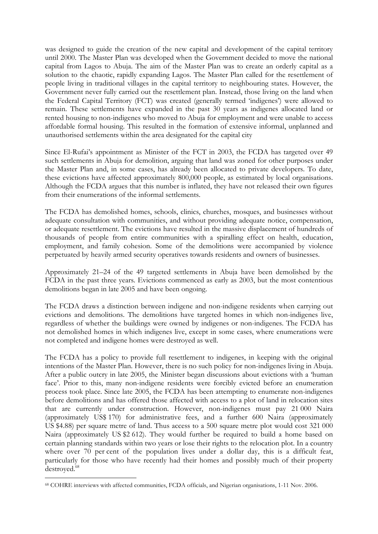was designed to guide the creation of the new capital and development of the capital territory until 2000. The Master Plan was developed when the Government decided to move the national capital from Lagos to Abuja. The aim of the Master Plan was to create an orderly capital as a solution to the chaotic, rapidly expanding Lagos. The Master Plan called for the resettlement of people living in traditional villages in the capital territory to neighbouring states. However, the Government never fully carried out the resettlement plan. Instead, those living on the land when the Federal Capital Territory (FCT) was created (generally termed 'indigenes') were allowed to remain. These settlements have expanded in the past 30 years as indigenes allocated land or rented housing to non-indigenes who moved to Abuja for employment and were unable to access affordable formal housing. This resulted in the formation of extensive informal, unplanned and unauthorised settlements within the area designated for the capital city

Since El-Rufai's appointment as Minister of the FCT in 2003, the FCDA has targeted over 49 such settlements in Abuja for demolition, arguing that land was zoned for other purposes under the Master Plan and, in some cases, has already been allocated to private developers. To date, these evictions have affected approximately 800,000 people, as estimated by local organisations. Although the FCDA argues that this number is inflated, they have not released their own figures from their enumerations of the informal settlements.

The FCDA has demolished homes, schools, clinics, churches, mosques, and businesses without adequate consultation with communities, and without providing adequate notice, compensation, or adequate resettlement. The evictions have resulted in the massive displacement of hundreds of thousands of people from entire communities with a spiralling effect on health, education, employment, and family cohesion. Some of the demolitions were accompanied by violence perpetuated by heavily armed security operatives towards residents and owners of businesses.

Approximately 21–24 of the 49 targeted settlements in Abuja have been demolished by the FCDA in the past three years. Evictions commenced as early as 2003, but the most contentious demolitions began in late 2005 and have been ongoing.

The FCDA draws a distinction between indigene and non-indigene residents when carrying out evictions and demolitions. The demolitions have targeted homes in which non-indigenes live, regardless of whether the buildings were owned by indigenes or non-indigenes. The FCDA has not demolished homes in which indigenes live, except in some cases, where enumerations were not completed and indigene homes were destroyed as well.

The FCDA has a policy to provide full resettlement to indigenes, in keeping with the original intentions of the Master Plan. However, there is no such policy for non-indigenes living in Abuja. After a public outcry in late 2005, the Minister began discussions about evictions with a 'human face'. Prior to this, many non-indigene residents were forcibly evicted before an enumeration process took place. Since late 2005, the FCDA has been attempting to enumerate non-indigenes before demolitions and has offered those affected with access to a plot of land in relocation sites that are currently under construction. However, non-indigenes must pay 21 000 Naira (approximately US\$ 170) for administrative fees, and a further 600 Naira (approximately US \$4.88) per square metre of land. Thus access to a 500 square metre plot would cost 321 000 Naira (approximately US \$2 612). They would further be required to build a home based on certain planning standards within two years or lose their rights to the relocation plot. In a country where over 70 per cent of the population lives under a dollar day, this is a difficult feat, particularly for those who have recently had their homes and possibly much of their property destroyed.<sup>68</sup>

<sup>68</sup> COHRE interviews with affected communities, FCDA officials, and Nigerian organisations, 1-11 Nov. 2006.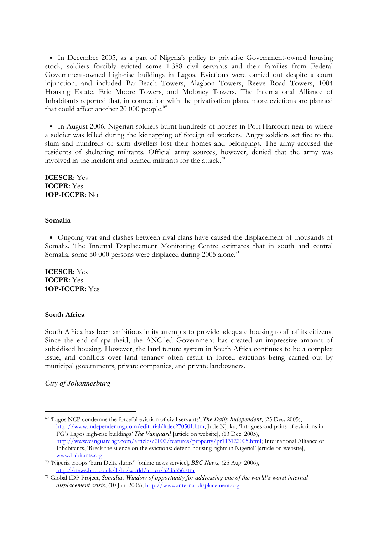• In December 2005, as a part of Nigeria's policy to privatise Government-owned housing stock, soldiers forcibly evicted some 1 388 civil servants and their families from Federal Government-owned high-rise buildings in Lagos. Evictions were carried out despite a court injunction, and included Bar-Beach Towers, Alagbon Towers, Reeve Road Towers, 1004 Housing Estate, Eric Moore Towers, and Moloney Towers. The International Alliance of Inhabitants reported that, in connection with the privatisation plans, more evictions are planned that could affect another 20 000 people.<sup>69</sup>

• In August 2006, Nigerian soldiers burnt hundreds of houses in Port Harcourt near to where a soldier was killed during the kidnapping of foreign oil workers. Angry soldiers set fire to the slum and hundreds of slum dwellers lost their homes and belongings. The army accused the residents of sheltering militants. Official army sources, however, denied that the army was involved in the incident and blamed militants for the attack.<sup>70</sup>

ICESCR: Yes ICCPR: Yes 1OP-ICCPR: No

#### Somalia

• Ongoing war and clashes between rival clans have caused the displacement of thousands of Somalis. The Internal Displacement Monitoring Centre estimates that in south and central Somalia, some 50 000 persons were displaced during 2005 alone.<sup>71</sup>

ICESCR: Yes ICCPR: Yes 1OP-ICCPR: Yes

## South Africa

South Africa has been ambitious in its attempts to provide adequate housing to all of its citizens. Since the end of apartheid, the ANC-led Government has created an impressive amount of subsidised housing. However, the land tenure system in South Africa continues to be a complex issue, and conflicts over land tenancy often result in forced evictions being carried out by municipal governments, private companies, and private landowners.

#### *City of Johannesburg*

<sup>69</sup> 'Lagos NCP condemns the forceful eviction of civil servants', *The Daily Independent*, (25 Dec. 2005), http://www.independentng.com/editorial/ltdec270501.htm; Jude Njoku, 'Intrigues and pains of evictions in FG's Lagos high-rise buildings' *The Vanguard* [article on website], (13 Dec. 2005), http://www.vanguardngr.com/articles/2002/features/property/pr113122005.html; International Alliance of Inhabitants, 'Break the silence on the evictions: defend housing rights in Nigeria!' [article on website], www.habitants.org

<sup>70</sup> 'Nigeria troops 'burn Delta slums'' [online news service], *BBC News,* (25 Aug. 2006), http://news.bbc.co.uk/1/hi/world/africa/5285556.stm

<sup>71</sup> Global IDP Project, *Somalia: Window of opportunity for addressing one of the world's worst internal displacement crisis*, (10 Jan. 2006), http://www.internal-displacement.org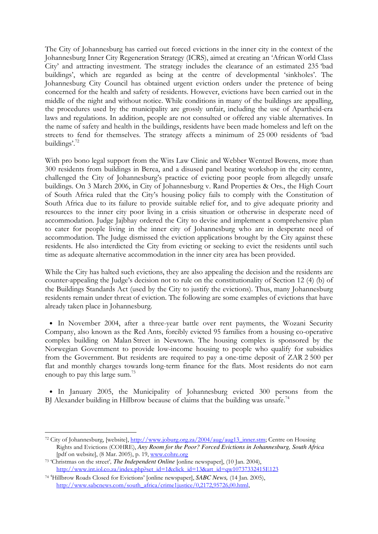The City of Johannesburg has carried out forced evictions in the inner city in the context of the Johannesburg Inner City Regeneration Strategy (ICRS), aimed at creating an 'African World Class City' and attracting investment. The strategy includes the clearance of an estimated 235 'bad buildings', which are regarded as being at the centre of developmental 'sinkholes'. The Johannesburg City Council has obtained urgent eviction orders under the pretence of being concerned for the health and safety of residents. However, evictions have been carried out in the middle of the night and without notice. While conditions in many of the buildings are appalling, the procedures used by the municipality are grossly unfair, including the use of Apartheid-era laws and regulations. In addition, people are not consulted or offered any viable alternatives. In the name of safety and health in the buildings, residents have been made homeless and left on the streets to fend for themselves. The strategy affects a minimum of 25 000 residents of 'bad buildings'.<sup>72</sup>

With pro bono legal support from the Wits Law Clinic and Webber Wentzel Bowens, more than 300 residents from buildings in Berea, and a disused panel beating workshop in the city centre, challenged the City of Johannesburg's practice of evicting poor people from allegedly unsafe buildings. On 3 March 2006, in City of Johannesburg v. Rand Properties & Ors., the High Court of South Africa ruled that the City's housing policy fails to comply with the Constitution of South Africa due to its failure to provide suitable relief for, and to give adequate priority and resources to the inner city poor living in a crisis situation or otherwise in desperate need of accommodation. Judge Jajbhay ordered the City to devise and implement a comprehensive plan to cater for people living in the inner city of Johannesburg who are in desperate need of accommodation. The Judge dismissed the eviction applications brought by the City against these residents. He also interdicted the City from evicting or seeking to evict the residents until such time as adequate alternative accommodation in the inner city area has been provided.

While the City has halted such evictions, they are also appealing the decision and the residents are counter-appealing the Judge's decision not to rule on the constitutionality of Section 12 (4) (b) of the Buildings Standards Act (used by the City to justify the evictions). Thus, many Johannesburg residents remain under threat of eviction. The following are some examples of evictions that have already taken place in Johannesburg.

• In November 2004, after a three-year battle over rent payments, the Wozani Security Company, also known as the Red Ants, forcibly evicted 95 families from a housing co-operative complex building on Malan Street in Newtown. The housing complex is sponsored by the Norwegian Government to provide low-income housing to people who qualify for subsidies from the Government. But residents are required to pay a one-time deposit of ZAR 2 500 per flat and monthly charges towards long-term finance for the flats. Most residents do not earn enough to pay this large sum.<sup>73</sup>

• In January 2005, the Municipality of Johannesburg evicted 300 persons from the BJ Alexander building in Hillbrow because of claims that the building was unsafe.<sup>74</sup>

<sup>&</sup>lt;sup>72</sup> City of Johannesburg, [website], http://www.joburg.org.za/2004/aug/aug13\_inner.stm; Centre on Housing Rights and Evictions (COHRE), *Any Room for the Poor? Forced Evictions in Johannesburg, South Africa*  [pdf on website], (8 Mar. 2005), p. 19, www.cohre.org

<sup>73</sup> 'Christmas on the street'*, The Independent Online* [online newspaper], (10 Jan. 2004), http://www.int.iol.co.za/index.php?set\_id=1&click\_id=13&art\_id=qw10737332415E123

<sup>74</sup> 'Hillbrow Roads Closed for Evictions' [online newspaper], *SABC News,* (14 Jan. 2005), http://www.sabcnews.com/south\_africa/crime1justice/0,2172,95726,00.html,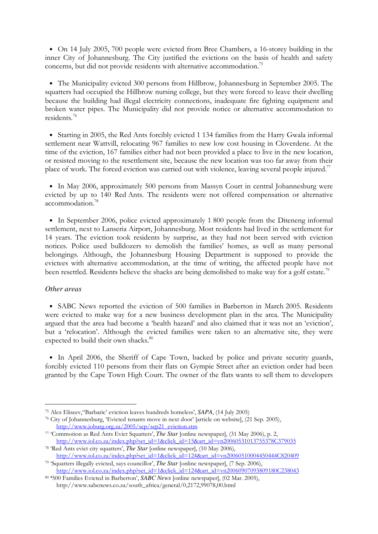• On 14 July 2005, 700 people were evicted from Bree Chambers, a 16-storey building in the inner City of Johannesburg. The City justified the evictions on the basis of health and safety concerns, but did not provide residents with alternative accommodation.<sup>75</sup>

• The Municipality evicted 300 persons from Hillbrow, Johannesburg in September 2005. The squatters had occupied the Hillbrow nursing college, but they were forced to leave their dwelling because the building had illegal electricity connections, inadequate fire fighting equipment and broken water pipes. The Municipality did not provide notice or alternative accommodation to residents.<sup>76</sup>

• Starting in 2005, the Red Ants forcibly evicted 1 134 families from the Harry Gwala informal settlement near Wattvill, relocating 967 families to new low cost housing in Cloverdene. At the time of the eviction, 167 families either had not been provided a place to live in the new location, or resisted moving to the resettlement site, because the new location was too far away from their place of work. The forced eviction was carried out with violence, leaving several people injured.<sup>77</sup>

• In May 2006, approximately 500 persons from Massyn Court in central Johannesburg were evicted by up to 140 Red Ants. The residents were not offered compensation or alternative accommodation.<sup>78</sup>

• In September 2006, police evicted approximately 1 800 people from the Diteneng informal settlement, next to Lanseria Airport, Johannesburg. Most residents had lived in the settlement for 14 years. The eviction took residents by surprise, as they had not been served with eviction notices. Police used bulldozers to demolish the families' homes, as well as many personal belongings. Although, the Johannesburg Housing Department is supposed to provide the evictees with alternative accommodation, at the time of writing, the affected people have not been resettled. Residents believe the shacks are being demolished to make way for a golf estate.<sup>79</sup>

#### *Other areas*

-

• SABC News reported the eviction of 500 families in Barberton in March 2005. Residents were evicted to make way for a new business development plan in the area. The Municipality argued that the area had become a 'health hazard' and also claimed that it was not an 'eviction', but a 'relocation'. Although the evicted families were taken to an alternative site, they were expected to build their own shacks.<sup>80</sup>

• In April 2006, the Sheriff of Cape Town, backed by police and private security guards, forcibly evicted 110 persons from their flats on Gympie Street after an eviction order had been granted by the Cape Town High Court. The owner of the flats wants to sell them to developers

<sup>75</sup> Alex Eliseev,''Barbaric' eviction leaves hundreds homeless', *SAPA*, (14 July 2005)

<sup>76</sup> City of Johannesburg, 'Evicted tenants move in next door' [article on website], (21 Sep. 2005), http://www.joburg.org.za/2005/sep/sep21\_eviction.stm

<sup>77</sup> 'Commotion as Red Ants Evict Squatters', *The Star* [online newspaper], (31 May 2006), p. 2, http://www.iol.co.za/index.php?set\_id=1&click\_id=15&art\_id=vn20060531013755378C379035

<sup>78</sup> 'Red Ants evict city squatters', *The Star* [online newspaper], (10 May 2006), http://www.iol.co.za/index.php?set\_id=1&click\_id=124&art\_id=vn20060510004450444C820409 <sup>79</sup> 'Squatters illegally evicted, says councillor', *The Star* [online newspaper], (7 Sep. 2006),

http://www.iol.co.za/index.php?set\_id=1&click\_id=124&art\_id=vn20060907093809180C238043

<sup>80</sup> '500 Families Evicted in Barberton', *SABC News* [online newspaper], (02 Mar. 2005), http://www.sabcnews.co.za/south\_africa/general/0,2172,99078,00.html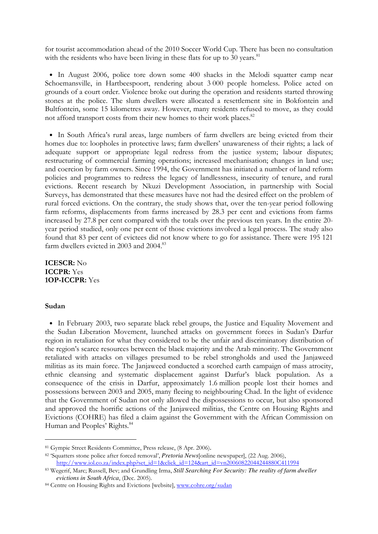for tourist accommodation ahead of the 2010 Soccer World Cup. There has been no consultation with the residents who have been living in these flats for up to 30 years. $81$ 

• In August 2006, police tore down some 400 shacks in the Melodi squatter camp near Schoemansville, in Hartbeespoort, rendering about 3 000 people homeless. Police acted on grounds of a court order. Violence broke out during the operation and residents started throwing stones at the police. The slum dwellers were allocated a resettlement site in Bokfontein and Bultfontein, some 15 kilometres away. However, many residents refused to move, as they could not afford transport costs from their new homes to their work places.<sup>82</sup>

• In South Africa's rural areas, large numbers of farm dwellers are being evicted from their homes due to: loopholes in protective laws; farm dwellers' unawareness of their rights; a lack of adequate support or appropriate legal redress from the justice system; labour disputes; restructuring of commercial farming operations; increased mechanisation; changes in land use; and coercion by farm owners. Since 1994, the Government has initiated a number of land reform policies and programmes to redress the legacy of landlessness, insecurity of tenure, and rural evictions. Recent research by Nkuzi Development Association, in partnership with Social Surveys, has demonstrated that these measures have not had the desired effect on the problem of rural forced evictions. On the contrary, the study shows that, over the ten-year period following farm reforms, displacements from farms increased by 28.3 per cent and evictions from farms increased by 27.8 per cent compared with the totals over the previous ten years. In the entire 20 year period studied, only one per cent of those evictions involved a legal process. The study also found that 83 per cent of evictees did not know where to go for assistance. There were 195 121 farm dwellers evicted in 2003 and 2004.<sup>83</sup>

ICESCR: No ICCPR: Yes 1OP-ICCPR: Yes

#### Sudan

<u>.</u>

• In February 2003, two separate black rebel groups, the Justice and Equality Movement and the Sudan Liberation Movement, launched attacks on government forces in Sudan's Darfur region in retaliation for what they considered to be the unfair and discriminatory distribution of the region's scarce resources between the black majority and the Arab minority. The Government retaliated with attacks on villages presumed to be rebel strongholds and used the Janjaweed militias as its main force. The Janjaweed conducted a scorched earth campaign of mass atrocity, ethnic cleansing and systematic displacement against Darfur's black population. As a consequence of the crisis in Darfur, approximately 1.6 million people lost their homes and possessions between 2003 and 2005, many fleeing to neighbouring Chad. In the light of evidence that the Government of Sudan not only allowed the dispossessions to occur, but also sponsored and approved the horrific actions of the Janjaweed militias, the Centre on Housing Rights and Evictions (COHRE) has filed a claim against the Government with the African Commission on Human and Peoples' Rights.<sup>84</sup>

<sup>81</sup> Gympie Street Residents Committee, Press release, (8 Apr. 2006).

<sup>82</sup> 'Squatters stone police after forced removal', *Pretoria News*[online newspaper], (22 Aug. 2006), http://www.iol.co.za/index.php?set\_id=1&click\_id=124&art\_id=vn20060822044244880C411994

<sup>83</sup> Wegerif, Marc; Russell, Bev; and Grundling Irma, *Still Searching For Security: The reality of farm dweller evictions in South Africa*, (Dec. 2005).

<sup>84</sup> Centre on Housing Rights and Evictions [website], www.cohre.org/sudan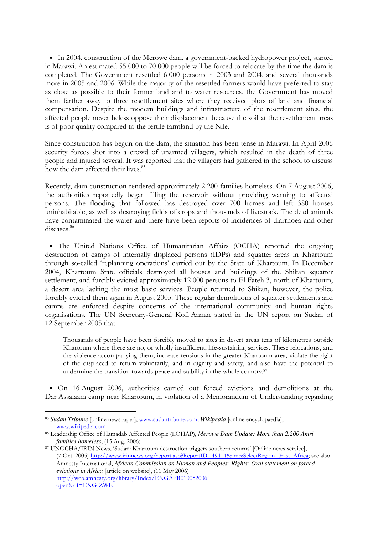• In 2004, construction of the Merowe dam, a government-backed hydropower project, started in Marawi. An estimated 55 000 to 70 000 people will be forced to relocate by the time the dam is completed. The Government resettled 6 000 persons in 2003 and 2004, and several thousands more in 2005 and 2006. While the majority of the resettled farmers would have preferred to stay as close as possible to their former land and to water resources, the Government has moved them farther away to three resettlement sites where they received plots of land and financial compensation. Despite the modern buildings and infrastructure of the resettlement sites, the affected people nevertheless oppose their displacement because the soil at the resettlement areas is of poor quality compared to the fertile farmland by the Nile.

Since construction has begun on the dam, the situation has been tense in Marawi. In April 2006 security forces shot into a crowd of unarmed villagers, which resulted in the death of three people and injured several. It was reported that the villagers had gathered in the school to discuss how the dam affected their lives.<sup>85</sup>

Recently, dam construction rendered approximately 2 200 families homeless. On 7 August 2006, the authorities reportedly began filling the reservoir without providing warning to affected persons. The flooding that followed has destroyed over 700 homes and left 380 houses uninhabitable, as well as destroying fields of crops and thousands of livestock. The dead animals have contaminated the water and there have been reports of incidences of diarrhoea and other diseases.<sup>86</sup>

• The United Nations Office of Humanitarian Affairs (OCHA) reported the ongoing destruction of camps of internally displaced persons (IDPs) and squatter areas in Khartoum through so-called 'replanning operations' carried out by the State of Khartoum. In December 2004, Khartoum State officials destroyed all houses and buildings of the Shikan squatter settlement, and forcibly evicted approximately 12 000 persons to El Fateh 3, north of Khartoum, a desert area lacking the most basic services. People returned to Shikan, however, the police forcibly evicted them again in August 2005. These regular demolitions of squatter settlements and camps are enforced despite concerns of the international community and human rights organisations. The UN Secretary-General Kofi Annan stated in the UN report on Sudan of 12 September 2005 that:

Thousands of people have been forcibly moved to sites in desert areas tens of kilometres outside Khartoum where there are no, or wholly insufficient, life-sustaining services. These relocations, and the violence accompanying them, increase tensions in the greater Khartoum area, violate the right of the displaced to return voluntarily, and in dignity and safety, and also have the potential to undermine the transition towards peace and stability in the whole country.<sup>87</sup>

• On 16 August 2006, authorities carried out forced evictions and demolitions at the Dar Assalaam camp near Khartoum, in violation of a Memorandum of Understanding regarding

<sup>85</sup> *Sudan Tribune* [online newspaper], www.sudantribune.com; *Wikipedia* [online encyclopaedia], www.wikipedia.com

<sup>86</sup> Leadership Office of Hamadab Affected People (LOHAP), *Merowe Dam Update: More than 2,200 Amri families homeless*, (15 Aug. 2006)

<sup>87</sup> UNOCHA/IRIN News, 'Sudan: Khartoum destruction triggers southern returns' [Online news service], (7 Oct. 2005) http://www.irinnews.org/report.asp?ReportID=49414&SelectRegion=East\_Africa; see also Amnesty International, *African Commission on Human and Peoples' Rights: Oral statement on forced evictions in Africa* [article on website], (11 May 2006) http://web.amnesty.org/library/Index/ENGAFR010052006? open&of=ENG-ZWE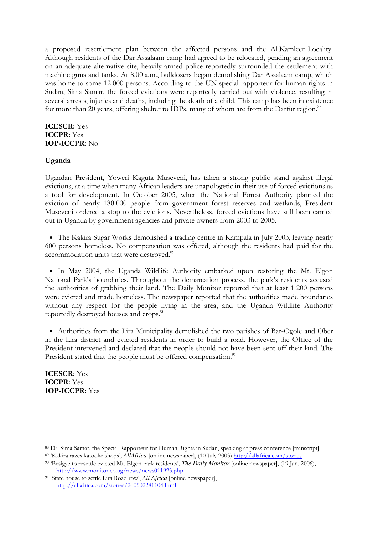a proposed resettlement plan between the affected persons and the Al Kamleen Locality. Although residents of the Dar Assalaam camp had agreed to be relocated, pending an agreement on an adequate alternative site, heavily armed police reportedly surrounded the settlement with machine guns and tanks. At 8.00 a.m., bulldozers began demolishing Dar Assalaam camp, which was home to some 12 000 persons. According to the UN special rapporteur for human rights in Sudan, Sima Samar, the forced evictions were reportedly carried out with violence, resulting in several arrests, injuries and deaths, including the death of a child. This camp has been in existence for more than 20 years, offering shelter to IDPs, many of whom are from the Darfur region.<sup>88</sup>

## ICESCR: Yes ICCPR: Yes 1OP-ICCPR: No

# Uganda

Ugandan President, Yoweri Kaguta Museveni, has taken a strong public stand against illegal evictions, at a time when many African leaders are unapologetic in their use of forced evictions as a tool for development. In October 2005, when the National Forest Authority planned the eviction of nearly 180 000 people from government forest reserves and wetlands, President Museveni ordered a stop to the evictions. Nevertheless, forced evictions have still been carried out in Uganda by government agencies and private owners from 2003 to 2005.

• The Kakira Sugar Works demolished a trading centre in Kampala in July 2003, leaving nearly 600 persons homeless. No compensation was offered, although the residents had paid for the accommodation units that were destroyed.<sup>89</sup>

• In May 2004, the Uganda Wildlife Authority embarked upon restoring the Mt. Elgon National Park's boundaries. Throughout the demarcation process, the park's residents accused the authorities of grabbing their land. The Daily Monitor reported that at least 1 200 persons were evicted and made homeless. The newspaper reported that the authorities made boundaries without any respect for the people living in the area, and the Uganda Wildlife Authority reportedly destroyed houses and crops.<sup>90</sup>

• Authorities from the Lira Municipality demolished the two parishes of Bar-Ogole and Ober in the Lira district and evicted residents in order to build a road. However, the Office of the President intervened and declared that the people should not have been sent off their land. The President stated that the people must be offered compensation.<sup>91</sup>

ICESCR: Yes ICCPR: Yes 1OP-ICCPR: Yes

<sup>88</sup> Dr. Sima Samar, the Special Rapporteur for Human Rights in Sudan, speaking at press conference [transcript]

<sup>89</sup> 'Kakira razes katooke shops', *AllAfrica* [online newspaper], (10 July 2003) http://allafrica.com/stories

<sup>90</sup> 'Besigye to resettle evicted Mt. Elgon park residents', *The Daily Monitor* [online newspaper], (19 Jan. 2006), http://www.monitor.co.ug/news/news011923.php

<sup>91</sup> 'State house to settle Lira Road row', *All Africa* [online newspaper], http://allafrica.com/stories/200502281104.html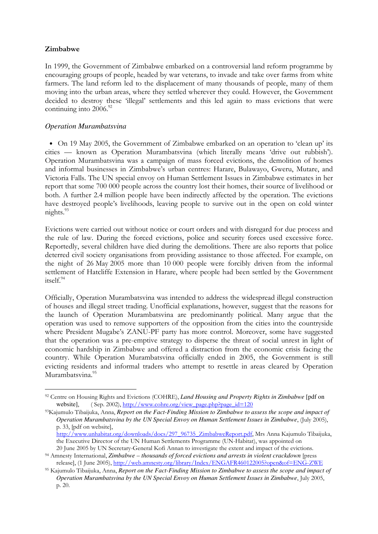# Zimbabwe

-

In 1999, the Government of Zimbabwe embarked on a controversial land reform programme by encouraging groups of people, headed by war veterans, to invade and take over farms from white farmers. The land reform led to the displacement of many thousands of people, many of them moving into the urban areas, where they settled wherever they could. However, the Government decided to destroy these 'illegal' settlements and this led again to mass evictions that were continuing into  $2006.<sup>92</sup>$ 

# *Operation Murambatsvina*

• On 19 May 2005, the Government of Zimbabwe embarked on an operation to 'clean up' its cities — known as Operation Murambatsvina (which literally means 'drive out rubbish'). Operation Murambatsvina was a campaign of mass forced evictions, the demolition of homes and informal businesses in Zimbabwe's urban centres: Harare, Bulawayo, Gweru, Mutare, and Victoria Falls. The UN special envoy on Human Settlement Issues in Zimbabwe estimates in her report that some 700 000 people across the country lost their homes, their source of livelihood or both. A further 2.4 million people have been indirectly affected by the operation. The evictions have destroyed people's livelihoods, leaving people to survive out in the open on cold winter nights.<sup>93</sup>

Evictions were carried out without notice or court orders and with disregard for due process and the rule of law. During the forced evictions, police and security forces used excessive force. Reportedly, several children have died during the demolitions. There are also reports that police deterred civil society organisations from providing assistance to those affected. For example, on the night of 26 May 2005 more than 10 000 people were forcibly driven from the informal settlement of Hatcliffe Extension in Harare, where people had been settled by the Government itself.<sup>94</sup>

Officially, Operation Murambatsvina was intended to address the widespread illegal construction of houses and illegal street trading. Unofficial explanations, however, suggest that the reasons for the launch of Operation Murambatsvina are predominantly political. Many argue that the operation was used to remove supporters of the opposition from the cities into the countryside where President Mugabe's ZANU-PF party has more control. Moreover, some have suggested that the operation was a pre-emptive strategy to disperse the threat of social unrest in light of economic hardship in Zimbabwe and offered a distraction from the economic crisis facing the country. While Operation Murambatsvina officially ended in 2005, the Government is still evicting residents and informal traders who attempt to resettle in areas cleared by Operation Murambatsvina.<sup>95</sup>

<sup>92</sup> Centre on Housing Rights and Evictions (COHRE), *Land Housing and Property Rights in Zimbabwe* [pdf on website], (Sep. 2002), http://www.cohre.org/view\_page.php?page\_id=120

<sup>93</sup>Kajumulo Tibaijuka, Anna, *Report on the Fact-Finding Mission to Zimbabwe to assess the scope and impact of Operation Murambatsvina by the UN Special Envoy on Human Settlement Issues in Zimbabwe*, (July 2005), p. 33, [pdf on website],

http://www.unhabitat.org/downloads/docs/297\_96735\_ZimbabweReport.pdf, Mrs Anna Kajumulo Tibaijuka, the Executive Director of the UN Human Settlements Programme (UN-Habitat), was appointed on

<sup>20</sup> June 2005 by UN Secretary-General Kofi Annan to investigate the extent and impact of the evictions. <sup>94</sup> Amnesty International, *Zimbabwe – thousands of forced evictions and arrests in violent crackdown* [press release], (1 June 2005), http://web.amnesty.org/library/Index/ENGAFR460122005?open&of=ENG-ZWE

<sup>95</sup> Kajumulo Tibaijuka, Anna, *Report on the Fact-Finding Mission to Zimbabwe to assess the scope and impact of Operation Murambatsvina by the UN Special Envoy on Human Settlement Issues in Zimbabwe*, July 2005, p. 20.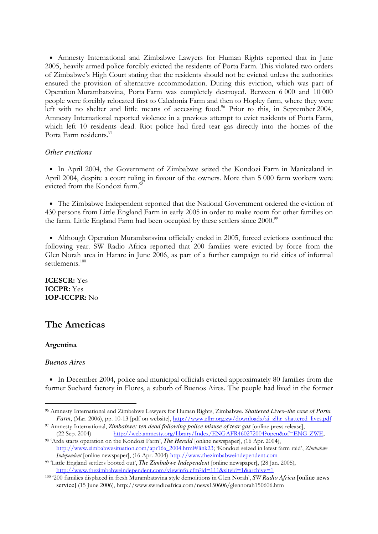• Amnesty International and Zimbabwe Lawyers for Human Rights reported that in June 2005, heavily armed police forcibly evicted the residents of Porta Farm. This violated two orders of Zimbabwe's High Court stating that the residents should not be evicted unless the authorities ensured the provision of alternative accommodation. During this eviction, which was part of Operation Murambatsvina, Porta Farm was completely destroyed. Between 6 000 and 10 000 people were forcibly relocated first to Caledonia Farm and then to Hopley farm, where they were left with no shelter and little means of accessing food.<sup>96</sup> Prior to this, in September 2004, Amnesty International reported violence in a previous attempt to evict residents of Porta Farm, which left 10 residents dead. Riot police had fired tear gas directly into the homes of the Porta Farm residents.<sup>97</sup>

### *Other evictions*

• In April 2004, the Government of Zimbabwe seized the Kondozi Farm in Manicaland in April 2004, despite a court ruling in favour of the owners. More than 5 000 farm workers were evicted from the Kondozi farm.<sup>9</sup>

• The Zimbabwe Independent reported that the National Government ordered the eviction of 430 persons from Little England Farm in early 2005 in order to make room for other families on the farm. Little England Farm had been occupied by these settlers since 2000.<sup>99</sup>

• Although Operation Murambatsvina officially ended in 2005, forced evictions continued the following year. SW Radio Africa reported that 200 families were evicted by force from the Glen Norah area in Harare in June 2006, as part of a further campaign to rid cities of informal settlements.<sup>100</sup>

ICESCR: Yes ICCPR: Yes 1OP-ICCPR: No

# The Americas

# Argentina

-

#### *Buenos Aires*

• In December 2004, police and municipal officials evicted approximately 80 families from the former Suchard factory in Flores, a suburb of Buenos Aires. The people had lived in the former

<sup>96</sup> Amnesty International and Zimbabwe Lawyers for Human Rights, Zimbabwe. *Shattered Lives–the case of Porta Farm*, (Mar. 2006), pp. 10-13 [pdf on website], http://www.zlhr.org.zw/downloads/ai\_zlhr\_shattered\_lives.pdf

<sup>97</sup> Amnesty International, *Zimbabwe: ten dead following police misuse of tear gas* [online press release], (22 Sep. 2004) http://web.amnesty.org/library/Index/ENGAFR460272004?open&of=ENG-ZWE,

<sup>98</sup> 'Arda starts operation on the Kondozi Farm', *The Herald* [online newspaper], (16 Apr. 2004), http://www.zimbabwesituation.com/apr16a\_2004.html#link23; 'Kondozi seized in latest farm raid', Zimbabwe Independent [online newspaper], (16 Apr. 2004) http://www.thezimbabweindependent.com

<sup>99</sup> 'Little England settlers booted out', *The Zimbabwe Independent* [online newspaper], (28 Jan. 2005), http://www.thezimbabweindependent.com/viewinfo.cfm?id=111&siteid=1&archive=1

<sup>100</sup> '200 families displaced in fresh Murambatsvina style demolitions in Glen Norah', *SW Radio Africa* [online news service] (15 June 2006), http://www.swradioafrica.com/news150606/glennorah150606.htm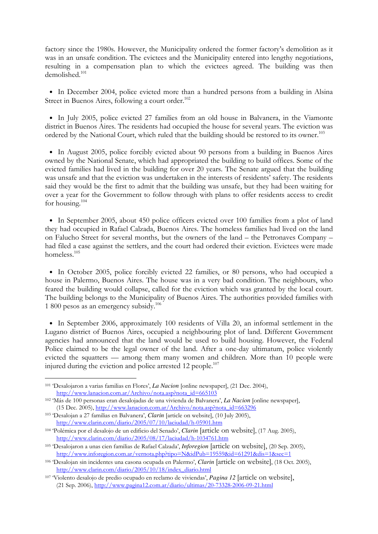factory since the 1980s. However, the Municipality ordered the former factory's demolition as it was in an unsafe condition. The evictees and the Municipality entered into lengthy negotiations, resulting in a compensation plan to which the evictees agreed. The building was then demolished.<sup>101</sup>

• In December 2004, police evicted more than a hundred persons from a building in Alsina Street in Buenos Aires, following a court order.<sup>102</sup>

• In July 2005, police evicted 27 families from an old house in Balvanera, in the Viamonte district in Buenos Aires. The residents had occupied the house for several years. The eviction was ordered by the National Court, which ruled that the building should be restored to its owner.<sup>103</sup>

• In August 2005, police forcibly evicted about 90 persons from a building in Buenos Aires owned by the National Senate, which had appropriated the building to build offices. Some of the evicted families had lived in the building for over 20 years. The Senate argued that the building was unsafe and that the eviction was undertaken in the interests of residents' safety. The residents said they would be the first to admit that the building was unsafe, but they had been waiting for over a year for the Government to follow through with plans to offer residents access to credit for housing.<sup>104</sup>

• In September 2005, about 450 police officers evicted over 100 families from a plot of land they had occupied in Rafael Calzada, Buenos Aires. The homeless families had lived on the land on Falucho Street for several months, but the owners of the land – the Petronaves Company – had filed a case against the settlers, and the court had ordered their eviction. Evictees were made homeless.<sup>105</sup>

• In October 2005, police forcibly evicted 22 families, or 80 persons, who had occupied a house in Palermo, Buenos Aires. The house was in a very bad condition. The neighbours, who feared the building would collapse, called for the eviction which was granted by the local court. The building belongs to the Municipality of Buenos Aires. The authorities provided families with 1 800 pesos as an emergency subsidy.<sup>106</sup>

• In September 2006, approximately 100 residents of Villa 20, an informal settlement in the Lugano district of Buenos Aires, occupied a neighbouring plot of land. Different Government agencies had announced that the land would be used to build housing. However, the Federal Police claimed to be the legal owner of the land. After a one-day ultimatum, police violently evicted the squatters — among them many women and children. More than 10 people were injured during the eviction and police arrested 12 people.<sup>107</sup>

<sup>101</sup> 'Desalojaron a varias familias en Flores', *La Nacion* [online newspaper], (21 Dec. 2004), http://www.lanacion.com.ar/Archivo/nota.asp?nota\_id=665103

<sup>102</sup> 'Más de 100 personas eran desalojadas de una vivienda de Balvanera', *La Nacion* [online newspaper], (15 Dec. 2005), http://www.lanacion.com.ar/Archivo/nota.asp?nota\_id=663296

<sup>103</sup> 'Desalojan a 27 familias en Balvanera', *Clarin* [article on website], (10 July 2005), http://www.clarin.com/diario/2005/07/10/laciudad/h-05901.htm

<sup>104</sup> 'Polémica por el desalojo de un edificio del Senado', *Clarin* [article on website], (17 Aug. 2005), http://www.clarin.com/diario/2005/08/17/laciudad/h-1034761.htm

<sup>105</sup> 'Desalojaron a unas cien familias de Rafael Calzada', *Inforegion* [article on website], (20 Sep. 2005), http://www.inforegion.com.ar/vernota.php?tipo=N&idPub=19559&id=61291&dis=1&sec=1

<sup>106</sup> 'Desalojan sin incidentes una casona ocupada en Palermo', *Clarin* [article on website], (18 Oct. 2005), http://www.clarin.com/diario/2005/10/18/index\_diario.html

<sup>107</sup> 'Violento desalojo de predio ocupado en reclamo de viviendas', *Pagina 12* [article on website], (21 Sep. 2006), http://www.pagina12.com.ar/diario/ultimas/20-73328-2006-09-21.html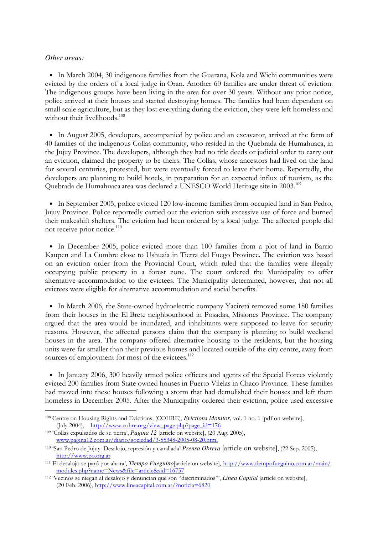#### *Other areas:*

-

• In March 2004, 30 indigenous families from the Guarana, Kola and Wichi communities were evicted by the orders of a local judge in Oran. Another 60 families are under threat of eviction. The indigenous groups have been living in the area for over 30 years. Without any prior notice, police arrived at their houses and started destroying homes. The families had been dependent on small scale agriculture, but as they lost everything during the eviction, they were left homeless and without their livelihoods.<sup>108</sup>

• In August 2005, developers, accompanied by police and an excavator, arrived at the farm of 40 families of the indigenous Collas community, who resided in the Quebrada de Humahuaca, in the Jujuy Province. The developers, although they had no title deeds or judicial order to carry out an eviction, claimed the property to be theirs. The Collas, whose ancestors had lived on the land for several centuries, protested, but were eventually forced to leave their home. Reportedly, the developers are planning to build hotels, in preparation for an expected influx of tourism, as the Quebrada de Humahuaca area was declared a UNESCO World Heritage site in 2003.<sup>109</sup>

• In September 2005, police evicted 120 low-income families from occupied land in San Pedro, Jujuy Province. Police reportedly carried out the eviction with excessive use of force and burned their makeshift shelters. The eviction had been ordered by a local judge. The affected people did not receive prior notice.<sup>110</sup>

• In December 2005, police evicted more than 100 families from a plot of land in Barrio Kaupen and La Cumbre close to Ushuaia in Tierra del Fuego Province. The eviction was based on an eviction order from the Provincial Court, which ruled that the families were illegally occupying public property in a forest zone. The court ordered the Municipality to offer alternative accommodation to the evictees. The Municipality determined, however, that not all evictees were eligible for alternative accommodation and social benefits.<sup>111</sup>

• In March 2006, the State-owned hydroelectric company Yaciretá removed some 180 families from their houses in the El Brete neighbourhood in Posadas, Misiones Province. The company argued that the area would be inundated, and inhabitants were supposed to leave for security reasons. However, the affected persons claim that the company is planning to build weekend houses in the area. The company offered alternative housing to the residents, but the housing units were far smaller than their previous homes and located outside of the city centre, away from sources of employment for most of the evictees.<sup>112</sup>

• In January 2006, 300 heavily armed police officers and agents of the Special Forces violently evicted 200 families from State owned houses in Puerto Vilelas in Chaco Province. These families had moved into these houses following a storm that had demolished their houses and left them homeless in December 2005. After the Municipality ordered their eviction, police used excessive

<sup>108</sup> Centre on Housing Rights and Evictions, (COHRE), *Evictions Monitor,* vol. 1 no. 1 [pdf on website], (July 2004), http://www.cohre.org/view\_page.php?page\_id=176

<sup>109</sup> 'Collas expulsados de su tierra', *Pagina 12* [article on website], (20 Aug. 2005), www.pagina12.com.ar/diario/sociedad/3-55348-2005-08-20.html

<sup>110</sup> 'San Pedro de Jujuy. Desalojo, represión y canallada' *Prensa Obrera* [article on website], (22 Sep. 2005), http://www.po.org.ar

<sup>111</sup> El desalojo se paró por ahora', *Tiempo Fueguino*[article on website], http://www.tiempofueguino.com.ar/main/ modules.php?name=News&file=article&sid=16757

<sup>112</sup> 'Vecinos se niegan al desalojo y denuncian que son "discriminados"', *Linea Capital* [article on website], (20 Feb. 2006), http://www.lineacapital.com.ar/?noticia=6820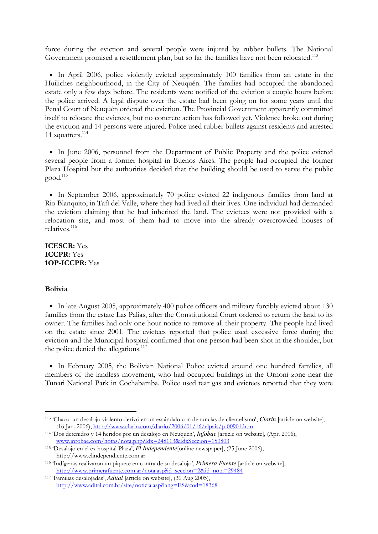force during the eviction and several people were injured by rubber bullets. The National Government promised a resettlement plan, but so far the families have not been relocated.<sup>113</sup>

• In April 2006, police violently evicted approximately 100 families from an estate in the Huiliches neighbourhood, in the City of Neuquén. The families had occupied the abandoned estate only a few days before. The residents were notified of the eviction a couple hours before the police arrived. A legal dispute over the estate had been going on for some years until the Penal Court of Neuquén ordered the eviction. The Provincial Government apparently committed itself to relocate the evictees, but no concrete action has followed yet. Violence broke out during the eviction and 14 persons were injured. Police used rubber bullets against residents and arrested 11 squatters.<sup>114</sup>

• In June 2006, personnel from the Department of Public Property and the police evicted several people from a former hospital in Buenos Aires. The people had occupied the former Plaza Hospital but the authorities decided that the building should be used to serve the public  $\boldsymbol{\mathrm{good}}.^{115}$ 

• In September 2006, approximately 70 police evicted 22 indigenous families from land at Rio Blanquito, in Tafí del Valle, where they had lived all their lives. One individual had demanded the eviction claiming that he had inherited the land. The evictees were not provided with a relocation site, and most of them had to move into the already overcrowded houses of relatives.<sup>116</sup>

ICESCR: Yes ICCPR: Yes 1OP-ICCPR: Yes

#### Bolivia

-

• In late August 2005, approximately 400 police officers and military forcibly evicted about 130 families from the estate Las Palias, after the Constitutional Court ordered to return the land to its owner. The families had only one hour notice to remove all their property. The people had lived on the estate since 2001. The evictees reported that police used excessive force during the eviction and the Municipal hospital confirmed that one person had been shot in the shoulder, but the police denied the allegations.<sup>117</sup>

• In February 2005, the Bolivian National Police evicted around one hundred families, all members of the landless movement, who had occupied buildings in the Ornoni zone near the Tunari National Park in Cochabamba. Police used tear gas and evictees reported that they were

<sup>113</sup> 'Chaco: un desalojo violento derivó en un escándalo con denuncias de clientelismo', *Clarin* [article on website], (16 Jan. 2006), http://www.clarin.com/diario/2006/01/16/elpais/p-00901.htm

<sup>114</sup> 'Dos detenidos y 14 heridos por un desalojo en Neuquén', *Infobae* [article on website], (Apr. 2006), www.infobae.com/notas/nota.php?Idx=248113&IdxSeccion=150803

<sup>115</sup> 'Desalojo en el ex hospital Plaza', *El Independente*[online newspaper], (25 June 2006), http://www.elindependiente.com.ar

<sup>116</sup> 'Indígenas realizaron un piquete en contra de su desalojo', *Primera Fuente* [article on website], http://www.primerafuente.com.ar/nota.asp?id\_seccion=2&id\_nota=29484

<sup>117</sup> 'Familias desalojadas', *Adital* [article on website], (30 Aug 2005), http://www.adital.com.br/site/noticia.asp?lang=ES&cod=18368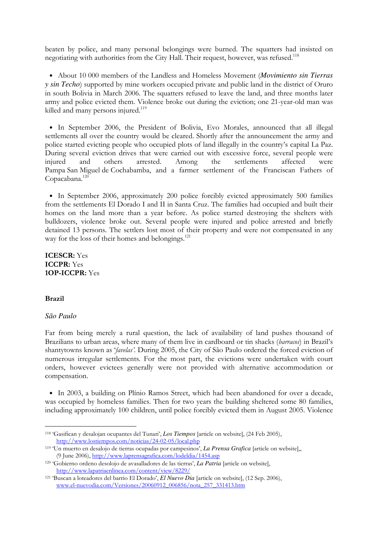beaten by police, and many personal belongings were burned. The squatters had insisted on negotiating with authorities from the City Hall. Their request, however, was refused.<sup>118</sup>

• About 10 000 members of the Landless and Homeless Movement (*Movimiento sin Tierras y sin Techo*) supported by mine workers occupied private and public land in the district of Oruro in south Bolivia in March 2006. The squatters refused to leave the land, and three months later army and police evicted them. Violence broke out during the eviction; one 21-year-old man was killed and many persons injured.<sup>119</sup>

• In September 2006, the President of Bolivia, Evo Morales, announced that all illegal settlements all over the country would be cleared. Shortly after the announcement the army and police started evicting people who occupied plots of land illegally in the country's capital La Paz. During several eviction drives that were carried out with excessive force, several people were injured and others arrested. Among the settlements affected were Pampa San Miguel de Cochabamba, and a farmer settlement of the Franciscan Fathers of Copacabana.<sup>120</sup>

• In September 2006, approximately 200 police forcibly evicted approximately 500 families from the settlements El Dorado I and II in Santa Cruz. The families had occupied and built their homes on the land more than a year before. As police started destroying the shelters with bulldozers, violence broke out. Several people were injured and police arrested and briefly detained 13 persons. The settlers lost most of their property and were not compensated in any way for the loss of their homes and belongings.<sup>121</sup>

ICESCR: Yes ICCPR: Yes 1OP-ICCPR: Yes

#### Brazil

-

#### *São Paulo*

Far from being merely a rural question, the lack of availability of land pushes thousand of Brazilians to urban areas, where many of them live in cardboard or tin shacks (barracos) in Brazil's shantytowns known as 'favelas'. During 2005, the City of São Paulo ordered the forced eviction of numerous irregular settlements. For the most part, the evictions were undertaken with court orders, however evictees generally were not provided with alternative accommodation or compensation.

• In 2003, a building on Plínio Ramos Street, which had been abandoned for over a decade, was occupied by homeless families. Then for two years the building sheltered some 80 families, including approximately 100 children, until police forcibly evicted them in August 2005. Violence

<sup>118</sup> 'Gasifican y desalojan ocupantes del Tunari', *Los Tiempos* [article on website], (24 Feb 2005), http://www.lostiempos.com/noticias/24-02-05/local.php

<sup>119</sup> 'Un muerto en desalojo de tierras ocupadas por campesinos', *La Prensa Grafica* [article on website],, (9 June 2006), http://www.laprensagrafica.com/lodeldia/1454.asp

<sup>120</sup> 'Gobierno ordeno desolojo de avasalladores de las tierras', *La Patria* [article on website], http://www.lapatriaenlinea.com/content/view/8229/

<sup>121</sup> 'Buscan a loteadores del barrio El Dorado', *El Nuevo Dia* [article on website], (12 Sep. 2006), www.el-nuevodia.com/Versiones/20060912\_006856/nota\_257\_331413.htm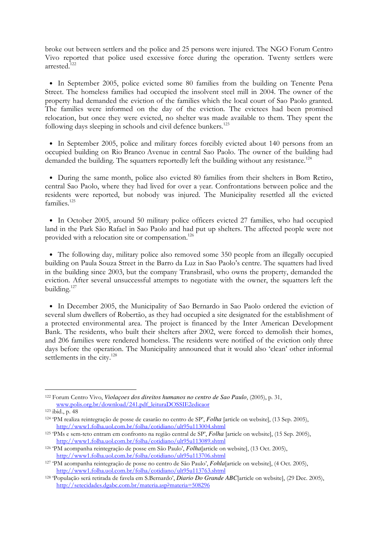broke out between settlers and the police and 25 persons were injured. The NGO Forum Centro Vivo reported that police used excessive force during the operation. Twenty settlers were arrested.<sup>122</sup>

• In September 2005, police evicted some 80 families from the building on Tenente Pena Street. The homeless families had occupied the insolvent steel mill in 2004. The owner of the property had demanded the eviction of the families which the local court of Sao Paolo granted. The families were informed on the day of the eviction. The evictees had been promised relocation, but once they were evicted, no shelter was made available to them. They spent the following days sleeping in schools and civil defence bunkers.<sup>123</sup>

• In September 2005, police and military forces forcibly evicted about 140 persons from an occupied building on Rio Branco Avenue in central Sao Paolo. The owner of the building had demanded the building. The squatters reportedly left the building without any resistance.<sup>124</sup>

• During the same month, police also evicted 80 families from their shelters in Bom Retiro, central Sao Paolo, where they had lived for over a year. Confrontations between police and the residents were reported, but nobody was injured. The Municipality resettled all the evicted families.<sup>125</sup>

• In October 2005, around 50 military police officers evicted 27 families, who had occupied land in the Park São Rafael in Sao Paolo and had put up shelters. The affected people were not provided with a relocation site or compensation.<sup>126</sup>

• The following day, military police also removed some 350 people from an illegally occupied building on Paula Souza Street in the Barro da Luz in Sao Paolo's centre. The squatters had lived in the building since 2003, but the company Transbrasil, who owns the property, demanded the eviction. After several unsuccessful attempts to negotiate with the owner, the squatters left the building.<sup>127</sup>

• In December 2005, the Municipality of Sao Bernardo in Sao Paolo ordered the eviction of several slum dwellers of Robertão, as they had occupied a site designated for the establishment of a protected environmental area. The project is financed by the Inter American Development Bank. The residents, who built their shelters after 2002, were forced to demolish their homes, and 206 families were rendered homeless. The residents were notified of the eviction only three days before the operation. The Municipality announced that it would also 'clean' other informal settlements in the city.<sup>128</sup>

<sup>-</sup><sup>122</sup> Forum Centro Vivo, *Violaçoes dos direitos humanos no centro de Sao Paulo*, (2005), p. 31, www.polis.org.br/download/241.pdf\_leituraDOSSIE2edicaor

<sup>123</sup> ibid., p. 48

<sup>124</sup> 'PM realiza reintegração de posse de casarão no centro de SP', *Folha* [article on website], (13 Sep. 2005), http://www1.folha.uol.com.br/folha/cotidiano/ult95u113004.shtml

<sup>125</sup> 'PMs e sem-teto entram em confronto na região central de SP', *Folha* [article on website], (15 Sep. 2005), http://www1.folha.uol.com.br/folha/cotidiano/ult95u113089.shtml

<sup>126</sup> 'PM acompanha reintegração de posse em São Paulo', *Folha*[article on website], (13 Oct. 2005), http://www1.folha.uol.com.br/folha/cotidiano/ult95u113706.shtml

<sup>127</sup> 'PM acompanha reintegração de posse no centro de São Paulo', *Fohla*[article on website], (4 Oct. 2005), http://www1.folha.uol.com.br/folha/cotidiano/ult95u113763.shtml

<sup>128</sup> 'População será retirada de favela em S.Bernardo', *Diario Do Grande ABC*[article on website], (29 Dec. 2005), http://setecidades.dgabc.com.br/materia.asp?materia=508296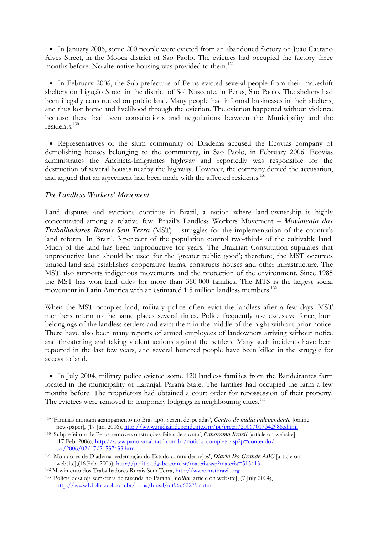• In January 2006, some 200 people were evicted from an abandoned factory on João Caetano Alves Street, in the Mooca district of Sao Paolo. The evictees had occupied the factory three months before. No alternative housing was provided to them.<sup>129</sup>

• In February 2006, the Sub-prefecture of Perus evicted several people from their makeshift shelters on Ligação Street in the district of Sol Nascente, in Perus, Sao Paolo. The shelters had been illegally constructed on public land. Many people had informal businesses in their shelters, and thus lost home and livelihood through the eviction. The eviction happened without violence because there had been consultations and negotiations between the Municipality and the residents.<sup>130</sup>

• Representatives of the slum community of Diadema accused the Ecovias company of demolishing houses belonging to the community, in Sao Paolo, in February 2006. Ecovias administrates the Anchieta-Imigrantes highway and reportedly was responsible for the destruction of several houses nearby the highway. However, the company denied the accusation, and argued that an agreement had been made with the affected residents.<sup>131</sup>

# *The Landless Workers' Movement*

-

Land disputes and evictions continue in Brazil, a nation where land-ownership is highly concentrated among a relative few. Brazil's Landless Workers Movement – *Movimento dos Trabalhadores Rurais Sem Terra* (MST) – struggles for the implementation of the country's land reform. In Brazil, 3 per cent of the population control two-thirds of the cultivable land. Much of the land has been unproductive for years. The Brazilian Constitution stipulates that unproductive land should be used for the 'greater public good'; therefore, the MST occupies unused land and establishes cooperative farms, constructs houses and other infrastructure. The MST also supports indigenous movements and the protection of the environment. Since 1985 the MST has won land titles for more than 350 000 families. The MTS is the largest social movement in Latin America with an estimated 1.5 million landless members.<sup>132</sup>

When the MST occupies land, military police often evict the landless after a few days. MST members return to the same places several times. Police frequently use excessive force, burn belongings of the landless settlers and evict them in the middle of the night without prior notice. There have also been many reports of armed employees of landowners arriving without notice and threatening and taking violent actions against the settlers. Many such incidents have been reported in the last few years, and several hundred people have been killed in the struggle for access to land.

• In July 2004, military police evicted some 120 landless families from the Bandeirantes farm located in the municipality of Laranjal, Paraná State. The families had occupied the farm a few months before. The proprietors had obtained a court order for repossession of their property. The evictees were removed to temporary lodgings in neighbouring cities.<sup>133</sup>

<sup>129</sup> 'Famílias montam acampamento no Brás após serem despejadas', *Centro de midia independente* [online newspaper], (17 Jan. 2006), http://www.midiaindependente.org/pt/green/2006/01/342986.shtml

<sup>130</sup> 'Subprefeitura de Perus remove construções feitas de sucata', *Panorama Brasil* [article on website], (17 Feb. 2006), http://www.panoramabrasil.com.br/noticia\_completa.asp?p=conteudo/ txt/2006/02/17/21537433.htm

<sup>131</sup> 'Moradores de Diadema pedem ação do Estado contra despejos', *Diario Do Grande ABC* [article on website],(16 Feb. 2006), http://politica.dgabc.com.br/materia.asp?materia=515413

<sup>132</sup> Movimento dos Trabalhadores Rurais Sem Terra, http://www.mstbrazil.org

<sup>133</sup> 'Polícia desaloja sem-terra de fazenda no Paraná', *Folha* [article on website], (7 July 2004), http://www1.folha.uol.com.br/folha/brasil/ult96u62275.shtml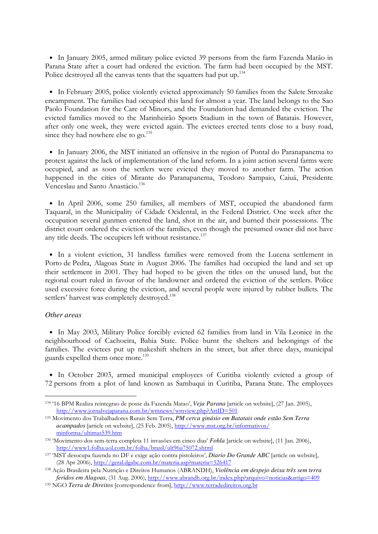• In January 2005, armed military police evicted 39 persons from the farm Fazenda Matão in Parana State after a court had ordered the eviction. The farm had been occupied by the MST. Police destroyed all the canvas tents that the squatters had put up.<sup>134</sup>

• In February 2005, police violently evicted approximately 50 families from the Salete Strozake encampment. The families had occupied this land for almost a year. The land belongs to the Sao Paolo Foundation for the Care of Minors, and the Foundation had demanded the eviction. The evicted families moved to the Marinheirão Sports Stadium in the town of Batatais. However, after only one week, they were evicted again. The evictees erected tents close to a busy road, since they had nowhere else to go.<sup>135</sup>

• In January 2006, the MST initiated an offensive in the region of Pontal do Paranapanema to protest against the lack of implementation of the land reform. In a joint action several farms were occupied, and as soon the settlers were evicted they moved to another farm. The action happened in the cities of Mirante do Paranapanema, Teodoro Sampaio, Caiuá, Presidente Venceslau and Santo Anastácio.<sup>136</sup>

• In April 2006, some 250 families, all members of MST, occupied the abandoned farm Taquaral, in the Municipality of Cidade Ocidental, in the Federal District. One week after the occupation several gunmen entered the land, shot in the air, and burned their possessions. The district court ordered the eviction of the families, even though the presumed owner did not have any title deeds. The occupiers left without resistance.<sup>137</sup>

• In a violent eviction, 31 landless families were removed from the Lucena settlement in Porto de Pedra, Alagoas State in August 2006. The families had occupied the land and set up their settlement in 2001. They had hoped to be given the titles on the unused land, but the regional court ruled in favour of the landowner and ordered the eviction of the settlers. Police used excessive force during the eviction, and several people were injured by rubber bullets. The settlers' harvest was completely destroyed.<sup>138</sup>

## *Other areas*

-

• In May 2003, Military Police forcibly evicted 62 families from land in Vila Leonice in the neighbourhood of Cachoeira, Bahia State. Police burnt the shelters and belongings of the families. The evictees put up makeshift shelters in the street, but after three days, municipal guards expelled them once more.<sup>139</sup>

• In October 2003, armed municipal employees of Curitiba violently evicted a group of 72 persons from a plot of land known as Sambaqui in Curitiba, Parana State. The employees

<sup>134</sup> '16 BPM Realiza reintegrao de posse da Fazenda Matao', *Veja Parana* [article on website], (27 Jan. 2005), http://www.jornalvejaparana.com.br/wmnews/wmview.php?ArtID=501

<sup>135</sup> Movimento dos Trabalhadores Rurais Sem Terra, *PM cerca ginásio em Batatais onde estão Sem Terra acampados* [article on website], (25 Feb. 2005), http://www.mst.org.br/informativos/ minforma/ultimas539.htm

<sup>136</sup> 'Movimento dos sem-terra completa 11 invasões em cinco dias' *Fohla* [article on website], (11 Jan. 2006), http://www1.folha.uol.com.br/folha/brasil/ult96u75072.shtml

<sup>137</sup> 'MST desocupa fazenda no DF e exige ação contra pistoleiros', *Diario Do Grande ABC* [article on website], (28 Apr 2006), http://geral.dgabc.com.br/materia.asp?materia=526417

<sup>138</sup> Ação Brasileira pela Nutrição e Direitos Humanos (ABRANDH), *Violência em despejo deixa três sem terra feridos em Alagoas*, (31 Aug. 2006), http://www.abrandh.org.br/index.php?arquivo=noticias&artigo=409

<sup>139</sup> NGO *Terra de Direitos* [correspondence from], http://www.terradedireitos.org.br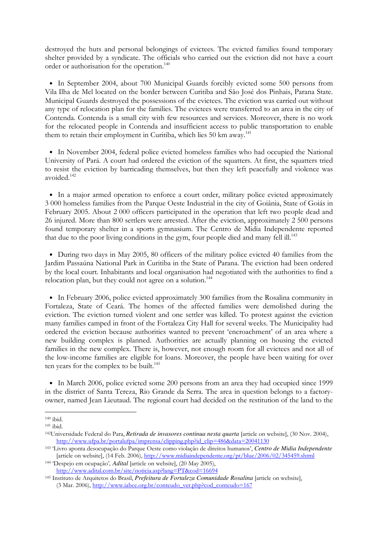destroyed the huts and personal belongings of evictees. The evicted families found temporary shelter provided by a syndicate. The officials who carried out the eviction did not have a court order or authorisation for the operation.<sup>140</sup>

• In September 2004, about 700 Municipal Guards forcibly evicted some 500 persons from Vila Ilha de Mel located on the border between Curitiba and São José dos Pinhais, Parana State. Municipal Guards destroyed the possessions of the evictees. The eviction was carried out without any type of relocation plan for the families. The evictees were transferred to an area in the city of Contenda. Contenda is a small city with few resources and services. Moreover, there is no work for the relocated people in Contenda and insufficient access to public transportation to enable them to retain their employment in Curitiba, which lies 50 km away.<sup>141</sup>

• In November 2004, federal police evicted homeless families who had occupied the National University of Pará. A court had ordered the eviction of the squatters. At first, the squatters tried to resist the eviction by barricading themselves, but then they left peacefully and violence was avoided.<sup>142</sup>

• In a major armed operation to enforce a court order, military police evicted approximately 3 000 homeless families from the Parque Oeste Industrial in the city of Goiânia, State of Goiás in February 2005. About 2 000 officers participated in the operation that left two people dead and 26 injured. More than 800 settlers were arrested. After the eviction, approximately 2 500 persons found temporary shelter in a sports gymnasium. The Centro de Midia Independente reported that due to the poor living conditions in the gym, four people died and many fell  $\rm{ill}^{143}$ 

• During two days in May 2005, 80 officers of the military police evicted 40 families from the Jardim Passaúna National Park in Curitiba in the State of Parana. The eviction had been ordered by the local court. Inhabitants and local organisation had negotiated with the authorities to find a relocation plan, but they could not agree on a solution.<sup>144</sup>

• In February 2006, police evicted approximately 300 families from the Rosalina community in Fortaleza, State of Ceará. The homes of the affected families were demolished during the eviction. The eviction turned violent and one settler was killed. To protest against the eviction many families camped in front of the Fortaleza City Hall for several weeks. The Municipality had ordered the eviction because authorities wanted to prevent 'encroachment' of an area where a new building complex is planned. Authorities are actually planning on housing the evicted families in the new complex. There is, however, not enough room for all evictees and not all of the low-income families are eligible for loans. Moreover, the people have been waiting for over ten years for the complex to be built.<sup>145</sup>

• In March 2006, police evicted some 200 persons from an area they had occupied since 1999 in the district of Santa Tereza, Rio Grande da Serra. The area in question belongs to a factoryowner, named Jean Lieutaud. The regional court had decided on the restitution of the land to the

 $140$  ibid.

<sup>141</sup> ibid.

<sup>142</sup>Universidade Federal do Para, *Retirada de invasores continua nesta quarta* [article on website], (30 Nov. 2004), http://www.ufpa.br/portalufpa/imprensa/clipping.php?id\_clip=486&data=20041130

<sup>143</sup> 'Livro aponta desocupação do Parque Oeste como violação de direitos humanos', *Centro de Midia Independente*  [article on website], (14 Feb. 2006), http://www.midiaindependente.org/pt/blue/2006/02/345459.shtml

<sup>144</sup> 'Despejo em ocupação'*, Adital* [article on website], (20 May 2005), http://www.adital.com.br/site/noticia.asp?lang=PT&cod=16694

<sup>145</sup> Instituto de Arquitetos do Brasil, *Prefeitura de Fortaleza Comunidade Rosalina* [article on website], (3 Mar. 2006), http://www.iabce.org.br/conteudo\_ver.php?cod\_conteudo=167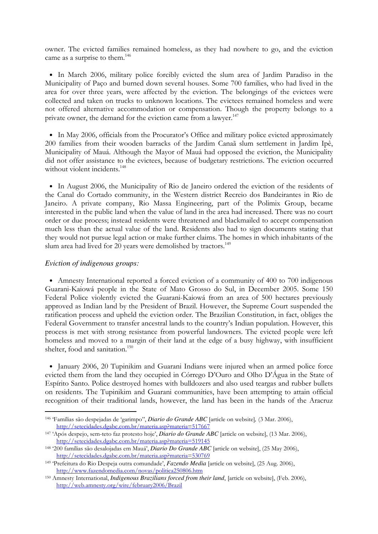owner. The evicted families remained homeless, as they had nowhere to go, and the eviction came as a surprise to them.<sup>146</sup>

• In March 2006, military police forcibly evicted the slum area of Jardim Paradiso in the Municipality of Paço and burned down several houses. Some 700 families, who had lived in the area for over three years, were affected by the eviction. The belongings of the evictees were collected and taken on trucks to unknown locations. The evictees remained homeless and were not offered alternative accommodation or compensation. Though the property belongs to a private owner, the demand for the eviction came from a lawyer.<sup>147</sup>

• In May 2006, officials from the Procurator's Office and military police evicted approximately 200 families from their wooden barracks of the Jardim Canaã slum settlement in Jardim Ipê, Municipality of Mauá. Although the Mayor of Mauá had opposed the eviction, the Municipality did not offer assistance to the evictees, because of budgetary restrictions. The eviction occurred without violent incidents.<sup>148</sup>

• In August 2006, the Municipality of Rio de Janeiro ordered the eviction of the residents of the Canal do Cortado community, in the Western district Recreio dos Bandeirantes in Rio de Janeiro. A private company, Rio Massa Engineering, part of the Polimix Group, became interested in the public land when the value of land in the area had increased. There was no court order or due process; instead residents were threatened and blackmailed to accept compensation much less than the actual value of the land. Residents also had to sign documents stating that they would not pursue legal action or make further claims. The homes in which inhabitants of the slum area had lived for 20 years were demolished by tractors.<sup>149</sup>

### *Eviction of indigenous groups:*

-

• Amnesty International reported a forced eviction of a community of 400 to 700 indigenous Guarani-Kaiowá people in the State of Mato Grosso do Sul, in December 2005. Some 150 Federal Police violently evicted the Guarani-Kaiowá from an area of 500 hectares previously approved as Indian land by the President of Brazil. However, the Supreme Court suspended the ratification process and upheld the eviction order. The Brazilian Constitution, in fact, obliges the Federal Government to transfer ancestral lands to the country's Indian population. However, this process is met with strong resistance from powerful landowners. The evicted people were left homeless and moved to a margin of their land at the edge of a busy highway, with insufficient shelter, food and sanitation.<sup>150</sup>

• January 2006, 20 Tupinikim and Guarani Indians were injured when an armed police force evicted them from the land they occupied in Córrego D'Ouro and Olho D'Água in the State of Espírito Santo. Police destroyed homes with bulldozers and also used teargas and rubber bullets on residents. The Tupinikim and Guarani communities, have been attempting to attain official recognition of their traditional lands, however, the land has been in the hands of the Aracruz

<sup>146</sup> 'Famílias são despejadas de 'garimpo'', *Diario do Grande ABC* [article on website]*,* (3 Mar. 2006), http://setecidades.dgabc.com.br/materia.asp?materia=517667

<sup>147</sup> 'Após despejo, sem-teto faz protesto hoje', *Diario do Grande ABC* [article on website], (13 Mar. 2006), http://setecidades.dgabc.com.br/materia.asp?materia=519145

<sup>148</sup> '200 famílias são desalojadas em Mauá', *Diario Do Grande ABC* [article on website], (25 May 2006), http://setecidades.dgabc.com.br/materia.asp?materia=530769

<sup>149</sup> 'Prefeitura do Rio Despeja outra comundade', *Fazendo Media* [article on website], (25 Aug. 2006), http://www.fazendomedia.com/novas/politica250806.htm

<sup>150</sup> Amnesty International, *Indigenous Brazilians forced from their land*, [article on website], (Feb. 2006), http://web.amnesty.org/wire/february2006/Brazil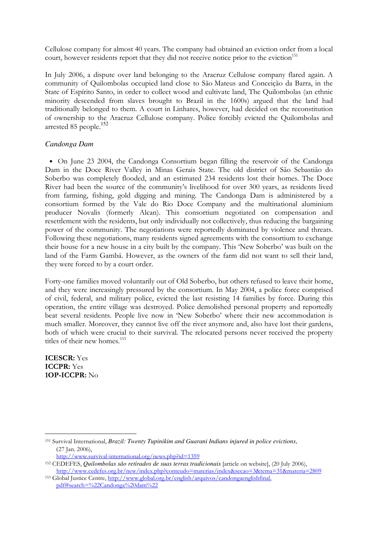Cellulose company for almost 40 years. The company had obtained an eviction order from a local court, however residents report that they did not receive notice prior to the eviction<sup>151</sup>

In July 2006, a dispute over land belonging to the Aracruz Cellulose company flared again. A community of Quilombolas occupied land close to São Mateus and Conceição da Barra, in the State of Espírito Santo, in order to collect wood and cultivate land, The Quilombolas (an ethnic minority descended from slaves brought to Brazil in the 1600s) argued that the land had traditionally belonged to them. A court in Linhares, however, had decided on the reconstitution of ownership to the Aracruz Cellulose company. Police forcibly evicted the Quilombolas and arrested 85 people.<sup>152</sup>

# *Candonga Dam*

• On June 23 2004, the Candonga Consortium began filling the reservoir of the Candonga Dam in the Doce River Valley in Minas Gerais State. The old district of São Sebastião do Soberbo was completely flooded, and an estimated 234 residents lost their homes. The Doce River had been the source of the community's livelihood for over 300 years, as residents lived from farming, fishing, gold digging and mining. The Candonga Dam is administered by a consortium formed by the Vale do Rio Doce Company and the multinational aluminium producer Novalis (formerly Alcan). This consortium negotiated on compensation and resettlement with the residents, but only individually not collectively, thus reducing the bargaining power of the community. The negotiations were reportedly dominated by violence and threats. Following these negotiations, many residents signed agreements with the consortium to exchange their house for a new house in a city built by the company. This 'New Soberbo' was built on the land of the Farm Gambá. However, as the owners of the farm did not want to sell their land, they were forced to by a court order.

Forty-one families moved voluntarily out of Old Soberbo, but others refused to leave their home, and they were increasingly pressured by the consortium. In May 2004, a police force comprised of civil, federal, and military police, evicted the last resisting 14 families by force. During this operation, the entire village was destroyed. Police demolished personal property and reportedly beat several residents. People live now in 'New Soberbo' where their new accommodation is much smaller. Moreover, they cannot live off the river anymore and, also have lost their gardens, both of which were crucial to their survival. The relocated persons never received the property titles of their new homes.<sup>153</sup>

ICESCR: Yes ICCPR: Yes 1OP-ICCPR: No

<sup>151</sup> Survival International, *Brazil: Twenty Tupinikim and Guarani Indians injured in police evictions*, (27 Jan. 2006),

http://www.survival-international.org/news.php?id=1359

<sup>152</sup> CEDEFES, *Quilombolas são retirados de suas terras tradicionais* [article on website], (20 July 2006), http://www.cedefes.org.br/new/index.php?conteudo=materias/index&secao=3&tema=31&materia=2809

<sup>153</sup> Global Justice Centre, http://www.global.org.br/english/arquivos/candongaenglishfinal. pdf#search=%22Candonga%20dam%22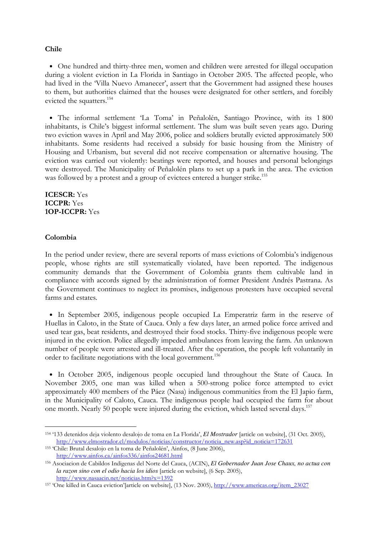#### Chile

• One hundred and thirty-three men, women and children were arrested for illegal occupation during a violent eviction in La Florida in Santiago in October 2005. The affected people, who had lived in the 'Villa Nuevo Amanecer', assert that the Government had assigned these houses to them, but authorities claimed that the houses were designated for other settlers, and forcibly evicted the squatters.<sup>154</sup>

• The informal settlement 'La Toma' in Peñalolén, Santiago Province, with its 1 800 inhabitants, is Chile's biggest informal settlement. The slum was built seven years ago. During two eviction waves in April and May 2006, police and soldiers brutally evicted approximately 500 inhabitants. Some residents had received a subsidy for basic housing from the Ministry of Housing and Urbanism, but several did not receive compensation or alternative housing. The eviction was carried out violently: beatings were reported, and houses and personal belongings were destroyed. The Municipality of Peñalolén plans to set up a park in the area. The eviction was followed by a protest and a group of evictees entered a hunger strike.<sup>155</sup>

ICESCR: Yes ICCPR: Yes 1OP-ICCPR: Yes

#### Colombia

-

In the period under review, there are several reports of mass evictions of Colombia's indigenous people, whose rights are still systematically violated, have been reported. The indigenous community demands that the Government of Colombia grants them cultivable land in compliance with accords signed by the administration of former President Andrés Pastrana. As the Government continues to neglect its promises, indigenous protesters have occupied several farms and estates.

• In September 2005, indigenous people occupied La Emperatriz farm in the reserve of Huellas in Caloto, in the State of Cauca. Only a few days later, an armed police force arrived and used tear gas, beat residents, and destroyed their food stocks. Thirty-five indigenous people were injured in the eviction. Police allegedly impeded ambulances from leaving the farm. An unknown number of people were arrested and ill-treated. After the operation, the people left voluntarily in order to facilitate negotiations with the local government. 156

• In October 2005, indigenous people occupied land throughout the State of Cauca. In November 2005, one man was killed when a 500-strong police force attempted to evict approximately 400 members of the Páez (Nasa) indigenous communities from the El Japio farm, in the Municipality of Caloto, Cauca. The indigenous people had occupied the farm for about one month. Nearly 50 people were injured during the eviction, which lasted several days.<sup>157</sup>

<sup>154</sup> '133 detenidos deja violento desalojo de toma en La Florida', *El Mostrador* [article on website], (31 Oct. 2005), http://www.elmostrador.cl/modulos/noticias/constructor/noticia\_new.asp?id\_noticia=172631

<sup>155</sup> 'Chile: Brutal desalojo en la toma de Peñalolén', Ainfos, (8 June 2006), http://www.ainfos.ca/ainfos336/ainfos24681.html

<sup>156</sup> Asociacion de Cabildos Indigenas del Norte del Cauca, (ACIN), *El Gobernador Juan Jose Chaux, no actua con la razon sino con el odio hacia los idios* [article on website], (6 Sep. 2005), http://www.nasaacin.net/noticias.htm?x=1392

<sup>157 &#</sup>x27;One killed in Cauca eviction'[article on website], (13 Nov. 2005), http://www.americas.org/item\_23027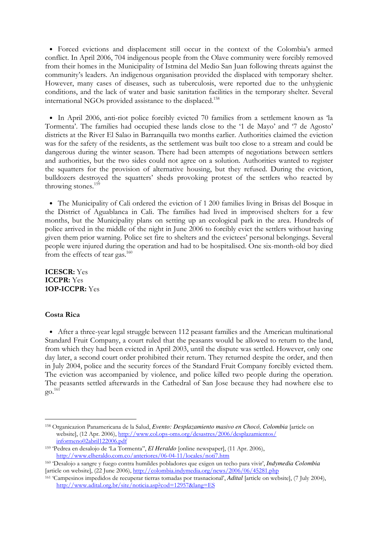• Forced evictions and displacement still occur in the context of the Colombia's armed conflict. In April 2006, 704 indigenous people from the Olave community were forcibly removed from their homes in the Municipality of Istmina del Medio San Juan following threats against the community's leaders. An indigenous organisation provided the displaced with temporary shelter. However, many cases of diseases, such as tuberculosis, were reported due to the unhygienic conditions, and the lack of water and basic sanitation facilities in the temporary shelter. Several international NGOs provided assistance to the displaced.<sup>158</sup>

• In April 2006, anti-riot police forcibly evicted 70 families from a settlement known as 'la Tormenta'. The families had occupied these lands close to the '1 de Mayo' and '7 de Agosto' districts at the River El Salao in Barranquilla two months earlier. Authorities claimed the eviction was for the safety of the residents, as the settlement was built too close to a stream and could be dangerous during the winter season. There had been attempts of negotiations between settlers and authorities, but the two sides could not agree on a solution. Authorities wanted to register the squatters for the provision of alternative housing, but they refused. During the eviction, bulldozers destroyed the squatters' sheds provoking protest of the settlers who reacted by throwing stones.<sup>159</sup>

• The Municipality of Cali ordered the eviction of 1 200 families living in Brisas del Bosque in the District of Aguablanca in Cali. The families had lived in improvised shelters for a few months, but the Municipality plans on setting up an ecological park in the area. Hundreds of police arrived in the middle of the night in June 2006 to forcibly evict the settlers without having given them prior warning. Police set fire to shelters and the evictees' personal belongings. Several people were injured during the operation and had to be hospitalised. One six-month-old boy died from the effects of tear gas.<sup>160</sup>

ICESCR: Yes ICCPR: Yes 1OP-ICCPR: Yes

#### Costa Rica

-

• After a three-year legal struggle between 112 peasant families and the American multinational Standard Fruit Company, a court ruled that the peasants would be allowed to return to the land, from which they had been evicted in April 2003, until the dispute was settled. However, only one day later, a second court order prohibited their return. They returned despite the order, and then in July 2004, police and the security forces of the Standard Fruit Company forcibly evicted them. The eviction was accompanied by violence, and police killed two people during the operation. The peasants settled afterwards in the Cathedral of San Jose because they had nowhere else to go. 161

<sup>158</sup> Organicazion Panamericana de la Salud, *Evento: Desplazamiento masivo en Chocó, Colombia* [article on website], (12 Apr. 2006), http://www.col.ops-oms.org/desastres/2006/desplazamientos/ informeno02abril122006.pdf

<sup>159</sup> 'Pedrea en desalojo de 'La Tormenta'', *El Heraldo* [online newspaper], (11 Apr. 2006), http://www.elheraldo.com.co/anteriores/06-04-11/locales/noti7.htm

<sup>160</sup> 'Desalojo a sangre y fuego contra humildes pobladores que exigen un techo para vivir', *Indymedia Colombia*  [article on website], (22 June 2006), http://colombia.indymedia.org/news/2006/06/45281.php

<sup>161</sup> 'Campesinos impedidos de recuperar tierras tomadas por trasnacional', *Adital* [article on website], (7 July 2004), http://www.adital.org.br/site/noticia.asp?cod=12957&lang=ES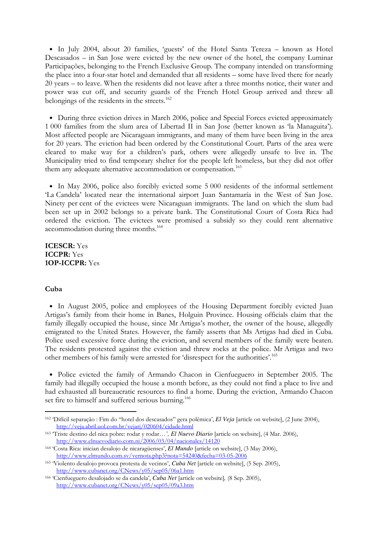• In July 2004, about 20 families, 'guests' of the Hotel Santa Tereza – known as Hotel Descasados – in San Jose were evicted by the new owner of the hotel, the company Luminar Participações, belonging to the French Exclusive Group. The company intended on transforming the place into a four-star hotel and demanded that all residents – some have lived there for nearly 20 years – to leave. When the residents did not leave after a three months notice, their water and power was cut off, and security guards of the French Hotel Group arrived and threw all belongings of the residents in the streets.<sup>162</sup>

• During three eviction drives in March 2006, police and Special Forces evicted approximately 1 000 families from the slum area of Libertad II in San Jose (better known as 'la Managuita'). Most affected people are Nicaraguan immigrants, and many of them have been living in the area for 20 years. The eviction had been ordered by the Constitutional Court. Parts of the area were cleared to make way for a children's park, others were allegedly unsafe to live in. The Municipality tried to find temporary shelter for the people left homeless, but they did not offer them any adequate alternative accommodation or compensation.<sup>163</sup>

• In May 2006, police also forcibly evicted some 5 000 residents of the informal settlement 'La Candela' located near the international airport Juan Santamaría in the West of San Jose. Ninety per cent of the evictees were Nicaraguan immigrants. The land on which the slum had been set up in 2002 belongs to a private bank. The Constitutional Court of Costa Rica had ordered the eviction. The evictees were promised a subsidy so they could rent alternative accommodation during three months.<sup>164</sup>

ICESCR: Yes ICCPR: Yes 1OP-ICCPR: Yes

# Cuba

-

• In August 2005, police and employees of the Housing Department forcibly evicted Juan Artigas's family from their home in Banes, Holguin Province. Housing officials claim that the family illegally occupied the house, since Mr Artigas's mother, the owner of the house, allegedly emigrated to the United States. However, the family asserts that Ms Artigas had died in Cuba. Police used excessive force during the eviction, and several members of the family were beaten. The residents protested against the eviction and threw rocks at the police. Mr Artigas and two other members of his family were arrested for 'disrespect for the authorities'.<sup>165</sup>

• Police evicted the family of Armando Chacon in Cienfueguero in September 2005. The family had illegally occupied the house a month before, as they could not find a place to live and had exhausted all bureaucratic resources to find a home. During the eviction, Armando Chacon set fire to himself and suffered serious burning.<sup>166</sup>

<sup>162</sup> 'Difícil separação : Fim do "hotel dos descasados" gera polêmica', *El Veja* [article on website], (2 June 2004), http://veja.abril.uol.com.br/vejarj/020604/cidade.html

<sup>163</sup> 'Triste destino del nica pobre: rodar y rodar…*', El Nuevo Diario* [article on website], (4 Mar. 2006), http://www.elnuevodiario.com.ni/2006/03/04/nacionales/14120

<sup>164</sup> 'Costa Rica: inician desalojo de nicaragüenses', *El Mundo* [article on website], (3 May 2006), http://www.elmundo.com.sv/vernota.php3?nota=54240&fecha=03-05-2006

<sup>165</sup> 'Violento desalojo provoca protesta de vecinos', *Cuba Net* [article on website], (5 Sep. 2005), http://www.cubanet.org/CNews/y05/sep05/06a1.htm

<sup>166</sup> 'Cienfueguero desalojado se da candela', *Cuba Net* [article on website]*,* (8 Sep. 2005), http://www.cubanet.org/CNews/y05/sep05/09a3.htm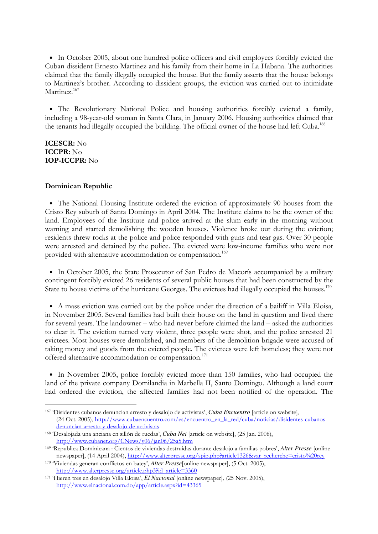• In October 2005, about one hundred police officers and civil employees forcibly evicted the Cuban dissident Ernesto Martinez and his family from their home in La Habana. The authorities claimed that the family illegally occupied the house. But the family asserts that the house belongs to Martinez's brother. According to dissident groups, the eviction was carried out to intimidate Martinez.<sup>167</sup>

• The Revolutionary National Police and housing authorities forcibly evicted a family, including a 98-year-old woman in Santa Clara, in January 2006. Housing authorities claimed that the tenants had illegally occupied the building. The official owner of the house had left Cuba.<sup>168</sup>

# ICESCR: No ICCPR: No 1OP-ICCPR: No

-

#### Dominican Republic

• The National Housing Institute ordered the eviction of approximately 90 houses from the Cristo Rey suburb of Santa Domingo in April 2004. The Institute claims to be the owner of the land. Employees of the Institute and police arrived at the slum early in the morning without warning and started demolishing the wooden houses. Violence broke out during the eviction; residents threw rocks at the police and police responded with guns and tear gas. Over 30 people were arrested and detained by the police. The evicted were low-income families who were not provided with alternative accommodation or compensation.<sup>169</sup>

• In October 2005, the State Prosecutor of San Pedro de Macorís accompanied by a military contingent forcibly evicted 26 residents of several public houses that had been constructed by the State to house victims of the hurricane Georges. The evictees had illegally occupied the houses.<sup>170</sup>

• A mass eviction was carried out by the police under the direction of a bailiff in Villa Eloisa, in November 2005. Several families had built their house on the land in question and lived there for several years. The landowner – who had never before claimed the land – asked the authorities to clear it. The eviction turned very violent, three people were shot, and the police arrested 21 evictees. Most houses were demolished, and members of the demolition brigade were accused of taking money and goods from the evicted people. The evictees were left homeless; they were not offered alternative accommodation or compensation.<sup>171</sup>

• In November 2005, police forcibly evicted more than 150 families, who had occupied the land of the private company Domilandia in Marbella II, Santo Domingo. Although a land court had ordered the eviction, the affected families had not been notified of the operation. The

<sup>167</sup> 'Disidentes cubanos denuncian arresto y desalojo de activistas', *Cuba Encuentro* [article on website], (24 Oct. 2005), http://www.cubaencuentro.com/es/encuentro\_en\_la\_red/cuba/noticias/disidentes-cubanosdenuncian-arresto-y-desalojo-de-activistas

<sup>168</sup> 'Desalojada una anciana en sillón de ruedas', *Cuba Net* [article on website], (25 Jan. 2006), http://www.cubanet.org/CNews/y06/jan06/25a5.htm

<sup>169</sup> 'Republica Dominicana : Cientos de viviendas destruidas durante desalojo a familias pobres', *Alter Presse* [online newspaper], (14 April 2004), http://www.alterpresse.org/spip.php?article1326&var\_recherche=cristo%20rey

<sup>170</sup> 'Viviendas generan conflictos en batey', *Alter Presse*[online newspaper], (5 Oct. 2005), http://www.alterpresse.org/article.php3?id\_article=3360

<sup>171</sup> 'Hieren tres en desalojo Villa Eloisa', *El Nacional* [online newspaper]*,* (25 Nov. 2005), http://www.elnacional.com.do/app/article.aspx?id=43365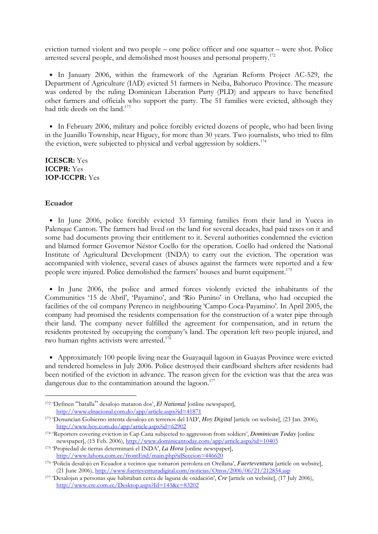eviction turned violent and two people – one police officer and one squatter – were shot. Police arrested several people, and demolished most houses and personal property.<sup>172</sup>

• In January 2006, within the framework of the Agrarian Reform Project AC-529, the Department of Agriculture (IAD) evicted 51 farmers in Neiba, Bahoruco Province. The measure was ordered by the ruling Dominican Liberation Party (PLD) and appears to have benefited other farmers and officials who support the party. The 51 families were evicted, although they had title deeds on the land.<sup>173</sup>

• In February 2006, military and police forcibly evicted dozens of people, who had been living in the Juanillo Township, near Higuey, for more than 30 years. Two journalists, who tried to film the eviction, were subjected to physical and verbal aggression by soldiers.<sup>174</sup>

ICESCR: Yes ICCPR: Yes 1OP-ICCPR: Yes

#### Ecuador

-

• In June 2006, police forcibly evicted 33 farming families from their land in Yucca in Palenque Canton. The farmers had lived on the land for several decades, had paid taxes on it and some had documents proving their entitlement to it. Several authorities condemned the eviction and blamed former Governor Néstor Coello for the operation. Coello had ordered the National Institute of Agricultural Development (INDA) to carry out the eviction. The operation was accompanied with violence, several cases of abuses against the farmers were reported and a few people were injured. Police demolished the farmers' houses and burnt equipment.<sup>175</sup>

• In June 2006, the police and armed forces violently evicted the inhabitants of the Communities '15 de Abril', 'Payamino', and 'Río Punino' in Orellana, who had occupied the facilities of the oil company Perenco in neighbouring 'Campo Coca-Payamino'. In April 2005, the company had promised the residents compensation for the construction of a water pipe through their land. The company never fulfilled the agreement for compensation, and in return the residents protested by occupying the company's land. The operation left two people injured, and two human rights activists were arrested.<sup>176</sup>

• Approximately 100 people living near the Guayaquil lagoon in Guayas Province were evicted and rendered homeless in July 2006. Police destroyed their cardboard shelters after residents had been notified of the eviction in advance. The reason given for the eviction was that the area was dangerous due to the contamination around the lagoon.<sup>177</sup>

<sup>172</sup> 'Definen "batalla" desalojo mataron dos', *El National* [online newspaper], http://www.elnacional.com.do/app/article.aspx?id=41871

<sup>173</sup> 'Denuncian Gobierno intenta desalojo en terrenos del IAD', *Hoy Digital* [article on website], (23 Jan. 2006), http://www.hoy.com.do/app/article.aspx?id=62902

<sup>174</sup> 'Reporters covering eviction in Cap Cana subjected to aggression from soldiers', *Dominican Today* [online newspaper], (15 Feb. 2006), http://www.dominicantoday.com/app/article.aspx?id=10403

<sup>175</sup> 'Propiedad de tierras determinará el INDA', *La Hora* [online newspaper], http://www.lahora.com.ec/frontEnd/main.php?idSeccion=446620

<sup>176</sup> 'Policía desalojó en Ecuador a vecinos que tomaron petrolera en Orellana', *Fuerteventura* [article on website], (21 June 2006), http://www.fuerteventuradigital.com/noticias/Otros/2006/06/21/212854.asp

<sup>177</sup> 'Desalojan a personas que habitaban cerca de laguna de oxidación', *Cre* [article on website], (17 July 2006), http://www.cre.com.ec/Desktop.aspx?Id=143&e=83202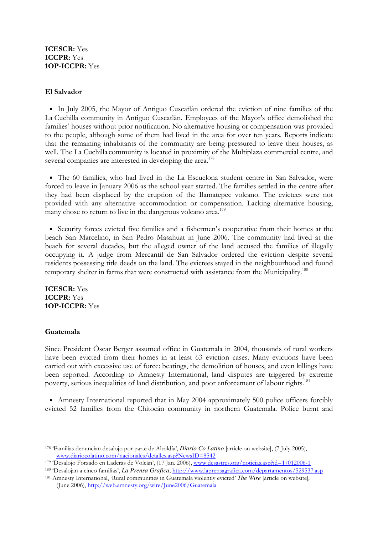# ICESCR: Yes ICCPR: Yes 1OP-ICCPR: Yes

## El Salvador

• In July 2005, the Mayor of Antiguo Cuscatlàn ordered the eviction of nine families of the La Cuchilla community in Antiguo Cuscatlàn. Employees of the Mayor's office demolished the families' houses without prior notification. No alternative housing or compensation was provided to the people, although some of them had lived in the area for over ten years. Reports indicate that the remaining inhabitants of the community are being pressured to leave their houses, as well. The La Cuchilla community is located in proximity of the Multiplaza commercial centre, and several companies are interested in developing the area.<sup>178</sup>

• The 60 families, who had lived in the La Escuelona student centre in San Salvador, were forced to leave in January 2006 as the school year started. The families settled in the centre after they had been displaced by the eruption of the Ilamatepec volcano. The evictees were not provided with any alternative accommodation or compensation. Lacking alternative housing, many chose to return to live in the dangerous volcano area.<sup>179</sup>

• Security forces evicted five families and a fishermen's cooperative from their homes at the beach San Marcelino, in San Pedro Masahuat in June 2006. The community had lived at the beach for several decades, but the alleged owner of the land accused the families of illegally occupying it. A judge from Mercantil de San Salvador ordered the eviction despite several residents possessing title deeds on the land. The evictees stayed in the neighbourhood and found temporary shelter in farms that were constructed with assistance from the Municipality.<sup>180</sup>

## ICESCR: Yes ICCPR: Yes 1OP-ICCPR: Yes

#### Guatemala

-

Since President Óscar Berger assumed office in Guatemala in 2004, thousands of rural workers have been evicted from their homes in at least 63 eviction cases. Many evictions have been carried out with excessive use of force: beatings, the demolition of houses, and even killings have been reported. According to Amnesty International, land disputes are triggered by extreme poverty, serious inequalities of land distribution, and poor enforcement of labour rights.<sup>181</sup>

• Amnesty International reported that in May 2004 approximately 500 police officers forcibly evicted 52 families from the Chitocán community in northern Guatemala. Police burnt and

<sup>178</sup> 'Familias denuncian desalojo por parte de Alcaldía', *Diario Co Latino* [article on website], (7 July 2005), www.diariocolatino.com/nacionales/detalles.asp?NewsID=8542

<sup>179 &#</sup>x27;Desalojo Forzado en Laderas de Volcán', (17 Jan. 2006), www.desastres.org/noticias.asp?id=17012006-1

<sup>180</sup> 'Desalojan a cinco familias', *La Prensa Grafica*, http://www.laprensagrafica.com/departamentos/529537.asp

<sup>181</sup> Amnesty International, 'Rural communities in Guatemala violently evicted' *The Wire* [article on website]*,* (June 2006), http://web.amnesty.org/wire/June2006/Guatemala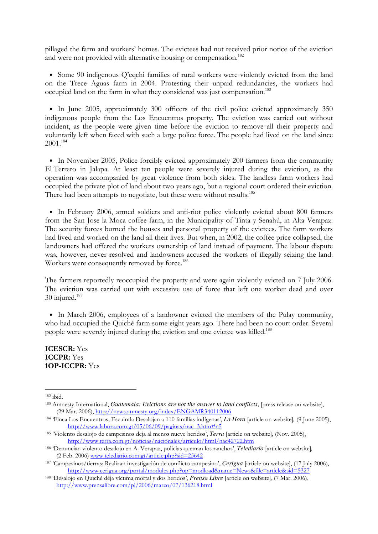pillaged the farm and workers' homes. The evictees had not received prior notice of the eviction and were not provided with alternative housing or compensation.<sup>182</sup>

• Some 90 indigenous O'eqchi families of rural workers were violently evicted from the land on the Trece Aguas farm in 2004. Protesting their unpaid redundancies, the workers had occupied land on the farm in what they considered was just compensation.<sup>183</sup>

• In June 2005, approximately 300 officers of the civil police evicted approximately 350 indigenous people from the Los Encuentros property. The eviction was carried out without incident, as the people were given time before the eviction to remove all their property and voluntarily left when faced with such a large police force. The people had lived on the land since 2001.<sup>184</sup>

• In November 2005, Police forcibly evicted approximately 200 farmers from the community El Terrero in Jalapa. At least ten people were severely injured during the eviction, as the operation was accompanied by great violence from both sides. The landless farm workers had occupied the private plot of land about two years ago, but a regional court ordered their eviction. There had been attempts to negotiate, but these were without results.<sup>185</sup>

• In February 2006, armed soldiers and anti-riot police violently evicted about 800 farmers from the San Jose la Moca coffee farm, in the Municipality of Tinta y Senahú, in Alta Verapaz. The security forces burned the houses and personal property of the evictees. The farm workers had lived and worked on the land all their lives. But when, in 2002, the coffee price collapsed, the landowners had offered the workers ownership of land instead of payment. The labour dispute was, however, never resolved and landowners accused the workers of illegally seizing the land. Workers were consequently removed by force.<sup>186</sup>

The farmers reportedly reoccupied the property and were again violently evicted on 7 July 2006. The eviction was carried out with excessive use of force that left one worker dead and over  $30$  injured.<sup>187</sup>

• In March 2006, employees of a landowner evicted the members of the Pulay community, who had occupied the Quiché farm some eight years ago. There had been no court order. Several people were severely injured during the eviction and one evictee was killed.<sup>188</sup>

ICESCR: Yes ICCPR: Yes 1OP-ICCPR: Yes

<sup>182</sup> ibid.

<sup>183</sup> Amnesty International, *Guatemala: Evictions are not the answer to land conflicts*, [press release on website], (29 Mar. 2006), http://news.amnesty.org/index/ENGAMR340112006

<sup>184</sup> 'Finca Los Encuentros, Escuintla Desalojan a 110 familias indígenas', *La Hora* [article on website]*,* (9 June 2005), http://www.lahora.com.gt/05/06/09/paginas/nac\_3.htm#n5

<sup>185</sup> 'Violento desalojo de campesinos deja al menos nueve heridos', *Terra* [article on website], (Nov. 2005), http://www.terra.com.gt/noticias/nacionales/articulo/html/nac42722.htm

<sup>186</sup> 'Denuncian violento desalojo en A. Verapaz, policias queman los ranchos', *Telediario* [article on website]*,* (2 Feb. 2006) www.telediario.com.gt/article.php?sid=25642

<sup>187</sup> 'Campesinos/tierras: Realizan investigación de conflicto campesino', *Cerigua* [article on website], (17 July 2006), http://www.cerigua.org/portal/modules.php?op=modload&name=News&file=article&sid=5327

<sup>188</sup> 'Desalojo en Quiché deja víctima mortal y dos heridos', *Prensa Libre* [article on website], (7 Mar. 2006), http://www.prensalibre.com/pl/2006/marzo/07/136218.html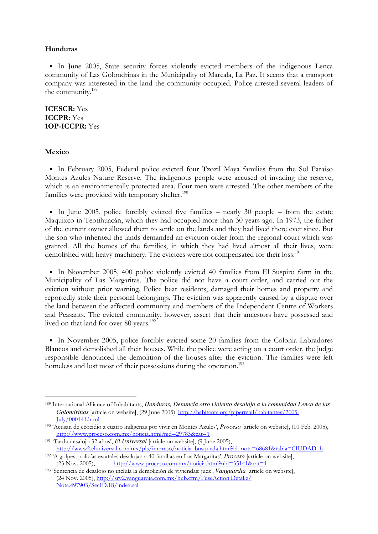#### Honduras

• In June 2005, State security forces violently evicted members of the indigenous Lenca community of Las Golondrinas in the Municipality of Marcala, La Paz. It seems that a transport company was interested in the land the community occupied. Police arrested several leaders of the community.<sup>189</sup>

ICESCR: Yes ICCPR: Yes 1OP-ICCPR: Yes

## Mexico

-

• In February 2005, Federal police evicted four Tzozil Maya families from the Sol Paraiso Montes Azules Nature Reserve. The indigenous people were accused of invading the reserve, which is an environmentally protected area. Four men were arrested. The other members of the families were provided with temporary shelter. $190$ 

• In June 2005, police forcibly evicted five families – nearly 30 people – from the estate Maquixco in Teotihuacán, which they had occupied more than 30 years ago. In 1973, the father of the current owner allowed them to settle on the lands and they had lived there ever since. But the son who inherited the lands demanded an eviction order from the regional court which was granted. All the homes of the families, in which they had lived almost all their lives, were demolished with heavy machinery. The evictees were not compensated for their loss.<sup>191</sup>

• In November 2005, 400 police violently evicted 40 families from El Suspiro farm in the Municipality of Las Margaritas. The police did not have a court order, and carried out the eviction without prior warning. Police beat residents, damaged their homes and property and reportedly stole their personal belongings. The eviction was apparently caused by a dispute over the land between the affected community and members of the Independent Centre of Workers and Peasants. The evicted community, however, assert that their ancestors have possessed and lived on that land for over 80 years.<sup>192</sup>

• In November 2005, police forcibly evicted some 20 families from the Colonia Labradores Blancos and demolished all their houses. While the police were acting on a court order, the judge responsible denounced the demolition of the houses after the eviction. The families were left homeless and lost most of their possessions during the operation.<sup>193</sup>

<sup>189</sup> International Alliance of Inhabitants, *Honduras, Denuncia otro violento desalojo a la comunidad Lenca de las Golondrinas* [article on website], (29 June 2005), http://habitants.org/pipermail/habitantes/2005- July/000141.html

<sup>190</sup> 'Acusan de ecocidio a cuatro indígenas por vivir en Montes Azules', *Proceso* [article on website], (10 Feb. 2005), http://www.proceso.com.mx/noticia.html?nid=29783&cat=1

<sup>191</sup> 'Tarda desalojo 32 años', *El Universal* [article on website], (9 June 2005), http://www2.eluniversal.com.mx/pls/impreso/noticia\_busqueda.html?id\_nota=68681&tabla=CIUDAD\_h

<sup>192</sup> 'A golpes, policías estatales desalojan a 40 familias en Las Margaritas', *Proceso* [article on website],  $(23 Nov. 2005),$  http://www.proceso.com.mx/noticia.html?nid=35141&cat=1

<sup>193</sup> 'Sentencia de desalojo no incluía la demolición de viviendas: juez', *Vanguardia* [article on website], (24 Nov. 2005), http://srv2.vanguardia.com.mx/hub.cfm/FuseAction.Detalle/ Nota.497903/SecID.18/index.sal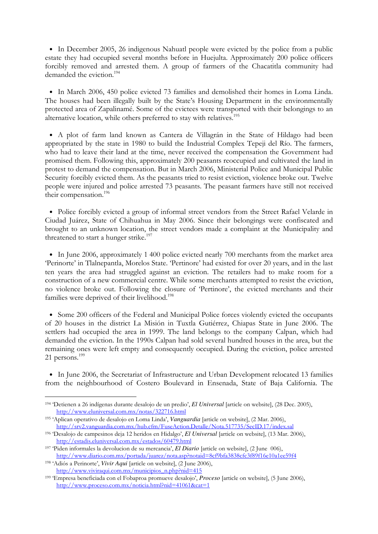• In December 2005, 26 indigenous Nahuatl people were evicted by the police from a public estate they had occupied several months before in Huejulta. Approximately 200 police officers forcibly removed and arrested them. A group of farmers of the Chacatitla community had demanded the eviction.<sup>194</sup>

• In March 2006, 450 police evicted 73 families and demolished their homes in Loma Linda. The houses had been illegally built by the State's Housing Department in the environmentally protected area of Zapalinamé. Some of the evictees were transported with their belongings to an alternative location, while others preferred to stay with relatives.<sup>195</sup>

• A plot of farm land known as Cantera de Villagrán in the State of Hildago had been appropriated by the state in 1980 to build the Industrial Complex Tepeji del Río. The farmers, who had to leave their land at the time, never received the compensation the Government had promised them. Following this, approximately 200 peasants reoccupied and cultivated the land in protest to demand the compensation. But in March 2006, Ministerial Police and Municipal Public Security forcibly evicted them. As the peasants tried to resist eviction, violence broke out. Twelve people were injured and police arrested 73 peasants. The peasant farmers have still not received their compensation.<sup>196</sup>

• Police forcibly evicted a group of informal street vendors from the Street Rafael Velarde in Ciudad Juárez, State of Chihuahua in May 2006. Since their belongings were confiscated and brought to an unknown location, the street vendors made a complaint at the Municipality and threatened to start a hunger strike.<sup>197</sup>

• In June 2006, approximately 1 400 police evicted nearly 700 merchants from the market area 'Perinorte' in Tlalnepantla, Morelos State. 'Pertinore' had existed for over 20 years, and in the last ten years the area had struggled against an eviction. The retailers had to make room for a construction of a new commercial centre. While some merchants attempted to resist the eviction, no violence broke out. Following the closure of 'Pertinore', the evicted merchants and their families were deprived of their livelihood.<sup>198</sup>

• Some 200 officers of the Federal and Municipal Police forces violently evicted the occupants of 20 houses in the district La Misión in Tuxtla Gutiérrez, Chiapas State in June 2006. The settlers had occupied the area in 1999. The land belongs to the company Calpan, which had demanded the eviction. In the 1990s Calpan had sold several hundred houses in the area, but the remaining ones were left empty and consequently occupied. During the eviction, police arrested 21 persons.<sup>199</sup>

• In June 2006, the Secretariat of Infrastructure and Urban Development relocated 13 families from the neighbourhood of Costero Boulevard in Ensenada, State of Baja California. The

<sup>194</sup> 'Detienen a 26 indígenas durante desalojo de un predio', *El Universal* [article on website], (28 Dec. 2005), http://www.eluniversal.com.mx/notas/322716.html

<sup>195</sup> 'Aplican operativo de desalojo en Loma Linda', *Vanguardia* [article on website], (2 Mar. 2006), http://srv2.vanguardia.com.mx/hub.cfm/FuseAction.Detalle/Nota.517735/SecID.17/index.sal

<sup>196</sup> 'Desalojo de campesinos deja 12 heridos en Hidalgo', *El Universal* [article on website], (13 Mar. 2006), http://estadis.eluniversal.com.mx/estados/60479.html

<sup>197</sup> 'Piden informales la devolucion de su mercancia', *El Diario* [article on website], (2 June 006), http://www.diario.com.mx/portada/juarez/nota.asp?notaid=8cf9bfa3838cfc3f89f16e10a1ee59f4

<sup>198</sup> 'Adiós a Perinorte', *Vivir Aqui* [article on website], (2 June 2006), http://www.viviraqui.com.mx/municipios\_n.php?nid=415

<sup>199</sup> 'Empresa beneficiada con el Fobaproa promueve desalojo', *Proceso* [article on website], (5 June 2006), http://www.proceso.com.mx/noticia.html?nid=41061&cat=1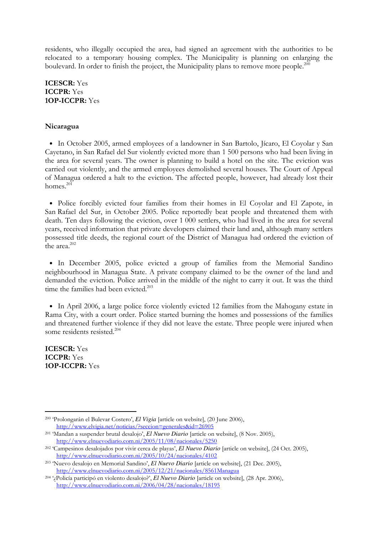residents, who illegally occupied the area, had signed an agreement with the authorities to be relocated to a temporary housing complex. The Municipality is planning on enlarging the boulevard. In order to finish the project, the Municipality plans to remove more people.<sup>200</sup>

ICESCR: Yes ICCPR: Yes 1OP-ICCPR: Yes

#### Nicaragua

• In October 2005, armed employees of a landowner in San Bartolo, Jícaro, El Coyolar y San Cayetano, in San Rafael del Sur violently evicted more than 1 500 persons who had been living in the area for several years. The owner is planning to build a hotel on the site. The eviction was carried out violently, and the armed employees demolished several houses. The Court of Appeal of Managua ordered a halt to the eviction. The affected people, however, had already lost their homes. $^{201}$ 

• Police forcibly evicted four families from their homes in El Coyolar and El Zapote, in San Rafael del Sur, in October 2005. Police reportedly beat people and threatened them with death. Ten days following the eviction, over 1 000 settlers, who had lived in the area for several years, received information that private developers claimed their land and, although many settlers possessed title deeds, the regional court of the District of Managua had ordered the eviction of the area. $202$ 

• In December 2005, police evicted a group of families from the Memorial Sandino neighbourhood in Managua State. A private company claimed to be the owner of the land and demanded the eviction. Police arrived in the middle of the night to carry it out. It was the third time the families had been evicted.<sup>203</sup>

• In April 2006, a large police force violently evicted 12 families from the Mahogany estate in Rama City, with a court order. Police started burning the homes and possessions of the families and threatened further violence if they did not leave the estate. Three people were injured when some residents resisted.<sup>204</sup>

ICESCR: Yes ICCPR: Yes 1OP-ICCPR: Yes

<sup>200</sup> 'Prolongarán el Bulevar Costero', *El Vigia* [article on website], (20 June 2006), http://www.elvigia.net/noticias/?seccion=generales&id=26905

<sup>201</sup> 'Mandan a suspender brutal desalojo', *El Nuevo Diario* [article on website], (8 Nov. 2005), http://www.elnuevodiario.com.ni/2005/11/08/nacionales/5250

<sup>202</sup> 'Campesinos desalojados por vivir cerca de playas', *El Nuevo Diario* [article on website], (24 Oct. 2005), http://www.elnuevodiario.com.ni/2005/10/24/nacionales/4102

<sup>203</sup> 'Nuevo desalojo en Memorial Sandino', *El Nuevo Diario* [article on website], (21 Dec. 2005), http://www.elnuevodiario.com.ni/2005/12/21/nacionales/8561Managua

<sup>204</sup> '¿Policía participó en violento desalojo?', *El Nuevo Diario* [article on website], (28 Apr. 2006), http://www.elnuevodiario.com.ni/2006/04/28/nacionales/18195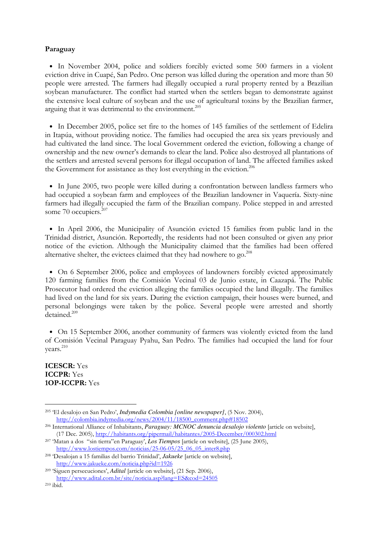#### Paraguay

• In November 2004, police and soldiers forcibly evicted some 500 farmers in a violent eviction drive in Cuapé, San Pedro. One person was killed during the operation and more than 50 people were arrested. The farmers had illegally occupied a rural property rented by a Brazilian soybean manufacturer. The conflict had started when the settlers began to demonstrate against the extensive local culture of soybean and the use of agricultural toxins by the Brazilian farmer, arguing that it was detrimental to the environment.<sup>205</sup>

• In December 2005, police set fire to the homes of 145 families of the settlement of Edelira in Itapúa, without providing notice. The families had occupied the area six years previously and had cultivated the land since. The local Government ordered the eviction, following a change of ownership and the new owner's demands to clear the land. Police also destroyed all plantations of the settlers and arrested several persons for illegal occupation of land. The affected families asked the Government for assistance as they lost everything in the eviction.<sup>206</sup>

• In June 2005, two people were killed during a confrontation between landless farmers who had occupied a soybean farm and employees of the Brazilian landowner in Vaquería. Sixty-nine farmers had illegally occupied the farm of the Brazilian company. Police stepped in and arrested some 70 occupiers.<sup>207</sup>

• In April 2006, the Municipality of Asunción evicted 15 families from public land in the Trinidad district, Asunción. Reportedly, the residents had not been consulted or given any prior notice of the eviction. Although the Municipality claimed that the families had been offered alternative shelter, the evictees claimed that they had nowhere to go.<sup>208</sup>

• On 6 September 2006, police and employees of landowners forcibly evicted approximately 120 farming families from the Comisión Vecinal 03 de Junio estate, in Caazapá. The Public Prosecutor had ordered the eviction alleging the families occupied the land illegally. The families had lived on the land for six years. During the eviction campaign, their houses were burned, and personal belongings were taken by the police. Several people were arrested and shortly detained.<sup>209</sup>

• On 15 September 2006, another community of farmers was violently evicted from the land of Comisión Vecinal Paraguay Pyahu, San Pedro. The families had occupied the land for four years.<sup>210</sup>

ICESCR: Yes ICCPR: Yes 1OP-ICCPR: Yes

<sup>205</sup> 'El desalojo en San Pedro', *Indymedia Colombia [online newspaper]*, (5 Nov. 2004), http://colombia.indymedia.org/news/2004/11/18500\_comment.php#18502

<sup>206</sup> International Alliance of Inhabitants, *Paraguay: MCNOC denuncia desalojo violento* [article on website], (17 Dec. 2005), http://habitants.org/pipermail/habitantes/2005-December/000302.html

<sup>207</sup> 'Matan a dos "sin tierra"en Paraguay', *Los Tiempos* [article on website], (25 June 2005), http://www.lostiempos.com/noticias/25-06-05/25\_06\_05\_inter8.php

<sup>208</sup> 'Desalojan a 15 familias del barrio Trinidad', *Jakueke* [article on website], http://www.jakueke.com/noticia.php?id=1926

<sup>209</sup> 'Siguen persecuciones', *Adital* [article on website], (21 Sep. 2006), http://www.adital.com.br/site/noticia.asp?lang=ES&cod=24505

<sup>210</sup> ibid.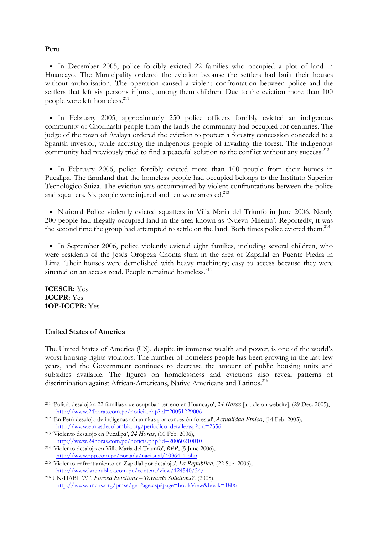## Peru

• In December 2005, police forcibly evicted 22 families who occupied a plot of land in Huancayo. The Municipality ordered the eviction because the settlers had built their houses without authorisation. The operation caused a violent confrontation between police and the settlers that left six persons injured, among them children. Due to the eviction more than 100 people were left homeless.<sup>211</sup>

• In February 2005, approximately 250 police officers forcibly evicted an indigenous community of Chorinashi people from the lands the community had occupied for centuries. The judge of the town of Atalaya ordered the eviction to protect a forestry concession conceded to a Spanish investor, while accusing the indigenous people of invading the forest. The indigenous community had previously tried to find a peaceful solution to the conflict without any success.<sup>212</sup>

• In February 2006, police forcibly evicted more than 100 people from their homes in Pucallpa. The farmland that the homeless people had occupied belongs to the Instituto Superior Tecnológico Suiza. The eviction was accompanied by violent confrontations between the police and squatters. Six people were injured and ten were arrested.<sup>213</sup>

• National Police violently evicted squatters in Villa Maria del Triunfo in June 2006. Nearly 200 people had illegally occupied land in the area known as 'Nuevo Milenio'. Reportedly, it was the second time the group had attempted to settle on the land. Both times police evicted them.<sup>214</sup>

• In September 2006, police violently evicted eight families, including several children, who were residents of the Jesús Oropeza Chonta slum in the area of Zapallal en Puente Piedra in Lima. Their houses were demolished with heavy machinery; easy to access because they were situated on an access road. People remained homeless.<sup>215</sup>

ICESCR: Yes ICCPR: Yes 1OP-ICCPR: Yes

-

## United States of America

The United States of America (US), despite its immense wealth and power, is one of the world's worst housing rights violators. The number of homeless people has been growing in the last few years, and the Government continues to decrease the amount of public housing units and subsidies available. The figures on homelessness and evictions also reveal patterns of discrimination against African-Americans, Native Americans and Latinos.<sup>216</sup>

<sup>211</sup> 'Policía desalojó a 22 familias que ocupaban terreno en Huancayo', *24 Horas* [article on website], (29 Dec. 2005), http://www.24horas.com.pe/noticia.php?id=20051229006

<sup>212</sup> 'En Perú desalojo de indígenas ashaninkas por concesión forestal', *Actualidad Etnica*, (14 Feb. 2005), http://www.etniasdecolombia.org/periodico\_detalle.asp?cid=2356

<sup>213</sup> 'Violento desalojo en Pucallpa', *24 Horas*, (10 Feb. 2006), http://www.24horas.com.pe/noticia.php?id=20060210010

<sup>214</sup> 'Violento desalojo en Villa María del Triunfo', *RPP*, (5 June 2006), http://www.rpp.com.pe/portada/nacional/40364\_1.php

<sup>215</sup> 'Violento enfrentamiento en Zapallal por desalojo', *La Republica*, (22 Sep. 2006), http://www.larepublica.com.pe/content/view/124540/34/

<sup>216</sup> UN-HABITAT, *Forced Evictions – Towards Solutions?,* (2005), http://www.unchs.org/pmss/getPage.asp?page=bookView&book=1806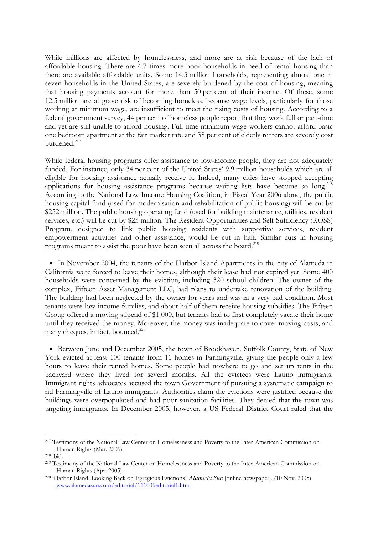While millions are affected by homelessness, and more are at risk because of the lack of affordable housing. There are 4.7 times more poor households in need of rental housing than there are available affordable units. Some 14.3 million households, representing almost one in seven households in the United States, are severely burdened by the cost of housing, meaning that housing payments account for more than 50 per cent of their income. Of these, some 12.5 million are at grave risk of becoming homeless, because wage levels, particularly for those working at minimum wage, are insufficient to meet the rising costs of housing. According to a federal government survey, 44 per cent of homeless people report that they work full or part-time and yet are still unable to afford housing. Full time minimum wage workers cannot afford basic one bedroom apartment at the fair market rate and 38 per cent of elderly renters are severely cost burdened.<sup>217</sup>

While federal housing programs offer assistance to low-income people, they are not adequately funded. For instance, only 34 per cent of the United States' 9.9 million households which are all eligible for housing assistance actually receive it. Indeed, many cities have stopped accepting applications for housing assistance programs because waiting lists have become so  $\log$ <sup>218</sup> According to the National Low Income Housing Coalition, in Fiscal Year 2006 alone, the public housing capital fund (used for modernisation and rehabilitation of public housing) will be cut by \$252 million. The public housing operating fund (used for building maintenance, utilities, resident services, etc.) will be cut by \$25 million. The Resident Opportunities and Self Sufficiency (ROSS) Program, designed to link public housing residents with supportive services, resident empowerment activities and other assistance, would be cut in half. Similar cuts in housing programs meant to assist the poor have been seen all across the board.<sup>219</sup>

• In November 2004, the tenants of the Harbor Island Apartments in the city of Alameda in California were forced to leave their homes, although their lease had not expired yet. Some 400 households were concerned by the eviction, including 320 school children. The owner of the complex, Fifteen Asset Management LLC, had plans to undertake renovation of the building. The building had been neglected by the owner for years and was in a very bad condition. Most tenants were low-income families, and about half of them receive housing subsidies. The Fifteen Group offered a moving stipend of \$1 000, but tenants had to first completely vacate their home until they received the money. Moreover, the money was inadequate to cover moving costs, and many cheques, in fact, bounced.<sup>220</sup>

• Between June and December 2005, the town of Brookhaven, Suffolk County, State of New York evicted at least 100 tenants from 11 homes in Farmingville, giving the people only a few hours to leave their rented homes. Some people had nowhere to go and set up tents in the backyard where they lived for several months. All the evictees were Latino immigrants. Immigrant rights advocates accused the town Government of pursuing a systematic campaign to rid Farmingville of Latino immigrants. Authorities claim the evictions were justified because the buildings were overpopulated and had poor sanitation facilities. They denied that the town was targeting immigrants. In December 2005, however, a US Federal District Court ruled that the

<sup>217</sup> Testimony of the National Law Center on Homelessness and Poverty to the Inter-American Commission on Human Rights (Mar. 2005).

<sup>218</sup> ibid.

<sup>219</sup> Testimony of the National Law Center on Homelessness and Poverty to the Inter-American Commission on Human Rights (Apr. 2005).

<sup>220</sup> 'Harbor Island: Looking Back on Egregious Evictions', *Alameda Sun* [online newspaper], (10 Nov. 2005), www.alamedasun.com/editorial/111005editorial1.htm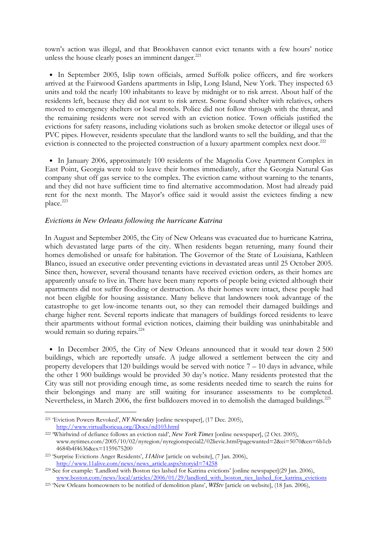town's action was illegal, and that Brookhaven cannot evict tenants with a few hours' notice unless the house clearly poses an imminent danger. $^{221}$ 

• In September 2005, Islip town officials, armed Suffolk police officers, and fire workers arrived at the Fairwood Gardens apartments in Islip, Long Island, New York. They inspected 63 units and told the nearly 100 inhabitants to leave by midnight or to risk arrest. About half of the residents left, because they did not want to risk arrest. Some found shelter with relatives, others moved to emergency shelters or local motels. Police did not follow through with the threat, and the remaining residents were not served with an eviction notice. Town officials justified the evictions for safety reasons, including violations such as broken smoke detector or illegal uses of PVC pipes. However, residents speculate that the landlord wants to sell the building, and that the eviction is connected to the projected construction of a luxury apartment complex next door.<sup>222</sup>

• In January 2006, approximately 100 residents of the Magnolia Cove Apartment Complex in East Point, Georgia were told to leave their homes immediately, after the Georgia Natural Gas company shut off gas service to the complex. The eviction came without warning to the tenants, and they did not have sufficient time to find alternative accommodation. Most had already paid rent for the next month. The Mayor's office said it would assist the evictees finding a new place.<sup>223</sup>

## *Evictions in New Orleans following the hurricane Katrina*

In August and September 2005, the City of New Orleans was evacuated due to hurricane Katrina, which devastated large parts of the city. When residents began returning, many found their homes demolished or unsafe for habitation. The Governor of the State of Louisiana, Kathleen Blanco, issued an executive order preventing evictions in devastated areas until 25 October 2005. Since then, however, several thousand tenants have received eviction orders, as their homes are apparently unsafe to live in. There have been many reports of people being evicted although their apartments did not suffer flooding or destruction. As their homes were intact, these people had not been eligible for housing assistance. Many believe that landowners took advantage of the catastrophe to get low-income tenants out, so they can remodel their damaged buildings and charge higher rent. Several reports indicate that managers of buildings forced residents to leave their apartments without formal eviction notices, claiming their building was uninhabitable and would remain so during repairs.<sup>224</sup>

• In December 2005, the City of New Orleans announced that it would tear down 2 500 buildings, which are reportedly unsafe. A judge allowed a settlement between the city and property developers that 120 buildings would be served with notice  $7 - 10$  days in advance, while the other 1 900 buildings would be provided 30 day's notice. Many residents protested that the City was still not providing enough time, as some residents needed time to search the ruins for their belongings and many are still waiting for insurance assessments to be completed. Nevertheless, in March 2006, the first bulldozers moved in to demolish the damaged buildings.<sup>225</sup>

<sup>221</sup> 'Eviction Powers Revoked', *NY Newsday* [online newspaper], (17 Dec. 2005), http://www.virtualboricua.org/Docs/nd103.html

<sup>222</sup> 'Whirlwind of defiance follows an eviction raid', *New York Times* [online newspaper], (2 Oct. 2005), www.nytimes.com/2005/10/02/nyregion/nyregionspecial2/02lievic.html?pagewanted=2&ei=5070&en=6b1cb 4684b4f4636&ex=1159675200

<sup>223</sup> 'Surprise Evictions Anger Residents', *11Alive* [article on website], (7 Jan. 2006), http://www.11alive.com/news/news\_article.aspx?storyid=74258

<sup>224</sup> See for example: 'Landlord with Boston ties lashed for Katrina evictions' [online newspaper](29 Jan. 2006), www.boston.com/news/local/articles/2006/01/29/landlord\_with\_boston\_ties\_lashed\_for\_katrina\_evictions

<sup>225</sup> 'New Orleans homeowners to be notified of demolition plans', *WIStv* [article on website], (18 Jan. 2006),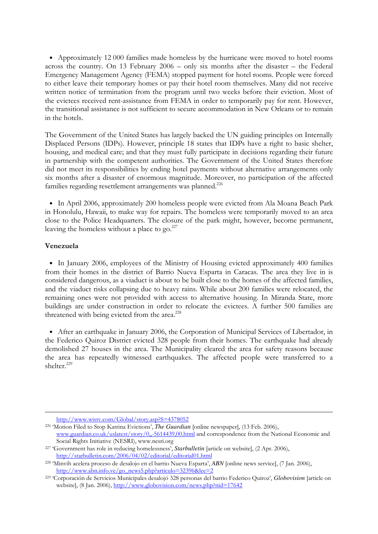• Approximately 12 000 families made homeless by the hurricane were moved to hotel rooms across the country. On 13 February 2006 – only six months after the disaster – the Federal Emergency Management Agency (FEMA) stopped payment for hotel rooms. People were forced to either leave their temporary homes or pay their hotel room themselves. Many did not receive written notice of termination from the program until two weeks before their eviction. Most of the evictees received rent-assistance from FEMA in order to temporarily pay for rent. However, the transitional assistance is not sufficient to secure accommodation in New Orleans or to remain in the hotels.

The Government of the United States has largely backed the UN guiding principles on Internally Displaced Persons (IDPs). However, principle 18 states that IDPs have a right to basic shelter, housing, and medical care; and that they must fully participate in decisions regarding their future in partnership with the competent authorities. The Government of the United States therefore did not meet its responsibilities by ending hotel payments without alternative arrangements only six months after a disaster of enormous magnitude. Moreover, no participation of the affected families regarding resettlement arrangements was planned.<sup>226</sup>

• In April 2006, approximately 200 homeless people were evicted from Ala Moana Beach Park in Honolulu, Hawaii, to make way for repairs. The homeless were temporarily moved to an area close to the Police Headquarters. The closure of the park might, however, become permanent, leaving the homeless without a place to  $\text{go.}^{227}$ 

## Venezuela

-

• In January 2006, employees of the Ministry of Housing evicted approximately 400 families from their homes in the district of Barrio Nueva Esparta in Caracas. The area they live in is considered dangerous, as a viaduct is about to be built close to the homes of the affected families, and the viaduct risks collapsing due to heavy rains. While about 200 families were relocated, the remaining ones were not provided with access to alternative housing. In Miranda State, more buildings are under construction in order to relocate the evictees. A further 500 families are threatened with being evicted from the area.<sup>228</sup>

• After an earthquake in January 2006, the Corporation of Municipal Services of Libertador, in the Federico Quiroz District evicted 328 people from their homes. The earthquake had already demolished 27 houses in the area. The Municipality cleared the area for safety reasons because the area has repeatedly witnessed earthquakes. The affected people were transferred to a shelter.<sup>229</sup>

http://www.wistv.com/Global/story.asp?S=4378052

<sup>226</sup> 'Motion Filed to Stop Katrina Evictions', *The Guardian* [online newspaper], (13 Feb. 2006), www.guardian.co.uk/uslatest/story/0,,-5614439,00.html and correspondence from the National Economic and Social Rights Initiative (NESRI), www.nesri.org

<sup>227</sup> 'Government has role in reducing homelessness', *Starbulletin* [article on website], (2 Apr. 2006), http://starbulletin.com/2006/04/02/editorial/editorial01.html

<sup>228</sup> 'Minvih acelera proceso de desalojo en el barrio Nueva Esparta', *ABN* [online news service], (7 Jan. 2006), http://www.abn.info.ve/go\_news5.php?articulo=32396&lee=2

<sup>229</sup> 'Corporación de Servicios Municipales desalojó 328 personas del barrio Federico Quiroz', *Globovision* [article on website], (8 Jan. 2006), http://www.globovision.com/news.php?nid=17642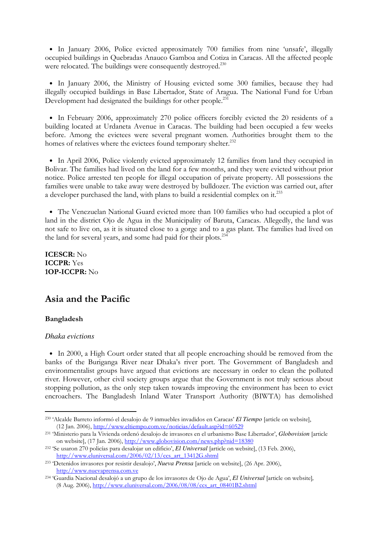• In January 2006, Police evicted approximately 700 families from nine 'unsafe', illegally occupied buildings in Quebradas Anauco Gamboa and Cotiza in Caracas. All the affected people were relocated. The buildings were consequently destroyed.<sup>230</sup>

• In January 2006, the Ministry of Housing evicted some 300 families, because they had illegally occupied buildings in Base Libertador, State of Aragua. The National Fund for Urban Development had designated the buildings for other people.<sup>231</sup>

• In February 2006, approximately 270 police officers forcibly evicted the 20 residents of a building located at Urdaneta Avenue in Caracas. The building had been occupied a few weeks before. Among the evictees were several pregnant women. Authorities brought them to the homes of relatives where the evictees found temporary shelter.<sup>232</sup>

• In April 2006, Police violently evicted approximately 12 families from land they occupied in Bolivar. The families had lived on the land for a few months, and they were evicted without prior notice. Police arrested ten people for illegal occupation of private property. All possessions the families were unable to take away were destroyed by bulldozer. The eviction was carried out, after a developer purchased the land, with plans to build a residential complex on it.<sup>233</sup>

• The Venezuelan National Guard evicted more than 100 families who had occupied a plot of land in the district Ojo de Agua in the Municipality of Baruta, Caracas. Allegedly, the land was not safe to live on, as it is situated close to a gorge and to a gas plant. The families had lived on the land for several years, and some had paid for their plots.<sup>234</sup>

ICESCR: No ICCPR: Yes 1OP-ICCPR: No

# Asia and the Pacific

# Bangladesh

-

# *Dhaka evictions*

• In 2000, a High Court order stated that all people encroaching should be removed from the banks of the Buriganga River near Dhaka's river port. The Government of Bangladesh and environmentalist groups have argued that evictions are necessary in order to clean the polluted river. However, other civil society groups argue that the Government is not truly serious about stopping pollution, as the only step taken towards improving the environment has been to evict encroachers. The Bangladesh Inland Water Transport Authority (BIWTA) has demolished

<sup>230</sup> 'Alcalde Barreto informó el desalojo de 9 inmuebles invadidos en Caracas' *El Tiempo* [article on website], (12 Jan. 2006), http://www.eltiempo.com.ve/noticias/default.asp?id=60529

<sup>231</sup> 'Ministerio para la Vivienda ordenó desalojo de invasores en el urbanismo Base Libertador', *Globovision* [article on website], (17 Jan. 2006), http://www.globovision.com/news.php?nid=18380

<sup>232</sup> 'Se usaron 270 policías para desalojar un edificio', *El Universal* [article on website], (13 Feb. 2006), http://www.eluniversal.com/2006/02/13/ccs\_art\_13412G.shtml

<sup>233</sup> 'Detenidos invasores por resistir desalojo', *Nueva Prensa* [article on website], (26 Apr. 2006), http://www.nuevaprensa.com.ve

<sup>234</sup> 'Guardia Nacional desalojó a un grupo de los invasores de Ojo de Agua', *El Universal* [article on website]*,*  (8 Aug. 2006), http://www.eluniversal.com/2006/08/08/ccs\_art\_08401B2.shtml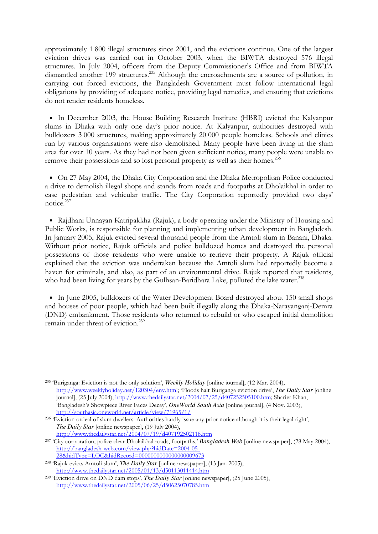approximately 1 800 illegal structures since 2001, and the evictions continue. One of the largest eviction drives was carried out in October 2003, when the BIWTA destroyed 576 illegal structures. In July 2004, officers from the Deputy Commissioner's Office and from BIWTA dismantled another 199 structures.<sup>235</sup> Although the encroachments are a source of pollution, in carrying out forced evictions, the Bangladesh Government must follow international legal obligations by providing of adequate notice, providing legal remedies, and ensuring that evictions do not render residents homeless.

• In December 2003, the House Building Research Institute (HBRI) evicted the Kalyanpur slums in Dhaka with only one day's prior notice. At Kalyanpur, authorities destroyed with bulldozers 3 000 structures, making approximately 20 000 people homeless. Schools and clinics run by various organisations were also demolished. Many people have been living in the slum area for over 10 years. As they had not been given sufficient notice, many people were unable to remove their possessions and so lost personal property as well as their homes.<sup>236</sup>

• On 27 May 2004, the Dhaka City Corporation and the Dhaka Metropolitan Police conducted a drive to demolish illegal shops and stands from roads and footpaths at Dholaikhal in order to ease pedestrian and vehicular traffic. The City Corporation reportedly provided two days' notice.<sup>237</sup>

• Rajdhani Unnayan Katripakkha (Rajuk), a body operating under the Ministry of Housing and Public Works, is responsible for planning and implementing urban development in Bangladesh. In January 2005, Rajuk evicted several thousand people from the Amtoli slum in Banani, Dhaka. Without prior notice, Rajuk officials and police bulldozed homes and destroyed the personal possessions of those residents who were unable to retrieve their property. A Rajuk official explained that the eviction was undertaken because the Amtoli slum had reportedly become a haven for criminals, and also, as part of an environmental drive. Rajuk reported that residents, who had been living for years by the Gulhsan-Baridhara Lake, polluted the lake water.<sup>238</sup>

• In June 2005, bulldozers of the Water Development Board destroyed about 150 small shops and houses of poor people, which had been built illegally along the Dhaka-Narayanganj-Demra (DND) embankment. Those residents who returned to rebuild or who escaped initial demolition remain under threat of eviction.<sup>239</sup>

<sup>235</sup> 'Buriganga: Eviction is not the only solution', *Weekly Holiday* [online journal], (12 Mar. 2004), http://www.weeklyholiday.net/120304/env.html; 'Floods halt Buriganga eviction drive', *The Daily Star* [online journal], (25 July 2004), http://www.thedailystar.net/2004/07/25/d407252505100.htm; Sharier Khan, 'Bangladesh's Showpiece River Faces Decay', *OneWorld South Asia* [online journal], (4 Nov. 2003), http://southasia.oneworld.net/article/view/71965/1/

<sup>236</sup> 'Eviction ordeal of slum dwellers: Authorities hardly issue any prior notice although it is their legal right', *The Daily Star* [online newspaper], (19 July 2004), http://www.thedailystar.net/2004/07/19/d407192502118.htm

<sup>237</sup> 'City corporation, police clear Dholaikhal roads, footpaths,' *Bangladesh Web* [online newspaper], (28 May 2004), http://bangladesh-web.com/view.php?hidDate=2004-05- 28&hidType=LOC&hidRecord=0000000000000000009673

<sup>238</sup> 'Rajuk evicts Amtoli slum', *The Daily Star* [online newspaper], (13 Jan. 2005), http://www.thedailystar.net/2005/01/13/d50113011414.htm

<sup>239</sup> 'Eviction drive on DND dam stops', *The Daily Star* [online newspaper], (25 June 2005), http://www.thedailystar.net/2005/06/25/d50625070785.htm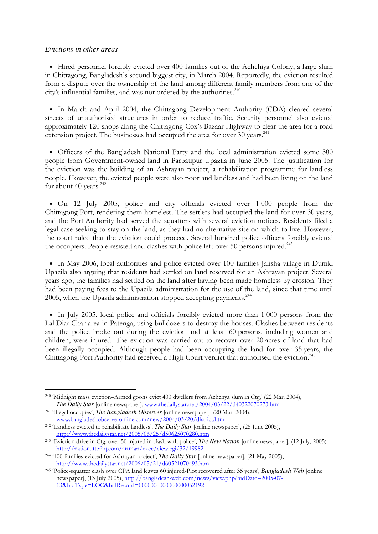## *Evictions in other areas*

-

• Hired personnel forcibly evicted over 400 families out of the Achchiya Colony, a large slum in Chittagong, Bangladesh's second biggest city, in March 2004. Reportedly, the eviction resulted from a dispute over the ownership of the land among different family members from one of the city's influential families, and was not ordered by the authorities.<sup>240</sup>

• In March and April 2004, the Chittagong Development Authority (CDA) cleared several streets of unauthorised structures in order to reduce traffic. Security personnel also evicted approximately 120 shops along the Chittagong-Cox's Bazaar Highway to clear the area for a road extension project. The businesses had occupied the area for over 30 years.<sup>241</sup>

• Officers of the Bangladesh National Party and the local administration evicted some 300 people from Government-owned land in Parbatipur Upazila in June 2005. The justification for the eviction was the building of an Ashrayan project, a rehabilitation programme for landless people. However, the evicted people were also poor and landless and had been living on the land for about 40 years.<sup>242</sup>

• On 12 July 2005, police and city officials evicted over 1 000 people from the Chittagong Port, rendering them homeless. The settlers had occupied the land for over 30 years, and the Port Authority had served the squatters with several eviction notices. Residents filed a legal case seeking to stay on the land, as they had no alternative site on which to live. However, the court ruled that the eviction could proceed. Several hundred police officers forcibly evicted the occupiers. People resisted and clashes with police left over 50 persons injured.<sup>243</sup>

• In May 2006, local authorities and police evicted over 100 families Jalisha village in Dumki Upazila also arguing that residents had settled on land reserved for an Ashrayan project. Several years ago, the families had settled on the land after having been made homeless by erosion. They had been paying fees to the Upazila administration for the use of the land, since that time until 2005, when the Upazila administration stopped accepting payments.<sup>244</sup>

• In July 2005, local police and officials forcibly evicted more than 1 000 persons from the Lal Diar Char area in Patenga, using bulldozers to destroy the houses. Clashes between residents and the police broke out during the eviction and at least 60 persons, including women and children, were injured. The eviction was carried out to recover over 20 acres of land that had been illegally occupied. Although people had been occupying the land for over 35 years, the Chittagong Port Authority had received a High Court verdict that authorised the eviction.<sup>245</sup>

<sup>240</sup> 'Midnight mass eviction–Armed goons evict 400 dwellers from Achchya slum in Ctg,' (22 Mar. 2004), *The Daily Star* [online newspaper], www.thedailystar.net/2004/03/22/d40322070273.htm

<sup>241</sup> 'Illegal occupies', *The Bangladesh Observer* [online newspaper], (20 Mar. 2004), www.bangladeshobserveronline.com/new/2004/03/20/district.htm

<sup>242</sup> 'Landless evicted to rehabilitate landless', *The Daily Star* [online newspaper], (25 June 2005), http://www.thedailystar.net/2005/06/25/d50625070280.htm

<sup>243</sup> 'Eviction drive in Ctg: over 50 injured in clash with police', *The New Nation* [online newspaper], (12 July, 2005) http://nation.ittefaq.com/artman/exec/view.cgi/32/19982

<sup>244</sup> '100 families evicted for Ashrayan project', *The Daily Star* [online newspaper], (21 May 2005), http://www.thedailystar.net/2006/05/21/d60521070493.htm

<sup>245</sup> 'Police-squatter clash over CPA land leaves 60 injured-Plot recovered after 35 years', *Bangladesh Web* [online newspaper], (13 July 2005), http://bangladesh-web.com/news/view.php?hidDate=2005-07- 13&hidType=LOC&hidRecord=0000000000000000052192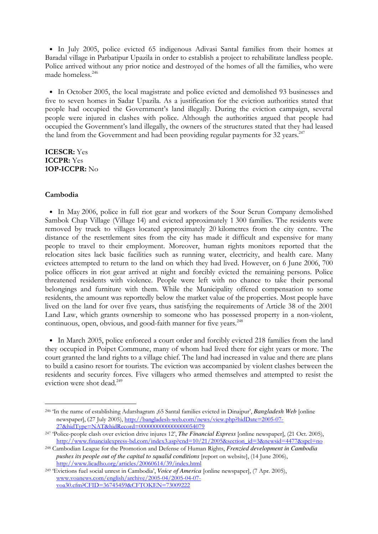• In July 2005, police evicted 65 indigenous Adivasi Santal families from their homes at Baradal village in Parbatipur Upazila in order to establish a project to rehabilitate landless people. Police arrived without any prior notice and destroyed of the homes of all the families, who were made homeless.<sup>246</sup>

• In October 2005, the local magistrate and police evicted and demolished 93 businesses and five to seven homes in Sadar Upazila. As a justification for the eviction authorities stated that people had occupied the Government's land illegally. During the eviction campaign, several people were injured in clashes with police. Although the authorities argued that people had occupied the Government's land illegally, the owners of the structures stated that they had leased the land from the Government and had been providing regular payments for 32 years.<sup>247</sup>

# ICESCR: Yes ICCPR: Yes 1OP-ICCPR: No

## Cambodia

-

• In May 2006, police in full riot gear and workers of the Sour Scrun Company demolished Sambok Chap Village (Village 14) and evicted approximately 1 300 families. The residents were removed by truck to villages located approximately 20 kilometres from the city centre. The distance of the resettlement sites from the city has made it difficult and expensive for many people to travel to their employment. Moreover, human rights monitors reported that the relocation sites lack basic facilities such as running water, electricity, and health care. Many evictees attempted to return to the land on which they had lived. However, on 6 June 2006, 700 police officers in riot gear arrived at night and forcibly evicted the remaining persons. Police threatened residents with violence. People were left with no chance to take their personal belongings and furniture with them. While the Municipality offered compensation to some residents, the amount was reportedly below the market value of the properties. Most people have lived on the land for over five years, thus satisfying the requirements of Article 38 of the 2001 Land Law, which grants ownership to someone who has possessed property in a non-violent, continuous, open, obvious, and good-faith manner for five years.<sup>248</sup>

• In March 2005, police enforced a court order and forcibly evicted 218 families from the land they occupied in Poipet Commune, many of whom had lived there for eight years or more. The court granted the land rights to a village chief. The land had increased in value and there are plans to build a casino resort for tourists. The eviction was accompanied by violent clashes between the residents and security forces. Five villagers who armed themselves and attempted to resist the eviction were shot dead.<sup>249</sup>

<sup>246</sup> 'In the name of establishing Adarshagram ,65 Santal families evicted in Dinajpur', *Bangladesh Web* [online newspaper], (27 July 2005), http://bangladesh-web.com/news/view.php?hidDate=2005-07- 27&hidType=NAT&hidRecord=0000000000000000054079

<sup>247</sup> 'Police-people clash over eviction drive injures 12', *The Financial Express* [online newspaper], (21 Oct. 2005), http://www.financialexpress-bd.com/index3.asp?cnd=10/21/2005&section\_id=3&newsid=4477&spcl=no

<sup>248</sup> Cambodian League for the Promotion and Defense of Human Rights, *Frenzied development in Cambodia pushes its people out of the capital to squalid conditions* [report on website], (14 June 2006), http://www.licadho.org/articles/20060614/39/index.html

<sup>249</sup> 'Evictions fuel social unrest in Cambodia', *Voice of America* [online newspaper], (7 Apr. 2005), www.voanews.com/english/archive/2005-04/2005-04-07 voa30.cfm?CFID=36745459&CFTOKEN=73009222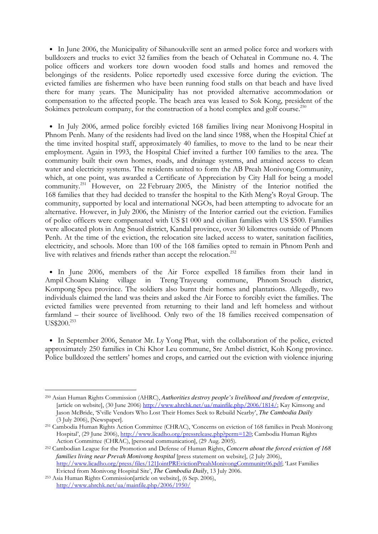• In June 2006, the Municipality of Sihanoukville sent an armed police force and workers with bulldozers and trucks to evict 32 families from the beach of Ochateal in Commune no. 4. The police officers and workers tore down wooden food stalls and homes and removed the belongings of the residents. Police reportedly used excessive force during the eviction. The evicted families are fishermen who have been running food stalls on that beach and have lived there for many years. The Municipality has not provided alternative accommodation or compensation to the affected people. The beach area was leased to Sok Kong, president of the Sokimex petroleum company, for the construction of a hotel complex and golf course.<sup>250</sup>

• In July 2006, armed police forcibly evicted 168 families living near Monivong Hospital in Phnom Penh. Many of the residents had lived on the land since 1988, when the Hospital Chief at the time invited hospital staff, approximately 40 families, to move to the land to be near their employment. Again in 1993, the Hospital Chief invited a further 100 families to the area. The community built their own homes, roads, and drainage systems, and attained access to clean water and electricity systems. The residents united to form the AB Preah Monivong Community, which, at one point, was awarded a Certificate of Appreciation by City Hall for being a model community.<sup>251</sup> However, on 22 February 2005, the Ministry of the Interior notified the 168 families that they had decided to transfer the hospital to the Kith Meng's Royal Group. The community, supported by local and international NGOs, had been attempting to advocate for an alternative. However, in July 2006, the Ministry of the Interior carried out the eviction. Families of police officers were compensated with US \$1 000 and civilian families with US \$500. Families were allocated plots in Ang Snuol district, Kandal province, over 30 kilometres outside of Phnom Penh. At the time of the eviction, the relocation site lacked access to water, sanitation facilities, electricity, and schools. More than 100 of the 168 families opted to remain in Phnom Penh and live with relatives and friends rather than accept the relocation.<sup>252</sup>

• In June 2006, members of the Air Force expelled 18 families from their land in Ampil Choam Klaing village in Treng Trayeung commune, Phnom Srouch district, Kompong Speu province. The soldiers also burnt their homes and plantations. Allegedly, two individuals claimed the land was theirs and asked the Air Force to forcibly evict the families. The evicted families were prevented from returning to their land and left homeless and without farmland – their source of livelihood. Only two of the 18 families received compensation of US\$200.<sup>253</sup>

• In September 2006, Senator Mr. Ly Yong Phat, with the collaboration of the police, evicted approximately 250 families in Chi Khor Leu commune, Sre Ambel district, Koh Kong province. Police bulldozed the settlers' homes and crops, and carried out the eviction with violence injuring

<sup>250</sup> Asian Human Rights Commission (AHRC), *Authorities destroy people's livelihood and freedom of enterprise*, [article on website], (30 June 2006) http://www.ahrchk.net/ua/mainfile.php/2006/1814/; Kay Kimsong and Jason McBride, 'S'ville Vendors Who Lost Their Homes Seek to Rebuild Nearby', *The Cambodia Daily*  (3 July 2006), [Newspaper].

<sup>251</sup> Cambodia Human Rights Action Committee (CHRAC), 'Concerns on eviction of 168 families in Preah Monivong Hospital', (29 June 2006), http://www.licadho.org/pressrelease.php?perm=120; Cambodia Human Rights Action Committee (CHRAC), [personal communication], (29 Aug. 2005).

<sup>252</sup> Cambodian League for the Promotion and Defense of Human Rights, *Concern about the forced eviction of 168 families living near Prevah Monivong hospital* [press statement on website], (2 July 2006), http://www.licadho.org/press/files/121JointPREvictionPreahMonivongCommunity06.pdf; 'Last Families Evicted from Monivong Hospital Site', *The Cambodia Daily*, 13 July 2006.

<sup>253</sup> Asia Human Rights Commission[article on website], (6 Sep. 2006), http://www.ahrchk.net/ua/mainfile.php/2006/1950/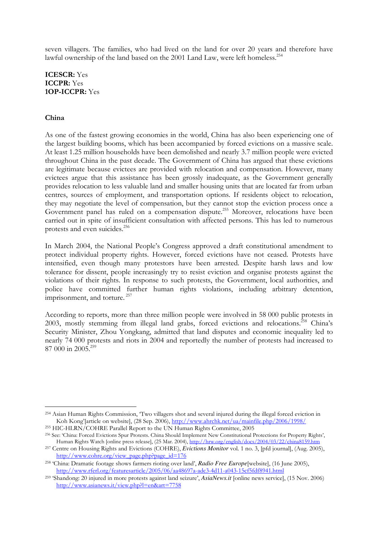seven villagers. The families, who had lived on the land for over 20 years and therefore have lawful ownership of the land based on the 2001 Land Law, were left homeless.<sup>254</sup>

ICESCR: Yes ICCPR: Yes 1OP-ICCPR: Yes

## China

-

As one of the fastest growing economies in the world, China has also been experiencing one of the largest building booms, which has been accompanied by forced evictions on a massive scale. At least 1.25 million households have been demolished and nearly 3.7 million people were evicted throughout China in the past decade. The Government of China has argued that these evictions are legitimate because evictees are provided with relocation and compensation. However, many evictees argue that this assistance has been grossly inadequate, as the Government generally provides relocation to less valuable land and smaller housing units that are located far from urban centres, sources of employment, and transportation options. If residents object to relocation, they may negotiate the level of compensation, but they cannot stop the eviction process once a Government panel has ruled on a compensation dispute.<sup>255</sup> Moreover, relocations have been carried out in spite of insufficient consultation with affected persons. This has led to numerous protests and even suicides.<sup>256</sup>

In March 2004, the National People's Congress approved a draft constitutional amendment to protect individual property rights. However, forced evictions have not ceased. Protests have intensified, even though many protestors have been arrested. Despite harsh laws and low tolerance for dissent, people increasingly try to resist eviction and organise protests against the violations of their rights. In response to such protests, the Government, local authorities, and police have committed further human rights violations, including arbitrary detention, imprisonment, and torture.<sup>257</sup>

According to reports, more than three million people were involved in 58 000 public protests in 2003, mostly stemming from illegal land grabs, forced evictions and relocations.<sup> $258$ </sup> China's Security Minister, Zhou Yongkang, admitted that land disputes and economic inequality led to nearly 74 000 protests and riots in 2004 and reportedly the number of protests had increased to  $87,000$  in  $2005$ <sup>259</sup>

<sup>254</sup> Asian Human Rights Commission, 'Two villagers shot and several injured during the illegal forced eviction in Koh Kong'[article on website], (28 Sep. 2006), http://www.ahrchk.net/ua/mainfile.php/2006/1998/ <sup>255</sup> HIC-HLRN/COHRE Parallel Report to the UN Human Rights Committee, 2005

<sup>256</sup> See: 'China: Forced Evictions Spur Protests. China Should Implement New Constitutional Protections for Property Rights', Human Rights Watch [online press release], (25 Mar. 2004), http://hrw.org/english/docs/2004/03/22/china8159.htm

<sup>257</sup> Centre on Housing Rights and Evictions (COHRE), *Evictions Monitor* vol. 1 no. 3, [pfd journal], (Aug. 2005), http://www.cohre.org/view\_page.php?page\_id=176

<sup>258</sup> 'China: Dramatic footage shows farmers rioting over land', *Radio Free Europe*[website], (16 June 2005), http://www.rferl.org/featuresarticle/2005/06/aa48697a-adc3-4d11-a043-15cf5fdf8941.html

<sup>259</sup> 'Shandong: 20 injured in more protests against land seizure', *AsiaNews.it* [online news service], (15 Nov. 2006) http://www.asianews.it/view.php?l=en&art=7758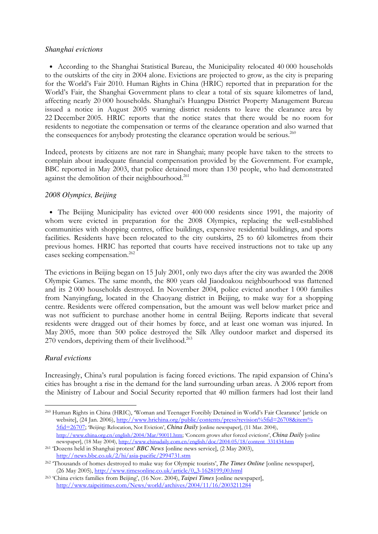## *Shanghai evictions*

• According to the Shanghai Statistical Bureau, the Municipality relocated 40 000 households to the outskirts of the city in 2004 alone. Evictions are projected to grow, as the city is preparing for the World's Fair 2010. Human Rights in China (HRIC) reported that in preparation for the World's Fair, the Shanghai Government plans to clear a total of six square kilometres of land, affecting nearly 20 000 households. Shanghai's Huangpu District Property Management Bureau issued a notice in August 2005 warning district residents to leave the clearance area by 22 December 2005. HRIC reports that the notice states that there would be no room for residents to negotiate the compensation or terms of the clearance operation and also warned that the consequences for anybody protesting the clearance operation would be serious.<sup>260</sup>

Indeed, protests by citizens are not rare in Shanghai; many people have taken to the streets to complain about inadequate financial compensation provided by the Government. For example, BBC reported in May 2003, that police detained more than 130 people, who had demonstrated against the demolition of their neighbourhood.<sup>261</sup>

# *2008 Olympics, Beijing*

• The Beijing Municipality has evicted over 400 000 residents since 1991, the majority of whom were evicted in preparation for the 2008 Olympics, replacing the well-established communities with shopping centres, office buildings, expensive residential buildings, and sports facilities. Residents have been relocated to the city outskirts, 25 to 60 kilometres from their previous homes. HRIC has reported that courts have received instructions not to take up any cases seeking compensation.<sup>262</sup>

The evictions in Beijing began on 15 July 2001, only two days after the city was awarded the 2008 Olympic Games. The same month, the 800 years old Jiaodoakou neighbourhood was flattened and its 2 000 households destroyed. In November 2004, police evicted another 1 000 families from Nanyingfang, located in the Chaoyang district in Beijing, to make way for a shopping centre. Residents were offered compensation, but the amount was well below market price and was not sufficient to purchase another home in central Beijing. Reports indicate that several residents were dragged out of their homes by force, and at least one woman was injured. In May 2005, more than 500 police destroyed the Silk Alley outdoor market and dispersed its 270 vendors, depriving them of their livelihood.<sup>263</sup>

# *Rural evictions*

Increasingly, China's rural population is facing forced evictions. The rapid expansion of China's cities has brought a rise in the demand for the land surrounding urban areas. A 2006 report from the Ministry of Labour and Social Security reported that 40 million farmers had lost their land

<sup>-</sup><sup>260</sup> Human Rights in China (HRIC), 'Woman and Teenager Forcibly Detained in World's Fair Clearance' [article on website], (24 Jan. 2006), http://www.hrichina.org/public/contents/press?revision%5fid=26708&item% 5fid=26707; 'Beijing: Relocation, Not Eviction', *China Daily* [online newspaper], (11 Mar. 2004), http://www.china.org.cn/english/2004/Mar/90011.htm; 'Concern grows after forced evictions', *China Daily* [online newspaper], (18 May 2004), http://www.chinadaily.com.cn/english/doc/2004-05/18/content\_331434.htm

<sup>261</sup> 'Dozens held in Shanghai protest' *BBC News* [online news service], (2 May 2003), http://news.bbc.co.uk/2/hi/asia-pacific/2994731.stm

<sup>262</sup> 'Thousands of homes destroyed to make way for Olympic tourists', *The Times Online* [online newspaper], (26 May 2005), http://www.timesonline.co.uk/article/0,,3-1628199,00.html

<sup>263</sup> 'China evicts families from Beijing', (16 Nov. 2004), *Taipei Times* [online newspaper], http://www.taipeitimes.com/News/world/archives/2004/11/16/2003211284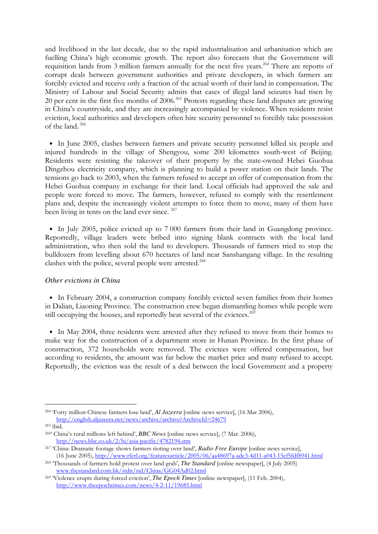and livelihood in the last decade, due to the rapid industrialisation and urbanisation which are fuelling China's high economic growth. The report also forecasts that the Government will requisition lands from 3 million farmers annually for the next five years.<sup>264</sup> There are reports of corrupt deals between government authorities and private developers, in which farmers are forcibly evicted and receive only a fraction of the actual worth of their land in compensation. The Ministry of Labour and Social Security admits that cases of illegal land seizures had risen by 20 per cent in the first five months of 2006.<sup>265</sup> Protests regarding these land disputes are growing in China's countryside, and they are increasingly accompanied by violence. When residents resist eviction, local authorities and developers often hire security personnel to forcibly take possession of the land.<sup>266</sup>

• In June 2005, clashes between farmers and private security personnel killed six people and injured hundreds in the village of Shengyou, some 200 kilometres south-west of Beijing. Residents were resisting the takeover of their property by the state-owned Hebei Guohua Dingzhou electricity company, which is planning to build a power station on their lands. The tensions go back to 2003, when the farmers refused to accept an offer of compensation from the Hebei Guohua company in exchange for their land. Local officials had approved the sale and people were forced to move. The farmers, however, refused to comply with the resettlement plans and, despite the increasingly violent attempts to force them to move, many of them have been living in tents on the land ever since.<sup>267</sup>

• In July 2005, police evicted up to 7 000 farmers from their land in Guangdong province. Reportedly, village leaders were bribed into signing blank contracts with the local land administration, who then sold the land to developers. Thousands of farmers tried to stop the bulldozers from levelling about 670 hectares of land near Sanshangang village. In the resulting clashes with the police, several people were arrested.<sup>268</sup>

#### *Other evictions in China*

• In February 2004, a construction company forcibly evicted seven families from their homes in Dalian, Liaoning Province. The construction crew began dismantling homes while people were still occupying the houses, and reportedly beat several of the evictees.<sup>269</sup>

• In May 2004, three residents were arrested after they refused to move from their homes to make way for the construction of a department store in Hunan Province. In the first phase of construction, 372 households were removed. The evictees were offered compensation, but according to residents, the amount was far below the market price and many refused to accept. Reportedly, the eviction was the result of a deal between the local Government and a property

<sup>264</sup> 'Forty million Chinese farmers lose land', *Al Jazeera* [online news service], (16 Mar 2006), http://english.aljazeera.net/news/archive/archive?ArchiveId=24679

<sup>265</sup> ibid.

<sup>266</sup>' China's rural millions left behind', *BBC News* [online news service], (7 Mar. 2006), http://news.bbc.co.uk/2/hi/asia-pacific/4782194.stm

<sup>267</sup> 'China: Dramatic footage shows farmers rioting over land', *Radio Free Europe* [online news service], (16 June 2005), http://www.rferl.org/featuresarticle/2005/06/aa48697a-adc3-4d11-a043-15cf5fdf8941.html

<sup>268</sup> 'Thousands of farmers hold protest over land grab', *The Standard* [online newspaper], (4 July 2005) www.thestandard.com.hk/stdn/std/China/GG04Ad02.html

<sup>269</sup> 'Violence erupts during forced eviction', *The Epoch Times* [online newspaper], (11 Feb. 2004), http://www.theepochtimes.com/news/4-2-11/19685.html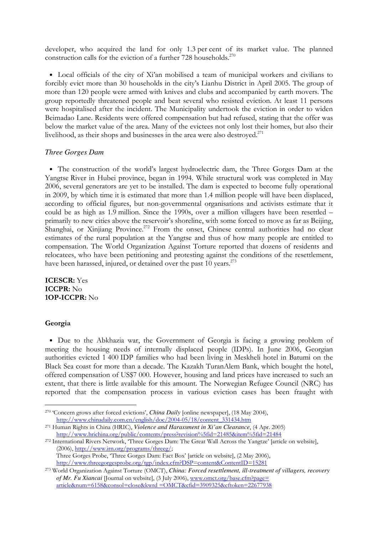developer, who acquired the land for only 1.3 per cent of its market value. The planned construction calls for the eviction of a further  $728$  households.<sup>270</sup>

• Local officials of the city of Xi'an mobilised a team of municipal workers and civilians to forcibly evict more than 30 households in the city's Lianhu District in April 2005. The group of more than 120 people were armed with knives and clubs and accompanied by earth movers. The group reportedly threatened people and beat several who resisted eviction. At least 11 persons were hospitalised after the incident. The Municipality undertook the eviction in order to widen Beimadao Lane. Residents were offered compensation but had refused, stating that the offer was below the market value of the area. Many of the evictees not only lost their homes, but also their livelihood, as their shops and businesses in the area were also destroyed.<sup>271</sup>

## *Three Gorges Dam*

• The construction of the world's largest hydroelectric dam, the Three Gorges Dam at the Yangtse River in Hubei province, began in 1994. While structural work was completed in May 2006, several generators are yet to be installed. The dam is expected to become fully operational in 2009, by which time it is estimated that more than 1.4 million people will have been displaced, according to official figures, but non-governmental organisations and activists estimate that it could be as high as 1.9 million. Since the 1990s, over a million villagers have been resettled – primarily to new cities above the reservoir's shoreline, with some forced to move as far as Beijing, Shanghai, or Xinjiang Province.<sup>272</sup> From the onset, Chinese central authorities had no clear estimates of the rural population at the Yangtse and thus of how many people are entitled to compensation. The World Organization Against Torture reported that dozens of residents and relocatees, who have been petitioning and protesting against the conditions of the resettlement, have been harassed, injured, or detained over the past 10 years.<sup>273</sup>

ICESCR: Yes ICCPR: No 1OP-ICCPR: No

#### Georgia

-

• Due to the Abkhazia war, the Government of Georgia is facing a growing problem of meeting the housing needs of internally displaced people (IDPs). In June 2006, Georgian authorities evicted 1 400 IDP families who had been living in Meskheli hotel in Batumi on the Black Sea coast for more than a decade. The Kazakh TuranAlem Bank, which bought the hotel, offered compensation of US\$7 000. However, housing and land prices have increased to such an extent, that there is little available for this amount. The Norwegian Refugee Council (NRC) has reported that the compensation process in various eviction cases has been fraught with

<sup>270</sup> 'Concern grows after forced evictions', *China Daily* [online newspaper], (18 May 2004), http://www.chinadaily.com.cn/english/doc/2004-05/18/content\_331434.htm

<sup>271</sup> Human Rights in China (HRIC), *Violence and Harassment in Xi'an Clearance*, (4 Apr. 2005) http://www.hrichina.org/public/contents/press?revision%5fid=21485&item%5fid=21484

<sup>&</sup>lt;sup>272</sup> International Rivers Network, 'Three Gorges Dam: The Great Wall Across the Yangtze' [article on website], (2006), http://www.irn.org/programs/threeg/; Three Gorges Probe, 'Three Gorges Dam: Fact Box' [article on website], (2 May 2006), http://www.threegorgesprobe.org/tgp/index.cfm?DSP=content&ContentID=15281

<sup>273</sup> World Organization Against Torture (OMCT), *China: Forced resettlement, ill-treatment of villagers, recovery of Mr. Fu Xiancai* [Journal on website], (3 July 2006), www.omct.org/base.cfm?page= article&num=6158&consol=close&kwrd =OMCT&cfid=3909325&cftoken=22677938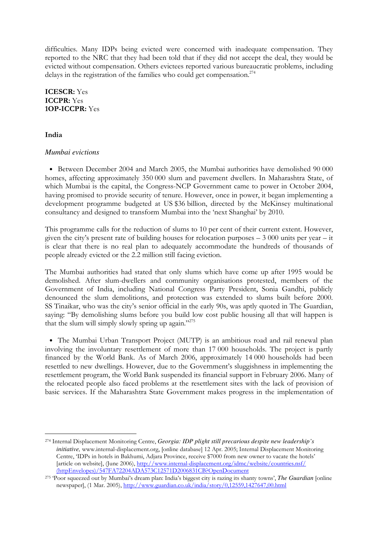difficulties. Many IDPs being evicted were concerned with inadequate compensation. They reported to the NRC that they had been told that if they did not accept the deal, they would be evicted without compensation. Others evictees reported various bureaucratic problems, including delays in the registration of the families who could get compensation.<sup>274</sup>

ICESCR: Yes ICCPR: Yes 1OP-ICCPR: Yes

## India

-

## *Mumbai evictions*

• Between December 2004 and March 2005, the Mumbai authorities have demolished 90 000 homes, affecting approximately 350 000 slum and pavement dwellers. In Maharashtra State, of which Mumbai is the capital, the Congress-NCP Government came to power in October 2004, having promised to provide security of tenure. However, once in power, it began implementing a development programme budgeted at US \$36 billion, directed by the McKinsey multinational consultancy and designed to transform Mumbai into the 'next Shanghai' by 2010.

This programme calls for the reduction of slums to 10 per cent of their current extent. However, given the city's present rate of building houses for relocation purposes – 3 000 units per year – it is clear that there is no real plan to adequately accommodate the hundreds of thousands of people already evicted or the 2.2 million still facing eviction.

The Mumbai authorities had stated that only slums which have come up after 1995 would be demolished. After slum-dwellers and community organisations protested, members of the Government of India, including National Congress Party President, Sonia Gandhi, publicly denounced the slum demolitions, and protection was extended to slums built before 2000. SS Tinaikar, who was the city's senior official in the early 90s, was aptly quoted in The Guardian, saying: "By demolishing slums before you build low cost public housing all that will happen is that the slum will simply slowly spring up again."<sup>275</sup>

• The Mumbai Urban Transport Project (MUTP) is an ambitious road and rail renewal plan involving the involuntary resettlement of more than 17 000 households. The project is partly financed by the World Bank. As of March 2006, approximately 14 000 households had been resettled to new dwellings. However, due to the Government's sluggishness in implementing the resettlement program, the World Bank suspended its financial support in February 2006. Many of the relocated people also faced problems at the resettlement sites with the lack of provision of basic services. If the Maharashtra State Government makes progress in the implementation of

<sup>274</sup> Internal Displacement Monitoring Centre, *Georgia: IDP plight still precarious despite new leadership's initiative,* www.internal-displacement.org, [online database] 12 Apr. 2005; Internal Displacement Monitoring Centre, 'IDPs in hotels in Bakhumi, Adjara Province, receive \$7000 from new owner to vacate the hotels' [article on website], (June 2006), http://www.internal-displacement.org/idmc/website/countries.nsf/ (httpEnvelopes)/547FA72204ADA573C12571D2006831CB?OpenDocument

<sup>275</sup> 'Poor squeezed out by Mumbai's dream plan: India's biggest city is razing its shanty towns', *The Guardian* [online newspaper], (1 Mar. 2005), http://www.guardian.co.uk/india/story/0,12559,1427647,00.html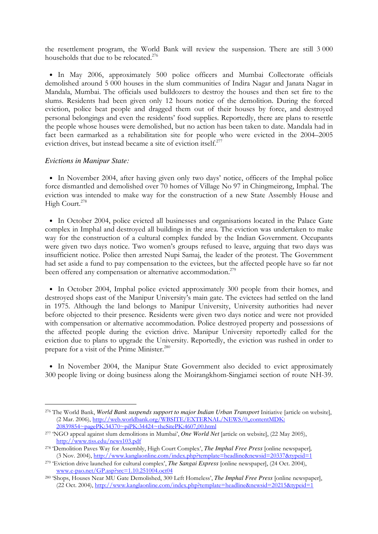the resettlement program, the World Bank will review the suspension. There are still 3 000 households that due to be relocated.<sup>276</sup>

• In May 2006, approximately 500 police officers and Mumbai Collectorate officials demolished around 5 000 houses in the slum communities of Indira Nagar and Janata Nagar in Mandala, Mumbai. The officials used bulldozers to destroy the houses and then set fire to the slums. Residents had been given only 12 hours notice of the demolition. During the forced eviction, police beat people and dragged them out of their houses by force, and destroyed personal belongings and even the residents' food supplies. Reportedly, there are plans to resettle the people whose houses were demolished, but no action has been taken to date. Mandala had in fact been earmarked as a rehabilitation site for people who were evicted in the 2004–2005 eviction drives, but instead became a site of eviction itself. 277

## *Evictions in Manipur State:*

-

• In November 2004, after having given only two days' notice, officers of the Imphal police force dismantled and demolished over 70 homes of Village No 97 in Chingmeirong, Imphal. The eviction was intended to make way for the construction of a new State Assembly House and High Court.<sup>278</sup>

• In October 2004, police evicted all businesses and organisations located in the Palace Gate complex in Imphal and destroyed all buildings in the area. The eviction was undertaken to make way for the construction of a cultural complex funded by the Indian Government. Occupants were given two days notice. Two women's groups refused to leave, arguing that two days was insufficient notice. Police then arrested Nupi Samaj, the leader of the protest. The Government had set aside a fund to pay compensation to the evictees, but the affected people have so far not been offered any compensation or alternative accommodation.<sup>279</sup>

• In October 2004, Imphal police evicted approximately 300 people from their homes, and destroyed shops east of the Manipur University's main gate. The evictees had settled on the land in 1975. Although the land belongs to Manipur University, University authorities had never before objected to their presence. Residents were given two days notice and were not provided with compensation or alternative accommodation. Police destroyed property and possessions of the affected people during the eviction drive. Manipur University reportedly called for the eviction due to plans to upgrade the University. Reportedly, the eviction was rushed in order to prepare for a visit of the Prime Minister.<sup>280</sup>

• In November 2004, the Manipur State Government also decided to evict approximately 300 people living or doing business along the Moirangkhom-Singjamei section of route NH-39.

<sup>&</sup>lt;sup>276</sup> The World Bank, *World Bank suspends support to major Indian Urban Transport Initiative [article on website]*, (2 Mar. 2006), http://web.worldbank.org/WBSITE/EXTERNAL/NEWS/0,,contentMDK: 20839854~pagePK:34370~piPK:34424~theSitePK:4607,00.html

<sup>277</sup> 'NGO appeal against slum demolitions in Mumbai', *One World Net* [article on website], (22 May 2005), http://www.tiss.edu/news103.pdf

<sup>278</sup> 'Demolition Paves Way for Assembly, High Court Complex', *The Imphal Free Press* [online newspaper]*,* (3 Nov. 2004), http://www.kanglaonline.com/index.php?template=headline&newsid=20337&typeid=1

<sup>279</sup> 'Eviction drive launched for cultural complex', *The Sangai Express* [online newspaper], (24 Oct. 2004), www.e-pao.net/GP.asp?src=1.10.251004.oct04

<sup>280</sup> 'Shops, Houses Near MU Gate Demolished, 300 Left Homeless', *The Imphal Free Press* [online newspaper], (22 Oct. 2004), http://www.kanglaonline.com/index.php?template=headline&newsid=20215&typeid=1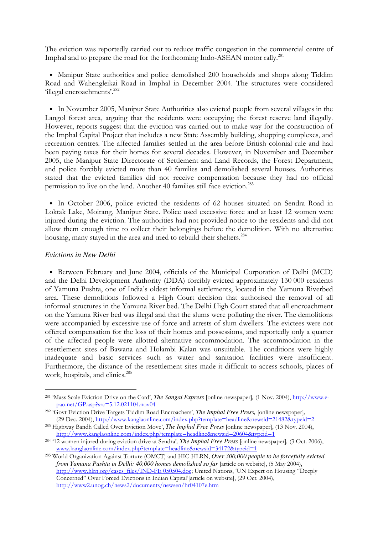The eviction was reportedly carried out to reduce traffic congestion in the commercial centre of Imphal and to prepare the road for the forthcoming Indo-ASEAN motor rally.<sup>281</sup>

• Manipur State authorities and police demolished 200 households and shops along Tiddim Road and Wahengleikai Road in Imphal in December 2004. The structures were considered 'illegal encroachments'.<sup>282</sup>

• In November 2005, Manipur State Authorities also evicted people from several villages in the Langol forest area, arguing that the residents were occupying the forest reserve land illegally. However, reports suggest that the eviction was carried out to make way for the construction of the Imphal Capital Project that includes a new State Assembly building, shopping complexes, and recreation centres. The affected families settled in the area before British colonial rule and had been paying taxes for their homes for several decades. However, in November and December 2005, the Manipur State Directorate of Settlement and Land Records, the Forest Department, and police forcibly evicted more than 40 families and demolished several houses. Authorities stated that the evicted families did not receive compensation because they had no official permission to live on the land. Another 40 families still face eviction.<sup>283</sup>

• In October 2006, police evicted the residents of 62 houses situated on Sendra Road in Loktak Lake, Moirang, Manipur State. Police used excessive force and at least 12 women were injured during the eviction. The authorities had not provided notice to the residents and did not allow them enough time to collect their belongings before the demolition. With no alternative housing, many stayed in the area and tried to rebuild their shelters.<sup>284</sup>

#### *Evictions in New Delhi*

-

• Between February and June 2004, officials of the Municipal Corporation of Delhi (MCD) and the Delhi Development Authority (DDA) forcibly evicted approximately 130 000 residents of Yamuna Pushta, one of India's oldest informal settlements, located in the Yamuna Riverbed area. These demolitions followed a High Court decision that authorised the removal of all informal structures in the Yamuna River bed. The Delhi High Court stated that all encroachment on the Yamuna River bed was illegal and that the slums were polluting the river. The demolitions were accompanied by excessive use of force and arrests of slum dwellers. The evictees were not offered compensation for the loss of their homes and possessions, and reportedly only a quarter of the affected people were allotted alternative accommodation. The accommodation in the resettlement sites of Bawana and Holambi Kalan was unsuitable. The conditions were highly inadequate and basic services such as water and sanitation facilities were insufficient. Furthermore, the distance of the resettlement sites made it difficult to access schools, places of work, hospitals, and clinics.<sup>285</sup>

<sup>281</sup> 'Mass Scale Eviction Drive on the Card', *The Sangai Express* [online newspaper]*,* (1 Nov. 2004), http://www.epao.net/GP.asp?src=5.12.021104.nov04

<sup>282</sup> 'Govt Eviction Drive Targets Tiddim Road Encroachers', *The Imphal Free Press,* [online newspaper]*,* (29 Dec. 2004), http://www.kanglaonline.com/index.php?template=headline&newsid=21482&typeid=2

<sup>283</sup> Highway Bandh Called Over Eviction Move', *The Imphal Free Press* [online newspaper], (13 Nov. 2004), http://www.kanglaonline.com/index.php?template=headline&newsid=20604&typeid=1

<sup>284</sup> '12 women injured during eviction drive at Sendra'*, The Imphal Free Press* [online newspaper]*,* (3 Oct. 2006), www.kanglaonline.com/index.php?template=headline&newsid=34172&typeid=1

<sup>285</sup> World Organization Against Torture (OMCT) and HIC-HLRN, *Over 300,000 people to be forcefully evicted from Yamuna Pushta in Delhi: 40,000 homes demolished so far* [article on website], (5 May 2004), http://www.hlrn.org/cases\_files/IND-FE 050504.doc; United Nations, 'UN Expert on Housing "Deeply Concerned" Over Forced Evictions in Indian Capital'[article on website], (29 Oct. 2004), http://www2.unog.ch/news2/documents/newsen/hr04107e.htm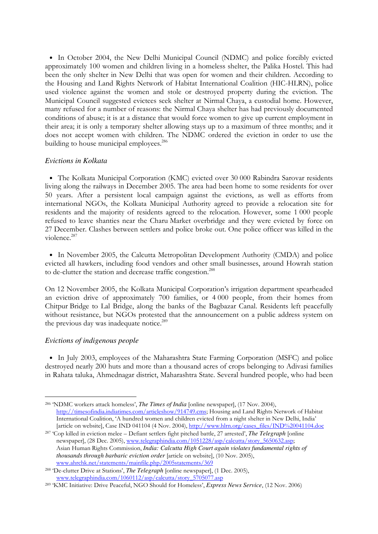• In October 2004, the New Delhi Municipal Council (NDMC) and police forcibly evicted approximately 100 women and children living in a homeless shelter, the Palika Hostel. This had been the only shelter in New Delhi that was open for women and their children. According to the Housing and Land Rights Network of Habitat International Coalition (HIC-HLRN), police used violence against the women and stole or destroyed property during the eviction. The Municipal Council suggested evictees seek shelter at Nirmal Chaya, a custodial home. However, many refused for a number of reasons: the Nirmal Chaya shelter has had previously documented conditions of abuse; it is at a distance that would force women to give up current employment in their area; it is only a temporary shelter allowing stays up to a maximum of three months; and it does not accept women with children. The NDMC ordered the eviction in order to use the building to house municipal employees.<sup>286</sup>

# *Evictions in Kolkata*

• The Kolkata Municipal Corporation (KMC) evicted over 30 000 Rabindra Sarovar residents living along the railways in December 2005. The area had been home to some residents for over 50 years. After a persistent local campaign against the evictions, as well as efforts from international NGOs, the Kolkata Municipal Authority agreed to provide a relocation site for residents and the majority of residents agreed to the relocation. However, some 1 000 people refused to leave shanties near the Charu Market overbridge and they were evicted by force on 27 December. Clashes between settlers and police broke out. One police officer was killed in the violence.<sup>287</sup>

• In November 2005, the Calcutta Metropolitan Development Authority (CMDA) and police evicted all hawkers, including food vendors and other small businesses, around Howrah station to de-clutter the station and decrease traffic congestion.<sup>288</sup>

On 12 November 2005, the Kolkata Municipal Corporation's irrigation department spearheaded an eviction drive of approximately 700 families, or 4 000 people, from their homes from Chitpur Bridge to Lal Bridge, along the banks of the Bagbazar Canal. Residents left peacefully without resistance, but NGOs protested that the announcement on a public address system on the previous day was inadequate notice.<sup>289</sup>

# *Evictions of indigenous people*

-

• In July 2003, employees of the Maharashtra State Farming Corporation (MSFC) and police destroyed nearly 200 huts and more than a thousand acres of crops belonging to Adivasi families in Rahata taluka, Ahmednagar district, Maharashtra State. Several hundred people, who had been

<sup>286</sup> 'NDMC workers attack homeless', *The Times of India* [online newspaper], (17 Nov. 2004), http://timesofindia.indiatimes.com/articleshow/914749.cms; Housing and Land Rights Network of Habitat International Coalition, 'A hundred women and children evicted from a night shelter in New Delhi, India' [article on website], Case IND 041104 (4 Nov. 2004), http://www.hlrn.org/cases\_files/IND%20041104.doc

<sup>287</sup> 'Cop killed in eviction melee – Defiant settlers fight pitched battle, 27 arrested', *The Telegraph* [online newspaper], (28 Dec. 2005), www.telegraphindia.com/1051228/asp/calcutta/story\_5650632.asp; Asian Human Rights Commission, *India: Calcutta High Court again violates fundamental rights of thousands through barbaric eviction order* [article on website], (10 Nov. 2005), www.ahrchk.net/statements/mainfile.php/2005statements/369

<sup>288</sup> 'De-clutter Drive at Stations', *The Telegraph* [online newspaper], (1 Dec. 2005), www.telegraphindia.com/1060112/asp/calcutta/story\_5705077.asp

<sup>289</sup> 'KMC Initiative: Drive Peaceful, NGO Should for Homeless', *Express News Service*, (12 Nov. 2006)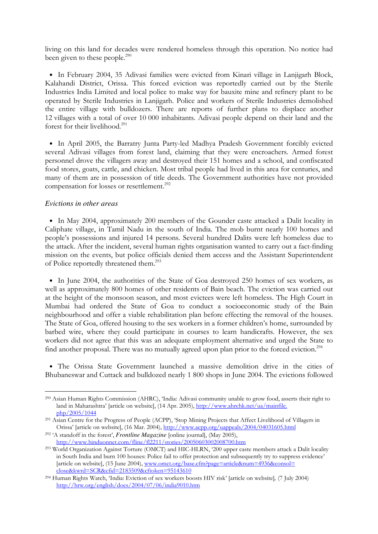living on this land for decades were rendered homeless through this operation. No notice had been given to these people.<sup>290</sup>

• In February 2004, 35 Adivasi families were evicted from Kinari village in Lanjigarh Block, Kalahandi District, Orissa. This forced eviction was reportedly carried out by the Sterile Industries India Limited and local police to make way for bauxite mine and refinery plant to be operated by Sterile Industries in Lanjigarh. Police and workers of Sterile Industries demolished the entire village with bulldozers. There are reports of further plans to displace another 12 villages with a total of over 10 000 inhabitants. Adivasi people depend on their land and the forest for their livelihood.<sup>291</sup>

• In April 2005, the Barratry Junta Party-led Madhya Pradesh Government forcibly evicted several Adivasi villages from forest land, claiming that they were encroachers. Armed forest personnel drove the villagers away and destroyed their 151 homes and a school, and confiscated food stores, goats, cattle, and chicken. Most tribal people had lived in this area for centuries, and many of them are in possession of title deeds. The Government authorities have not provided compensation for losses or resettlement.<sup>292</sup>

#### *Evictions in other areas*

• In May 2004, approximately 200 members of the Gounder caste attacked a Dalit locality in Caliphate village, in Tamil Nadu in the south of India. The mob burnt nearly 100 homes and people's possessions and injured 14 persons. Several hundred Dalits were left homeless due to the attack. After the incident, several human rights organisation wanted to carry out a fact-finding mission on the events, but police officials denied them access and the Assistant Superintendent of Police reportedly threatened them.<sup>293</sup>

• In June 2004, the authorities of the State of Goa destroyed 250 homes of sex workers, as well as approximately 800 homes of other residents of Bain beach. The eviction was carried out at the height of the monsoon season, and most evictees were left homeless. The High Court in Mumbai had ordered the State of Goa to conduct a socioeconomic study of the Bain neighbourhood and offer a viable rehabilitation plan before effecting the removal of the houses. The State of Goa, offered housing to the sex workers in a former children's home, surrounded by barbed wire, where they could participate in courses to learn handicrafts. However, the sex workers did not agree that this was an adequate employment alternative and urged the State to find another proposal. There was no mutually agreed upon plan prior to the forced eviction.<sup>294</sup>

• The Orissa State Government launched a massive demolition drive in the cities of Bhubaneswar and Cuttack and bulldozed nearly 1 800 shops in June 2004. The evictions followed

<sup>-</sup><sup>290</sup> Asian Human Rights Commission (AHRC), 'India: Adivasi community unable to grow food, asserts their right to land in Maharashtra' [article on website], (14 Apr. 2005), http://www.ahrchk.net/ua/mainfile. php/2005/1044

<sup>&</sup>lt;sup>291</sup> Asian Centre for the Progress of People (ACPP), 'Stop Mining Projects that Affect Livelihood of Villagers in Orissa' [article on website], (16 Mar. 2004), http://www.acpp.org/uappeals/2004/04031605.html

<sup>292</sup> 'A standoff in the forest', *Frontline Magazine* [online journal], (May 2005), http://www.hinduonnet.com/fline/fl2211/stories/20050603002008700.htm

<sup>293</sup> World Organization Against Torture (OMCT) and HIC-HLRN, '200 upper caste members attack a Dalit locality in South India and burn 100 houses: Police fail to offer protection and subsequently try to suppress evidence' [article on website], (15 June 2004), www.omct.org/base.cfm?page=article&num=4936&consol= close&kwrd=SCR&cfid=2183509&cftoken=95143610

<sup>294</sup> Human Rights Watch, 'India: Eviction of sex workers boosts HIV risk' [article on website]*,* (7 July 2004) http://hrw.org/english/docs/2004/07/06/india9010.htm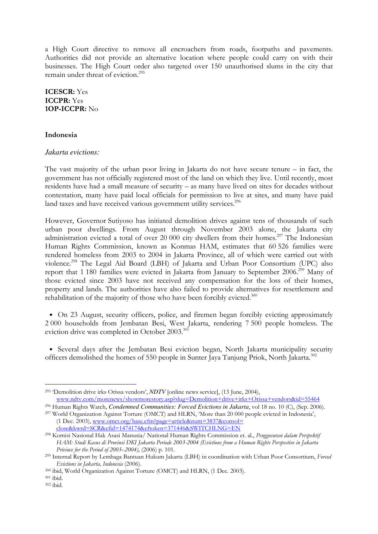a High Court directive to remove all encroachers from roads, footpaths and pavements. Authorities did not provide an alternative location where people could carry on with their businesses. The High Court order also targeted over 150 unauthorised slums in the city that remain under threat of eviction.<sup>295</sup>

ICESCR: Yes ICCPR: Yes 1OP-ICCPR: No

#### Indonesia

#### *Jakarta evictions:*

The vast majority of the urban poor living in Jakarta do not have secure tenure – in fact, the government has not officially registered most of the land on which they live. Until recently, most residents have had a small measure of security – as many have lived on sites for decades without contestation, many have paid local officials for permission to live at sites, and many have paid land taxes and have received various government utility services.<sup>296</sup>

However, Governor Sutiyoso has initiated demolition drives against tens of thousands of such urban poor dwellings. From August through November 2003 alone, the Jakarta city administration evicted a total of over 20 000 city dwellers from their homes.<sup>297</sup> The Indonesian Human Rights Commission, known as Konmas HAM, estimates that 60 526 families were rendered homeless from 2003 to 2004 in Jakarta Province, all of which were carried out with violence.<sup>298</sup> The Legal Aid Board (LBH) of Jakarta and Urban Poor Consortium (UPC) also report that 1 180 families were evicted in Jakarta from January to September 2006.<sup>299</sup> Many of those evicted since 2003 have not received any compensation for the loss of their homes, property and lands. The authorities have also failed to provide alternatives for resettlement and rehabilitation of the majority of those who have been forcibly evicted. $300$ 

• On 23 August, security officers, police, and firemen began forcibly evicting approximately 2 000 households from Jembatan Besi, West Jakarta, rendering 7 500 people homeless. The eviction drive was completed in October 2003.<sup>301</sup>

• Several days after the Jembatan Besi eviction began, North Jakarta municipality security officers demolished the homes of 550 people in Sunter Jaya Tanjung Priok, North Jakarta.<sup>302</sup>

<sup>295</sup> 'Demolition drive irks Orissa vendors', *NDTV* [online news service], (13 June, 2004),

www.ndtv.com/morenews/showmorestory.asp?slug=Demolition+drive+irks+Orissa+vendors&id=55464

<sup>296</sup> Human Rights Watch, *Condemned Communities: Forced Evictions in Jakarta*, vol 18 no. 10 (C), (Sep. 2006). <sup>297</sup> World Organization Against Torture (OMCT) and HLRN, 'More than 20 000 people evicted in Indonesia', (1 Dec. 2003), www.omct.org/base.cfm?page=article&num=3837&consol=

close&kwrd=SCR&cfid=1474174&cftoken=371446&SWITCHLNG=EN

<sup>&</sup>lt;sup>298</sup> Komisi Nasional Hak Asasi Manusia/ National Human Rights Commission et. al., Penggusuran dalam Perspektif HAM: Studi Kasus di Provinsi DKI Jakarta Periode 2003-2004 (Evictions from a Human Rights Perspective in Jakarta Privince for the Period of 2003–2004), (2006) p. 101.

<sup>&</sup>lt;sup>299</sup> Internal Report by Lembaga Bantuan Hukum Jakarta (LBH) in coordination with Urban Poor Consortium, Forced Evictions in Jakarta, Indonesia (2006).

<sup>300</sup> ibid, World Organization Against Torture (OMCT) and HLRN, (1 Dec. 2003).

<sup>301</sup> ibid.

<sup>302</sup> ibid.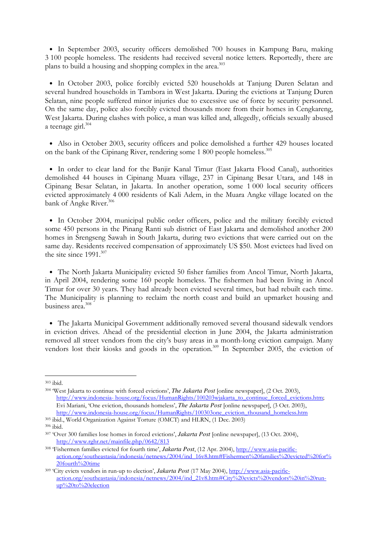• In September 2003, security officers demolished 700 houses in Kampung Baru, making 3 100 people homeless. The residents had received several notice letters. Reportedly, there are plans to build a housing and shopping complex in the area.<sup>303</sup>

• In October 2003, police forcibly evicted 520 households at Tanjung Duren Selatan and several hundred households in Tambora in West Jakarta. During the evictions at Tanjung Duren Selatan, nine people suffered minor injuries due to excessive use of force by security personnel. On the same day, police also forcibly evicted thousands more from their homes in Cengkareng, West Jakarta. During clashes with police, a man was killed and, allegedly, officials sexually abused a teenage girl.<sup>304</sup>

• Also in October 2003, security officers and police demolished a further 429 houses located on the bank of the Cipinang River, rendering some 1 800 people homeless.<sup>305</sup>

• In order to clear land for the Banjir Kanal Timur (East Jakarta Flood Canal), authorities demolished 44 houses in Cipinang Muara village, 237 in Cipinang Besar Utara, and 148 in Cipinang Besar Selatan, in Jakarta. In another operation, some 1 000 local security officers evicted approximately 4 000 residents of Kali Adem, in the Muara Angke village located on the bank of Angke River.<sup>306</sup>

• In October 2004, municipal public order officers, police and the military forcibly evicted some 450 persons in the Pinang Ranti sub district of East Jakarta and demolished another 200 homes in Srengseng Sawah in South Jakarta, during two evictions that were carried out on the same day. Residents received compensation of approximately US \$50. Most evictees had lived on the site since 1991.<sup>307</sup>

• The North Jakarta Municipality evicted 50 fisher families from Ancol Timur, North Jakarta, in April 2004, rendering some 160 people homeless. The fishermen had been living in Ancol Timur for over 30 years. They had already been evicted several times, but had rebuilt each time. The Municipality is planning to reclaim the north coast and build an upmarket housing and business area.<sup>308</sup>

• The Jakarta Municipal Government additionally removed several thousand sidewalk vendors in eviction drives. Ahead of the presidential election in June 2004, the Jakarta administration removed all street vendors from the city's busy areas in a month-long eviction campaign. Many vendors lost their kiosks and goods in the operation.<sup>309</sup> In September 2005, the eviction of

<sup>303</sup> ibid.

<sup>304</sup> 'West Jakarta to continue with forced evictions', *The Jakarta Post* [online newspaper], (2 Oct. 2003), http://www.indonesia- house.org/focus/HumanRights/100203wjakarta\_to\_continue\_forced\_evictions.htm; Evi Mariani, 'One eviction, thousands homeless', *The Jakarta Post* [online newspaper], (3 Oct. 2003),

http://www.indonesia-house.org/focus/HumanRights/100303one\_eviction\_thousand\_homeless.htm <sup>305</sup> ibid., World Organization Against Torture (OMCT) and HLRN, (1 Dec. 2003)

<sup>306</sup> ibid.

<sup>307</sup> 'Over 300 families lose homes in forced evictions', *Jakarta Post* [online newspaper], (13 Oct. 2004), http://www.rghr.net/mainfile.php/0642/813

<sup>308</sup> 'Fishermen families evicted for fourth time', *Jakarta Post*, (12 Apr. 2004), http://www.asia-pacificaction.org/southeastasia/indonesia/netnews/2004/ind\_16v8.htm#Fishermen%20families%20evicted%20for% 20fourth%20time

<sup>309</sup> 'City evicts vendors in run-up to election', *Jakarta Post* (17 May 2004), http://www.asia-pacificaction.org/southeastasia/indonesia/netnews/2004/ind\_21v8.htm#City%20evicts%20vendors%20in%20runup%20to%20election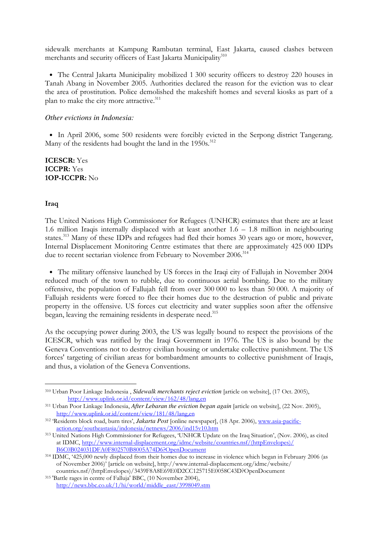sidewalk merchants at Kampung Rambutan terminal, East Jakarta, caused clashes between merchants and security officers of East Jakarta Municipality<sup>310</sup>

• The Central Jakarta Municipality mobilized 1 300 security officers to destroy 220 houses in Tanah Abang in November 2005. Authorities declared the reason for the eviction was to clear the area of prostitution. Police demolished the makeshift homes and several kiosks as part of a plan to make the city more attractive.<sup>311</sup>

## *Other evictions in Indonesia:*

• In April 2006, some 500 residents were forcibly evicted in the Serpong district Tangerang. Many of the residents had bought the land in the 1950s.<sup>312</sup>

ICESCR: Yes ICCPR: Yes 1OP-ICCPR: No

## Iraq

-

The United Nations High Commissioner for Refugees (UNHCR) estimates that there are at least 1.6 million Iraqis internally displaced with at least another 1.6 – 1.8 million in neighbouring states.<sup>313</sup> Many of these IDPs and refugees had fled their homes 30 years ago or more, however, Internal Displacement Monitoring Centre estimates that there are approximately 425 000 IDPs due to recent sectarian violence from February to November 2006.<sup>314</sup>

• The military offensive launched by US forces in the Iraqi city of Fallujah in November 2004 reduced much of the town to rubble, due to continuous aerial bombing. Due to the military offensive, the population of Fallujah fell from over 300 000 to less than 50 000. A majority of Fallujah residents were forced to flee their homes due to the destruction of public and private property in the offensive. US forces cut electricity and water supplies soon after the offensive began, leaving the remaining residents in desperate need.<sup>315</sup>

As the occupying power during 2003, the US was legally bound to respect the provisions of the ICESCR, which was ratified by the Iraqi Government in 1976. The US is also bound by the Geneva Conventions not to destroy civilian housing or undertake collective punishment. The US forces' targeting of civilian areas for bombardment amounts to collective punishment of Iraqis, and thus, a violation of the Geneva Conventions.

<sup>310</sup> Urban Poor Linkage Indonesia , *Sidewalk merchants reject eviction* [article on website], (17 Oct. 2005), http://www.uplink.or.id/content/view/162/48/lang,en

<sup>311</sup> Urban Poor Linkage Indonesia, *After Lebaran the eviction began again* [article on website], (22 Nov. 2005), http://www.uplink.or.id/content/view/181/48/lang,en

<sup>312</sup> 'Residents block road, burn tires', *Jakarta Post* [online newspaper], (18 Apr. 2006), www.asia-pacificaction.org/southeastasia/indonesia/netnews/2006/ind15v10.htm

<sup>313</sup> United Nations High Commissioner for Refugees, 'UNHCR Update on the Iraq Situation', (Nov. 2006), as cited at IDMC, http://www.internal-displacement.org/idmc/website/countries.nsf/(httpEnvelopes)/ B6C0B024031DFA0F802570B8005A74D6?OpenDocument

<sup>314</sup> IDMC, '425,000 newly displaced from their homes due to increase in violence which began in February 2006 (as of November 2006)' [article on website], http://www.internal-displacement.org/idmc/website/ countries.nsf/(httpEnvelopes)/3439F8A8E69E0D2CC125715E0058C43D?OpenDocument

<sup>315</sup> 'Battle rages in centre of Falluja' BBC, (10 November 2004), http://news.bbc.co.uk/1/hi/world/middle\_east/3998049.stm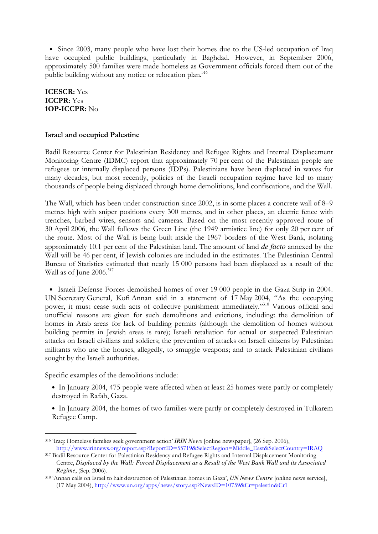• Since 2003, many people who have lost their homes due to the US-led occupation of Iraq have occupied public buildings, particularly in Baghdad. However, in September 2006, approximately 500 families were made homeless as Government officials forced them out of the public building without any notice or relocation plan.<sup>316</sup>

ICESCR: Yes ICCPR: Yes 1OP-ICCPR: No

## Israel and occupied Palestine

Badil Resource Center for Palestinian Residency and Refugee Rights and Internal Displacement Monitoring Centre (IDMC) report that approximately 70 per cent of the Palestinian people are refugees or internally displaced persons (IDPs). Palestinians have been displaced in waves for many decades, but most recently, policies of the Israeli occupation regime have led to many thousands of people being displaced through home demolitions, land confiscations, and the Wall.

The Wall, which has been under construction since 2002, is in some places a concrete wall of 8–9 metres high with sniper positions every 300 metres, and in other places, an electric fence with trenches, barbed wires, sensors and cameras. Based on the most recently approved route of 30 April 2006, the Wall follows the Green Line (the 1949 armistice line) for only 20 per cent of the route. Most of the Wall is being built inside the 1967 borders of the West Bank, isolating approximately 10.1 per cent of the Palestinian land. The amount of land *de facto* annexed by the Wall will be 46 per cent, if Jewish colonies are included in the estimates. The Palestinian Central Bureau of Statistics estimated that nearly 15 000 persons had been displaced as a result of the Wall as of June 2006.<sup>317</sup>

• Israeli Defense Forces demolished homes of over 19 000 people in the Gaza Strip in 2004. UN Secretary General, Kofi Annan said in a statement of 17 May 2004, "As the occupying power, it must cease such acts of collective punishment immediately."<sup>318</sup> Various official and unofficial reasons are given for such demolitions and evictions, including: the demolition of homes in Arab areas for lack of building permits (although the demolition of homes without building permits in Jewish areas is rare); Israeli retaliation for actual or suspected Palestinian attacks on Israeli civilians and soldiers; the prevention of attacks on Israeli citizens by Palestinian militants who use the houses, allegedly, to smuggle weapons; and to attack Palestinian civilians sought by the Israeli authorities.

Specific examples of the demolitions include:

- In January 2004, 475 people were affected when at least 25 homes were partly or completely destroyed in Rafah, Gaza.
- In January 2004, the homes of two families were partly or completely destroyed in Tulkarem Refugee Camp.

<sup>316</sup> 'Iraq: Homeless families seek government action' *IRIN News* [online newspaper], (26 Sep. 2006), http://www.irinnews.org/report.asp?ReportID=55719&SelectRegion=Middle\_East&SelectCountry=IRAQ

<sup>317</sup> Badil Resource Center for Palestinian Residency and Refugee Rights and Internal Displacement Monitoring Centre, *Displaced by the Wall: Forced Displacement as a Result of the West Bank Wall and its Associated Regime*, (Sep. 2006).

<sup>318</sup> 'Annan calls on Israel to halt destruction of Palestinian homes in Gaza', *UN News Centre* [online news service], (17 May 2004), http://www.un.org/apps/news/story.asp?NewsID=10759&Cr=palestin&Cr1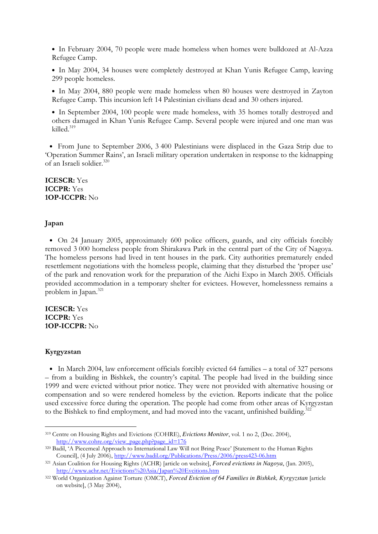• In February 2004, 70 people were made homeless when homes were bulldozed at Al-Azza Refugee Camp.

• In May 2004, 34 houses were completely destroyed at Khan Yunis Refugee Camp, leaving 299 people homeless.

• In May 2004, 880 people were made homeless when 80 houses were destroyed in Zayton Refugee Camp. This incursion left 14 Palestinian civilians dead and 30 others injured.

• In September 2004, 100 people were made homeless, with 35 homes totally destroyed and others damaged in Khan Yunis Refugee Camp. Several people were injured and one man was killed.<sup>319</sup>

• From June to September 2006, 3 400 Palestinians were displaced in the Gaza Strip due to 'Operation Summer Rains', an Israeli military operation undertaken in response to the kidnapping of an Israeli soldier.<sup>320</sup>

ICESCR: Yes ICCPR: Yes 1OP-ICCPR: No

#### Japan

• On 24 January 2005, approximately 600 police officers, guards, and city officials forcibly removed 3 000 homeless people from Shirakawa Park in the central part of the City of Nagoya. The homeless persons had lived in tent houses in the park. City authorities prematurely ended resettlement negotiations with the homeless people, claiming that they disturbed the 'proper use' of the park and renovation work for the preparation of the Aichi Expo in March 2005. Officials provided accommodation in a temporary shelter for evictees. However, homelessness remains a problem in Japan.<sup>321</sup>

ICESCR: Yes ICCPR: Yes 1OP-ICCPR: No

#### Kyrgyzstan

-

• In March 2004, law enforcement officials forcibly evicted 64 families – a total of 327 persons – from a building in Bishkek, the country's capital. The people had lived in the building since 1999 and were evicted without prior notice. They were not provided with alternative housing or compensation and so were rendered homeless by the eviction. Reports indicate that the police used excessive force during the operation. The people had come from other areas of Kyrgyzstan to the Bishkek to find employment, and had moved into the vacant, unfinished building.<sup>32</sup>  $\ddot{\phantom{a}}$ 

<sup>319</sup> Centre on Housing Rights and Evictions (COHRE), *Evictions Monitor*, vol. 1 no 2, (Dec. 2004), http://www.cohre.org/view\_page.php?page\_id=176

<sup>320</sup> Badil, 'A Piecemeal Approach to International Law Will not Bring Peace' [Statement to the Human Rights Council], (4 July 2006), http://www.badil.org/Publications/Press/2006/press423-06.htm

<sup>321</sup> Asian Coalition for Housing Rights (ACHR) [article on website], *Forced evictions in Nagoya*, (Jan. 2005), http://www.achr.net/Evictions%20Asia/Japan%20Evcitions.htm

<sup>322</sup> World Organization Against Torture (OMCT), *Forced Eviction of 64 Families in Bishkek, Kyrgyzstan* [article on website], (3 May 2004),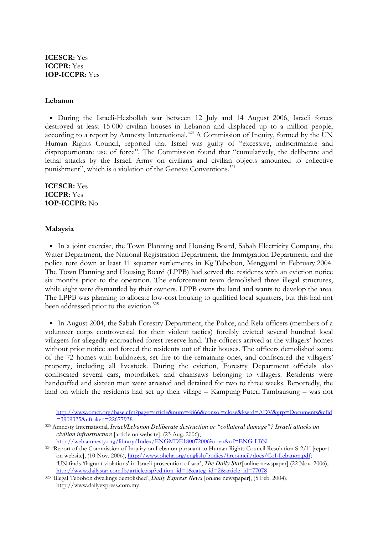## Lebanon

• During the Israeli-Hezbollah war between 12 July and 14 August 2006, Israeli forces destroyed at least 15 000 civilian houses in Lebanon and displaced up to a million people, according to a report by Amnesty International.<sup>323</sup> A Commission of Inquiry, formed by the UN Human Rights Council, reported that Israel was guilty of "excessive, indiscriminate and disproportionate use of force". The Commission found that "cumulatively, the deliberate and lethal attacks by the Israeli Army on civilians and civilian objects amounted to collective punishment", which is a violation of the Geneva Conventions. 324

ICESCR: Yes ICCPR: Yes 1OP-ICCPR: No

#### Malaysia

-

• In a joint exercise, the Town Planning and Housing Board, Sabah Electricity Company, the Water Department, the National Registration Department, the Immigration Department, and the police tore down at least 11 squatter settlements in Kg Tebobon, Menggatal in February 2004. The Town Planning and Housing Board (LPPB) had served the residents with an eviction notice six months prior to the operation. The enforcement team demolished three illegal structures, while eight were dismantled by their owners. LPPB owns the land and wants to develop the area. The LPPB was planning to allocate low-cost housing to qualified local squatters, but this had not been addressed prior to the eviction.<sup>325</sup>

• In August 2004, the Sabah Forestry Department, the Police, and Rela officers (members of a volunteer corps controversial for their violent tactics) forcibly evicted several hundred local villagers for allegedly encroached forest reserve land. The officers arrived at the villagers' homes without prior notice and forced the residents out of their houses. The officers demolished some of the 72 homes with bulldozers, set fire to the remaining ones, and confiscated the villagers' property, including all livestock. During the eviction, Forestry Department officials also confiscated several cars, motorbikes, and chainsaws belonging to villagers. Residents were handcuffed and sixteen men were arrested and detained for two to three weeks. Reportedly, the land on which the residents had set up their village – Kampung Puteri Tambausung – was not

http://www.omct.org/base.cfm?page=article&num=4866&consol=close&kwrd=ADV&grp=Documents&cfid =3909325&cftoken=22677938

<sup>323</sup> Amnesty International, *Israel/Lebanon Deliberate destruction or "collateral damage"? Israeli attacks on civilian infrastructure* [article on website], (23 Aug. 2006),

http://web.amnesty.org/library/Index/ENGMDE180072006?open&of=ENG-LBN

<sup>324</sup> 'Report of the Commission of Inquiry on Lebanon pursuant to Human Rights Council Resolution S-2/1' [report on website], (10 Nov. 2006), http://www.ohchr.org/english/bodies/hrcouncil/docs/CoI-Lebanon.pdf; 'UN finds 'flagrant violations' in Israeli prosecution of war', *The Daily Star*[online newspaper] (22 Nov. 2006),

http://www.dailystar.com.lb/article.asp?edition\_id=1&categ\_id=2&article\_id=77078

<sup>325</sup> 'Illegal Tebobon dwellings demolished', *Daily Express News* [online newspaper], (5 Feb. 2004), http://www.dailyexpress.com.my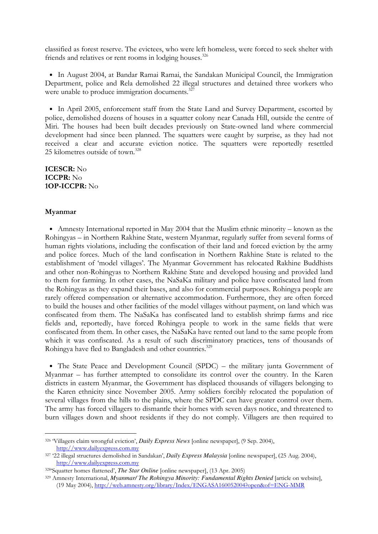classified as forest reserve. The evictees, who were left homeless, were forced to seek shelter with friends and relatives or rent rooms in lodging houses.<sup>326</sup>

• In August 2004, at Bandar Ramai Ramai, the Sandakan Municipal Council, the Immigration Department, police and Rela demolished 22 illegal structures and detained three workers who were unable to produce immigration documents.<sup>327</sup>

• In April 2005, enforcement staff from the State Land and Survey Department, escorted by police, demolished dozens of houses in a squatter colony near Canada Hill, outside the centre of Miri. The houses had been built decades previously on State-owned land where commercial development had since been planned. The squatters were caught by surprise, as they had not received a clear and accurate eviction notice. The squatters were reportedly resettled 25 kilometres outside of town.<sup>328</sup>

ICESCR: No ICCPR: No 1OP-ICCPR: No

#### Myanmar

-

• Amnesty International reported in May 2004 that the Muslim ethnic minority – known as the Rohingyas – in Northern Rakhine State, western Myanmar, regularly suffer from several forms of human rights violations, including the confiscation of their land and forced eviction by the army and police forces. Much of the land confiscation in Northern Rakhine State is related to the establishment of 'model villages'. The Myanmar Government has relocated Rakhine Buddhists and other non-Rohingyas to Northern Rakhine State and developed housing and provided land to them for farming. In other cases, the NaSaKa military and police have confiscated land from the Rohingyas as they expand their bases, and also for commercial purposes. Rohingya people are rarely offered compensation or alternative accommodation. Furthermore, they are often forced to build the houses and other facilities of the model villages without payment, on land which was confiscated from them. The NaSaKa has confiscated land to establish shrimp farms and rice fields and, reportedly, have forced Rohingya people to work in the same fields that were confiscated from them. In other cases, the NaSaKa have rented out land to the same people from which it was confiscated. As a result of such discriminatory practices, tens of thousands of Rohingya have fled to Bangladesh and other countries.<sup>329</sup>

• The State Peace and Development Council (SPDC) – the military junta Government of Myanmar – has further attempted to consolidate its control over the country. In the Karen districts in eastern Myanmar, the Government has displaced thousands of villagers belonging to the Karen ethnicity since November 2005. Army soldiers forcibly relocated the population of several villages from the hills to the plains, where the SPDC can have greater control over them. The army has forced villagers to dismantle their homes with seven days notice, and threatened to burn villages down and shoot residents if they do not comply. Villagers are then required to

<sup>326</sup> 'Villagers claim wrongful eviction', *Daily Express News* [online newspaper], (9 Sep. 2004), http://www.dailyexpress.com.my

<sup>327</sup> '22 illegal structures demolished in Sandakan', *Daily Express Malaysia* [online newspaper], (25 Aug. 2004), http://www.dailyexpress.com.my

<sup>328</sup>'Squatter homes flattened', *The Star Online* [online newspaper], (13 Apr. 2005)

<sup>329</sup> Amnesty International, *Myanmar/ The Rohingya Minority: Fundamental Rights Denied* [article on website], (19 May 2004), http://web.amnesty.org/library/Index/ENGASA160052004?open&of=ENG-MMR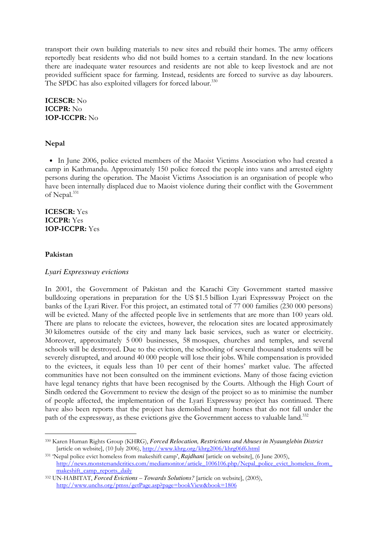transport their own building materials to new sites and rebuild their homes. The army officers reportedly beat residents who did not build homes to a certain standard. In the new locations there are inadequate water resources and residents are not able to keep livestock and are not provided sufficient space for farming. Instead, residents are forced to survive as day labourers. The SPDC has also exploited villagers for forced labour.<sup>330</sup>

ICESCR: No ICCPR: No 1OP-ICCPR: No

#### Nepal

• In June 2006, police evicted members of the Maoist Victims Association who had created a camp in Kathmandu. Approximately 150 police forced the people into vans and arrested eighty persons during the operation. The Maoist Victims Association is an organisation of people who have been internally displaced due to Maoist violence during their conflict with the Government of Nepal.<sup>331</sup>

## ICESCR: Yes ICCPR: Yes 1OP-ICCPR: Yes

#### Pakistan

-

#### *Lyari Expressway evictions*

In 2001, the Government of Pakistan and the Karachi City Government started massive bulldozing operations in preparation for the US \$1.5 billion Lyari Expressway Project on the banks of the Lyari River. For this project, an estimated total of 77 000 families (230 000 persons) will be evicted. Many of the affected people live in settlements that are more than 100 years old. There are plans to relocate the evictees, however, the relocation sites are located approximately 30 kilometres outside of the city and many lack basic services, such as water or electricity. Moreover, approximately 5 000 businesses, 58 mosques, churches and temples, and several schools will be destroyed. Due to the eviction, the schooling of several thousand students will be severely disrupted, and around 40 000 people will lose their jobs. While compensation is provided to the evictees, it equals less than 10 per cent of their homes' market value. The affected communities have not been consulted on the imminent evictions. Many of those facing eviction have legal tenancy rights that have been recognised by the Courts. Although the High Court of Sindh ordered the Government to review the design of the project so as to minimise the number of people affected, the implementation of the Lyari Expressway project has continued. There have also been reports that the project has demolished many homes that do not fall under the path of the expressway, as these evictions give the Government access to valuable land.<sup>332</sup>

<sup>330</sup> Karen Human Rights Group (KHRG), *Forced Relocation, Restrictions and Abuses in Nyaunglebin District*  [article on website], (10 July 2006), http://www.khrg.org/khrg2006/khrg06f6.html

<sup>331</sup> 'Nepal police evict homeless from makeshift camp', *Rajdhani* [article on website], (6 June 2005), http://news.monstersandcritics.com/mediamonitor/article\_1006106.php/Nepal\_police\_evict\_homeless\_from\_ makeshift\_camp\_reports\_daily

<sup>332</sup> UN-HABITAT, *Forced Evictions – Towards Solutions?* [article on website], (2005), http://www.unchs.org/pmss/getPage.asp?page=bookView&book=1806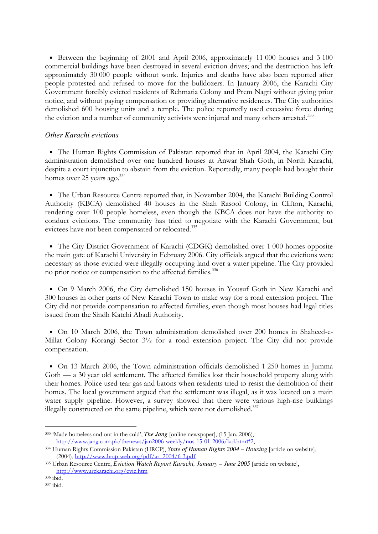• Between the beginning of 2001 and April 2006, approximately 11 000 houses and 3 100 commercial buildings have been destroyed in several eviction drives; and the destruction has left approximately 30 000 people without work. Injuries and deaths have also been reported after people protested and refused to move for the bulldozers. In January 2006, the Karachi City Government forcibly evicted residents of Rehmatia Colony and Prem Nagri without giving prior notice, and without paying compensation or providing alternative residences. The City authorities demolished 600 housing units and a temple. The police reportedly used excessive force during the eviction and a number of community activists were injured and many others arrested.<sup>333</sup>

## *Other Karachi evictions*

• The Human Rights Commission of Pakistan reported that in April 2004, the Karachi City administration demolished over one hundred houses at Anwar Shah Goth, in North Karachi, despite a court injunction to abstain from the eviction. Reportedly, many people had bought their homes over 25 years ago.<sup>334</sup>

• The Urban Resource Centre reported that, in November 2004, the Karachi Building Control Authority (KBCA) demolished 40 houses in the Shah Rasool Colony, in Clifton, Karachi, rendering over 100 people homeless, even though the KBCA does not have the authority to conduct evictions. The community has tried to negotiate with the Karachi Government, but evictees have not been compensated or relocated.<sup>335</sup>

• The City District Government of Karachi (CDGK) demolished over 1 000 homes opposite the main gate of Karachi University in February 2006. City officials argued that the evictions were necessary as those evicted were illegally occupying land over a water pipeline. The City provided no prior notice or compensation to the affected families.<sup>336</sup>

• On 9 March 2006, the City demolished 150 houses in Yousuf Goth in New Karachi and 300 houses in other parts of New Karachi Town to make way for a road extension project. The City did not provide compensation to affected families, even though most houses had legal titles issued from the Sindh Katchi Abadi Authority.

• On 10 March 2006, the Town administration demolished over 200 homes in Shaheed-e-Millat Colony Korangi Sector 3½ for a road extension project. The City did not provide compensation.

• On 13 March 2006, the Town administration officials demolished 1 250 homes in Jumma Goth — a 30 year old settlement. The affected families lost their household property along with their homes. Police used tear gas and batons when residents tried to resist the demolition of their homes. The local government argued that the settlement was illegal, as it was located on a main water supply pipeline. However, a survey showed that there were various high-rise buildings illegally constructed on the same pipeline, which were not demolished.<sup>337</sup>

<sup>333</sup> 'Made homeless and out in the cold', *The Jang* [online newspaper], (15 Jan. 2006), http://www.jang.com.pk/thenews/jan2006-weekly/nos-15-01-2006/kol.htm#2,

<sup>334</sup> Human Rights Commission Pakistan (HRCP), *State of Human Rights 2004 – Housing* [article on website], (2004), http://www.hrcp-web.org/pdf/ar\_2004/6-3.pdf

<sup>335</sup> Urban Resource Centre, *Eviction Watch Report Karachi, January – June 2005* [article on website], http://www.urckarachi.org/evic.htm

<sup>336</sup> ibid.

<sup>337</sup> ibid.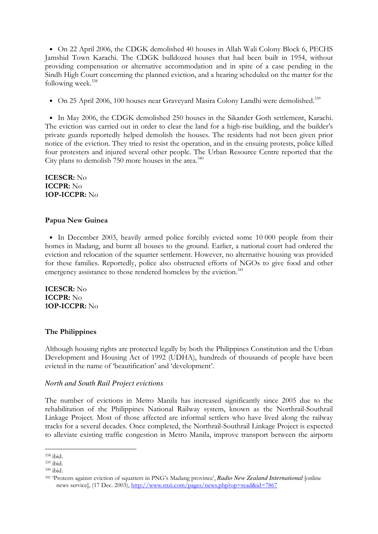• On 22 April 2006, the CDGK demolished 40 houses in Allah Wali Colony Block 6, PECHS Jamshid Town Karachi. The CDGK bulldozed houses that had been built in 1954, without providing compensation or alternative accommodation and in spite of a case pending in the Sindh High Court concerning the planned eviction, and a hearing scheduled on the matter for the following week.<sup>338</sup>

• On 25 April 2006, 100 houses near Graveyard Masira Colony Landhi were demolished.<sup>339</sup>

• In May 2006, the CDGK demolished 250 houses in the Sikander Goth settlement, Karachi. The eviction was carried out in order to clear the land for a high-rise building, and the builder's private guards reportedly helped demolish the houses. The residents had not been given prior notice of the eviction. They tried to resist the operation, and in the ensuing protests, police killed four protesters and injured several other people. The Urban Resource Centre reported that the City plans to demolish  $750$  more houses in the area.<sup>340</sup>

ICESCR: No ICCPR: No 1OP-ICCPR: No

#### Papua New Guinea

• In December 2003, heavily armed police forcibly evicted some 10 000 people from their homes in Madang, and burnt all houses to the ground. Earlier, a national court had ordered the eviction and relocation of the squatter settlement. However, no alternative housing was provided for these families. Reportedly, police also obstructed efforts of NGOs to give food and other emergency assistance to those rendered homeless by the eviction.<sup>341</sup>

ICESCR: No ICCPR: No 1OP-ICCPR: No

## The Philippines

Although housing rights are protected legally by both the Philippines Constitution and the Urban Development and Housing Act of 1992 (UDHA), hundreds of thousands of people have been evicted in the name of 'beautification' and 'development'.

#### *North and South Rail Project evictions*

The number of evictions in Metro Manila has increased significantly since 2005 due to the rehabilitation of the Philippines National Railway system, known as the Northrail-Southrail Linkage Project. Most of those affected are informal settlers who have lived along the railway tracks for a several decades. Once completed, the Northrail-Southrail Linkage Project is expected to alleviate existing traffic congestion in Metro Manila, improve transport between the airports

<sup>-</sup><sup>338</sup> ibid.

<sup>339</sup> ibid.

<sup>340</sup> ibid.

<sup>341</sup> 'Protests against eviction of squatters in PNG's Madang province', *Radio New Zealand International* [online news service], (17 Dec. 2003), http://www.rnzi.com/pages/news.php?op=read&id=7867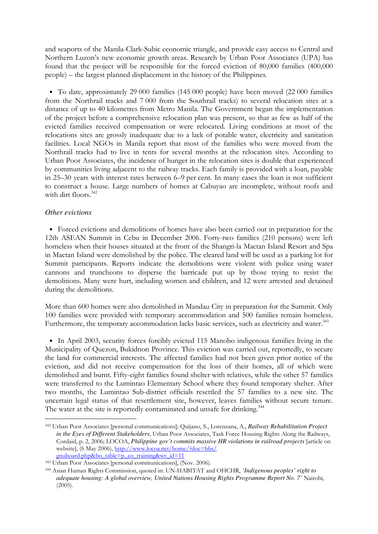and seaports of the Manila-Clark-Subic economic triangle, and provide easy access to Central and Northern Luzon's new economic growth areas. Research by Urban Poor Associates (UPA) has found that the project will be responsible for the forced eviction of 80,000 families (400,000 people) – the largest planned displacement in the history of the Philippines.

• To date, approximately 29 000 families (145 000 people) have been moved (22 000 families from the Northrail tracks and 7 000 from the Southrail tracks) to several relocation sites at a distance of up to 40 kilometres from Metro Manila. The Government began the implementation of the project before a comprehensive relocation plan was present, so that as few as half of the evicted families received compensation or were relocated. Living conditions at most of the relocations sites are grossly inadequate due to a lack of potable water, electricity and sanitation facilities. Local NGOs in Manila report that most of the families who were moved from the Northrail tracks had to live in tents for several months at the relocation sites. According to Urban Poor Associates, the incidence of hunger in the relocation sites is double that experienced by communities living adjacent to the railway tracks. Each family is provided with a loan, payable in 25–30 years with interest rates between 6–9 per cent. In many cases the loan is not sufficient to construct a house. Large numbers of homes at Cabuyao are incomplete, without roofs and with dirt floors.<sup>342</sup>

## *Other evictions*

-

• Forced evictions and demolitions of homes have also been carried out in preparation for the 12th ASEAN Summit in Cebu in December 2006. Forty-two families (210 persons) were left homeless when their houses situated at the front of the Shangri-la Mactan Island Resort and Spa in Mactan Island were demolished by the police. The cleared land will be used as a parking lot for Summit participants. Reports indicate the demolitions were violent with police using water cannons and truncheons to disperse the barricade put up by those trying to resist the demolitions. Many were hurt, including women and children, and 12 were arrested and detained during the demolitions.

More than 600 homes were also demolished in Mandau City in preparation for the Summit. Only 100 families were provided with temporary accommodation and 500 families remain homeless. Furthermore, the temporary accommodation lacks basic services, such as electricity and water.<sup>343</sup>

• In April 2003, security forces forcibly evicted 115 Manobo indigenous families living in the Municipality of Quezon, Bukidnon Province. This eviction was carried out, reportedly, to secure the land for commercial interests. The affected families had not been given prior notice of the eviction, and did not receive compensation for the loss of their homes, all of which were demolished and burnt. Fifty-eight families found shelter with relatives, while the other 57 families were transferred to the Lumintao Elementary School where they found temporary shelter. After two months, the Lumintao Sub-district officials resettled the 57 families to a new site. The uncertain legal status of that resettlement site, however, leaves families without secure tenure. The water at the site is reportedly contaminated and unsafe for drinking.<sup>344</sup>

<sup>342</sup> Urban Poor Associates [personal communications]; Quijano, S., Lorenzana, A., *Railway Rehabilitation Project in the Eyes of Different Stakeholders*, Urban Poor Associates, Task Force Housing Rights Along the Railways, Cordaid, p. 2, 2006; LOCOA, *Philippine gov't commits massive HR violations in railroad projects* [article on website], (6 May 2006), http://www.locoa.net/home/?doc=bbs/ gnuboard.php&bo\_table=p\_co\_training&wr\_id=11

<sup>343</sup> Urban Poor Associates [personal communications], (Nov. 2006).

<sup>344</sup> Asian Human Rights Commission, quoted in: UN-HABITAT and OHCHR, *'Indigenous peoples' right to adequate housing: A global overview, United Nations Housing Rights Programme Report No. 7'* Nairobi, (2005).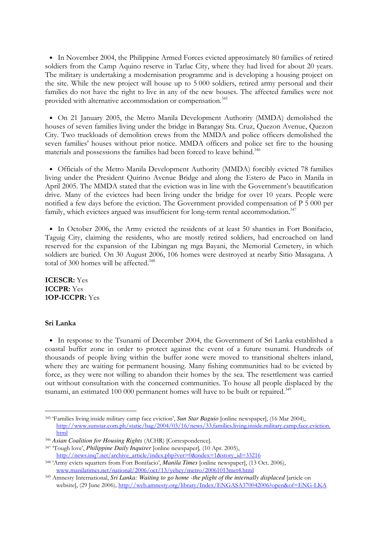• In November 2004, the Philippine Armed Forces evicted approximately 80 families of retired soldiers from the Camp Aquino reserve in Tarlac City, where they had lived for about 20 years. The military is undertaking a modernisation programme and is developing a housing project on the site. While the new project will house up to 5 000 soldiers, retired army personal and their families do not have the right to live in any of the new houses. The affected families were not provided with alternative accommodation or compensation.<sup>345</sup>

• On 21 January 2005, the Metro Manila Development Authority (MMDA) demolished the houses of seven families living under the bridge in Barangay Sta. Cruz, Quezon Avenue, Quezon City. Two truckloads of demolition crews from the MMDA and police officers demolished the seven families' houses without prior notice. MMDA officers and police set fire to the housing materials and possessions the families had been forced to leave behind.<sup>346</sup>

• Officials of the Metro Manila Development Authority (MMDA) forcibly evicted 78 families living under the President Quirino Avenue Bridge and along the Estero de Paco in Manila in April 2005. The MMDA stated that the eviction was in line with the Government's beautification drive. Many of the evictees had been living under the bridge for over 10 years. People were notified a few days before the eviction. The Government provided compensation of P 5 000 per family, which evictees argued was insufficient for long-term rental accommodation.<sup>347</sup>

• In October 2006, the Army evicted the residents of at least 50 shanties in Fort Bonifacio, Taguig City, claiming the residents, who are mostly retired soldiers, had encroached on land reserved for the expansion of the Libingan ng mga Bayani, the Memorial Cemetery, in which soldiers are buried. On 30 August 2006, 106 homes were destroyed at nearby Sitio Masagana. A total of 300 homes will be affected.<sup>348</sup>

ICESCR: Yes ICCPR: Yes 1OP-ICCPR: Yes

## Sri Lanka

-

• In response to the Tsunami of December 2004, the Government of Sri Lanka established a coastal buffer zone in order to protect against the event of a future tsunami. Hundreds of thousands of people living within the buffer zone were moved to transitional shelters inland, where they are waiting for permanent housing. Many fishing communities had to be evicted by force, as they were not willing to abandon their homes by the sea. The resettlement was carried out without consultation with the concerned communities. To house all people displaced by the tsunami, an estimated 100 000 permanent homes will have to be built or repaired.<sup>349</sup>

<sup>345</sup> 'Families living inside military camp face eviction', *Sun Star Baguio* [online newspaper], (16 Mar 2004), http://www.sunstar.com.ph/static/bag/2004/03/16/news/33.families.living.inside.military.camp.face.eviction. html

<sup>346</sup> *Asian Coalition for Housing Rights* (ACHR) [Correspondence].

<sup>347</sup> 'Tough love', *Philippine Daily Inquirer* [online newspaper]*,* (10 Apr. 2005), http://news.inq7.net/archive\_article/index.php?ver=0&index=1&story\_id=33216

<sup>348</sup> 'Army evicts squatters from Fort Bonifacio', *Manila Times* [online newspaper], (13 Oct. 2006), www.manilatimes.net/national/2006/oct/13/yehey/metro/20061013met4.html

<sup>349</sup> Amnesty International, *Sri Lanka: Waiting to go home -the plight of the internally displaced* [article on website], (29 June 2006), http://web.amnesty.org/library/Index/ENGASA370042006?open&of=ENG-LKA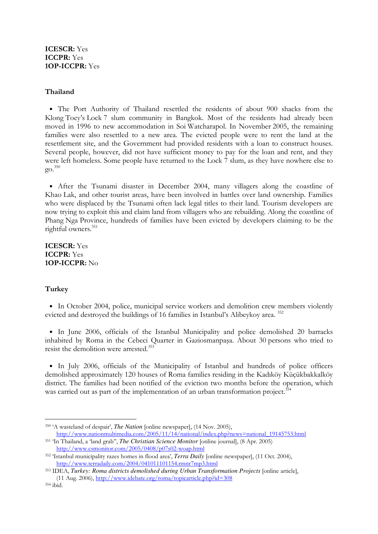# ICESCR: Yes ICCPR: Yes 1OP-ICCPR: Yes

# Thailand

• The Port Authority of Thailand resettled the residents of about 900 shacks from the Klong Toey's Lock 7 slum community in Bangkok. Most of the residents had already been moved in 1996 to new accommodation in Soi Watcharapol. In November 2005, the remaining families were also resettled to a new area. The evicted people were to rent the land at the resettlement site, and the Government had provided residents with a loan to construct houses. Several people, however, did not have sufficient money to pay for the loan and rent, and they were left homeless. Some people have returned to the Lock 7 slum, as they have nowhere else to go. 350

• After the Tsunami disaster in December 2004, many villagers along the coastline of Khao Lak, and other tourist areas, have been involved in battles over land ownership. Families who were displaced by the Tsunami often lack legal titles to their land. Tourism developers are now trying to exploit this and claim land from villagers who are rebuilding. Along the coastline of Phang Nga Province, hundreds of families have been evicted by developers claiming to be the rightful owners.<sup>351</sup>

ICESCR: Yes ICCPR: Yes 1OP-ICCPR: No

# **Turkey**

• In October 2004, police, municipal service workers and demolition crew members violently evicted and destroyed the buildings of 16 families in Istanbul's Alibeykoy area.<sup>352</sup>

• In June 2006, officials of the Istanbul Municipality and police demolished 20 barracks inhabited by Roma in the Cebeci Quarter in Gaziosmanpaşa. About 30 persons who tried to resist the demolition were arrested.<sup>353</sup>

• In July 2006, officials of the Municipality of Istanbul and hundreds of police officers demolished approximately 120 houses of Roma families residing in the Kadıköy Küçükbakkalköy district. The families had been notified of the eviction two months before the operation, which was carried out as part of the implementation of an urban transformation project.<sup>354</sup>

-

<sup>350</sup> 'A wasteland of despair', *The Nation* [online newspaper], (14 Nov. 2005), http://www.nationmultimedia.com/2005/11/14/national/index.php?news=national\_19145753.html

<sup>351</sup> 'In Thailand, a 'land grab'', *The Christian Science Monitor* [online journal], (8 Apr. 2005) http://www.csmonitor.com/2005/0408/p07s02-woap.html

<sup>352</sup> 'Istanbul municipality razes homes in flood area', *Terra Daily* [online newspaper], (11 Oct. 2004), http://www.terradaily.com/2004/041011101154.rmnr7mp3.html

<sup>353</sup> IDEA, *Turkey: Roma districts demolished during Urban Transformation Projects* [online article], (11 Aug. 2006), http://www.idebate.org/roma/topicarticle.php?id=308

<sup>354</sup> ibid.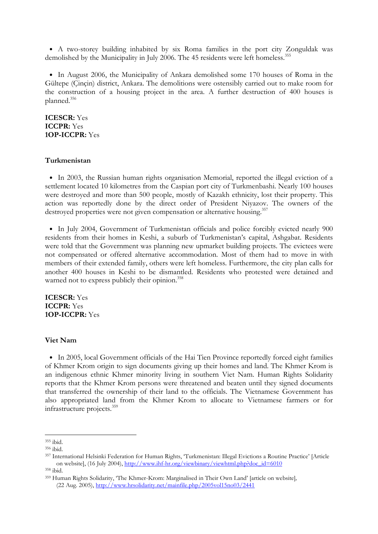• A two-storey building inhabited by six Roma families in the port city Zonguldak was demolished by the Municipality in July 2006. The 45 residents were left homeless.<sup>355</sup>

• In August 2006, the Municipality of Ankara demolished some 170 houses of Roma in the Gültepe (Çinçin) district, Ankara. The demolitions were ostensibly carried out to make room for the construction of a housing project in the area. A further destruction of 400 houses is planned.<sup>356</sup>

## ICESCR: Yes ICCPR: Yes 1OP-ICCPR: Yes

#### Turkmenistan

• In 2003, the Russian human rights organisation Memorial, reported the illegal eviction of a settlement located 10 kilometres from the Caspian port city of Turkmenbashi. Nearly 100 houses were destroyed and more than 500 people, mostly of Kazakh ethnicity, lost their property. This action was reportedly done by the direct order of President Niyazov. The owners of the destroyed properties were not given compensation or alternative housing.<sup>357</sup>

• In July 2004, Government of Turkmenistan officials and police forcibly evicted nearly 900 residents from their homes in Keshi, a suburb of Turkmenistan's capital, Ashgabat. Residents were told that the Government was planning new upmarket building projects. The evictees were not compensated or offered alternative accommodation. Most of them had to move in with members of their extended family, others were left homeless. Furthermore, the city plan calls for another 400 houses in Keshi to be dismantled. Residents who protested were detained and warned not to express publicly their opinion.<sup>358</sup>

ICESCR: Yes ICCPR: Yes 1OP-ICCPR: Yes

#### Viet Nam

• In 2005, local Government officials of the Hai Tien Province reportedly forced eight families of Khmer Krom origin to sign documents giving up their homes and land. The Khmer Krom is an indigenous ethnic Khmer minority living in southern Viet Nam. Human Rights Solidarity reports that the Khmer Krom persons were threatened and beaten until they signed documents that transferred the ownership of their land to the officials. The Vietnamese Government has also appropriated land from the Khmer Krom to allocate to Vietnamese farmers or for infrastructure projects.<sup>359</sup>

<sup>-</sup><sup>355</sup> ibid.

<sup>356</sup> ibid.

<sup>357</sup> International Helsinki Federation for Human Rights, 'Turkmenistan: Illegal Evictions a Routine Practice' [Article on website], (16 July 2004), http://www.ihf-hr.org/viewbinary/viewhtml.php?doc\_id=6010 <sup>358</sup> ibid.

<sup>359</sup> Human Rights Solidarity, 'The Khmer-Krom: Marginalised in Their Own Land' [article on website]*,* (22 Aug. 2005), http://www.hrsolidarity.net/mainfile.php/2005vol15no03/2441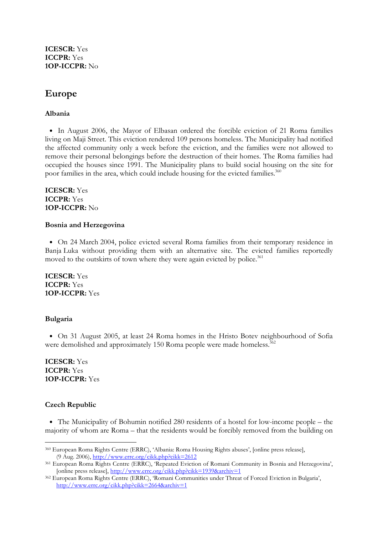ICESCR: Yes ICCPR: Yes 1OP-ICCPR: No

# Europe

## Albania

• In August 2006, the Mayor of Elbasan ordered the forcible eviction of 21 Roma families living on Maji Street. This eviction rendered 109 persons homeless. The Municipality had notified the affected community only a week before the eviction, and the families were not allowed to remove their personal belongings before the destruction of their homes. The Roma families had occupied the houses since 1991. The Municipality plans to build social housing on the site for poor families in the area, which could include housing for the evicted families.<sup>360</sup>

ICESCR: Yes ICCPR: Yes 1OP-ICCPR: No

#### Bosnia and Herzegovina

• On 24 March 2004, police evicted several Roma families from their temporary residence in Banja Luka without providing them with an alternative site. The evicted families reportedly moved to the outskirts of town where they were again evicted by police.<sup>361</sup>

ICESCR: Yes ICCPR: Yes 1OP-ICCPR: Yes

# Bulgaria

• On 31 August 2005, at least 24 Roma homes in the Hristo Botev neighbourhood of Sofia were demolished and approximately 150 Roma people were made homeless.<sup>362</sup>

ICESCR: Yes ICCPR: Yes 1OP-ICCPR: Yes

## Czech Republic

-

• The Municipality of Bohumin notified 280 residents of a hostel for low-income people – the majority of whom are Roma – that the residents would be forcibly removed from the building on

<sup>360</sup> European Roma Rights Centre (ERRC), 'Albania: Roma Housing Rights abuses', [online press release], (9 Aug. 2006), http://www.errc.org/cikk.php?cikk=2612

<sup>361</sup> European Roma Rights Centre (ERRC), 'Repeated Eviction of Romani Community in Bosnia and Herzegovina', [online press release], http://www.errc.org/cikk.php?cikk=1939&archiv=1

<sup>362</sup> European Roma Rights Centre (ERRC), 'Romani Communities under Threat of Forced Eviction in Bulgaria', http://www.errc.org/cikk.php?cikk=2664&archiv=1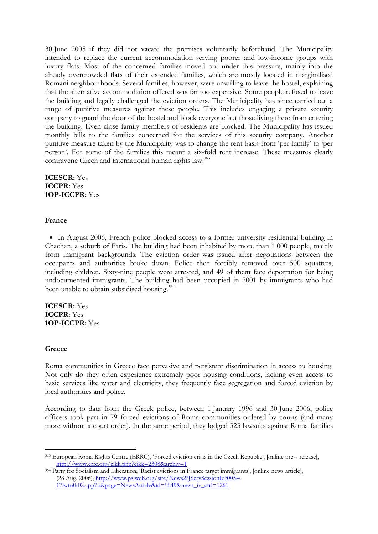30 June 2005 if they did not vacate the premises voluntarily beforehand. The Municipality intended to replace the current accommodation serving poorer and low-income groups with luxury flats. Most of the concerned families moved out under this pressure, mainly into the already overcrowded flats of their extended families, which are mostly located in marginalised Romani neighbourhoods. Several families, however, were unwilling to leave the hostel, explaining that the alternative accommodation offered was far too expensive. Some people refused to leave the building and legally challenged the eviction orders. The Municipality has since carried out a range of punitive measures against these people. This includes engaging a private security company to guard the door of the hostel and block everyone but those living there from entering the building. Even close family members of residents are blocked. The Municipality has issued monthly bills to the families concerned for the services of this security company. Another punitive measure taken by the Municipality was to change the rent basis from 'per family' to 'per person'. For some of the families this meant a six-fold rent increase. These measures clearly contravene Czech and international human rights law.<sup>363</sup>

ICESCR: Yes ICCPR: Yes 1OP-ICCPR: Yes

## France

• In August 2006, French police blocked access to a former university residential building in Chachan, a suburb of Paris. The building had been inhabited by more than 1 000 people, mainly from immigrant backgrounds. The eviction order was issued after negotiations between the occupants and authorities broke down. Police then forcibly removed over 500 squatters, including children. Sixty-nine people were arrested, and 49 of them face deportation for being undocumented immigrants. The building had been occupied in 2001 by immigrants who had been unable to obtain subsidised housing.<sup>364</sup>

ICESCR: Yes ICCPR: Yes 1OP-ICCPR: Yes

## **Greece**

-

Roma communities in Greece face pervasive and persistent discrimination in access to housing. Not only do they often experience extremely poor housing conditions, lacking even access to basic services like water and electricity, they frequently face segregation and forced eviction by local authorities and police.

According to data from the Greek police, between 1 January 1996 and 30 June 2006, police officers took part in 79 forced evictions of Roma communities ordered by courts (and many more without a court order). In the same period, they lodged 323 lawsuits against Roma families

<sup>363</sup> European Roma Rights Centre (ERRC), 'Forced eviction crisis in the Czech Republic', [online press release], http://www.errc.org/cikk.php?cikk=2308&archiv=1

<sup>364</sup> Party for Socialism and Liberation, 'Racist evictions in France target immigrants', [online news article], (28 Aug. 2006), http://www.pslweb.org/site/News2?JServSessionIdr005= 17lwtn0t02.app7b&page=NewsArticle&id=5549&news\_iv\_ctrl=1261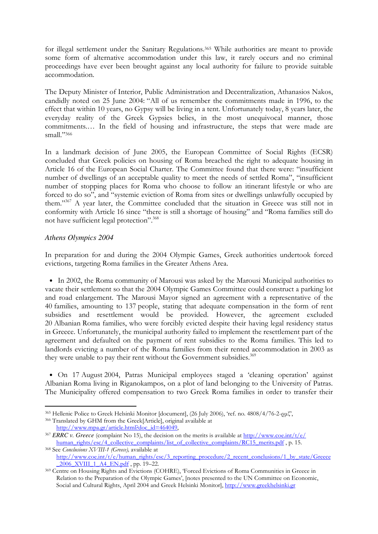for illegal settlement under the Sanitary Regulations.365 While authorities are meant to provide some form of alternative accommodation under this law, it rarely occurs and no criminal proceedings have ever been brought against any local authority for failure to provide suitable accommodation.

The Deputy Minister of Interior, Public Administration and Decentralization, Athanasios Nakos, candidly noted on 25 June 2004: "All of us remember the commitments made in 1996, to the effect that within 10 years, no Gypsy will be living in a tent. Unfortunately today, 8 years later, the everyday reality of the Greek Gypsies belies, in the most unequivocal manner, those commitments.… In the field of housing and infrastructure, the steps that were made are small."366

In a landmark decision of June 2005, the European Committee of Social Rights (ECSR) concluded that Greek policies on housing of Roma breached the right to adequate housing in Article 16 of the European Social Charter. The Committee found that there were: "insufficient number of dwellings of an acceptable quality to meet the needs of settled Roma", "insufficient number of stopping places for Roma who choose to follow an itinerant lifestyle or who are forced to do so", and "systemic eviction of Roma from sites or dwellings unlawfully occupied by them."<sup>367</sup> A year later, the Committee concluded that the situation in Greece was still not in conformity with Article 16 since "there is still a shortage of housing" and "Roma families still do not have sufficient legal protection".<sup>368</sup>

# *Athens Olympics 2004*

-

In preparation for and during the 2004 Olympic Games, Greek authorities undertook forced evictions, targeting Roma families in the Greater Athens Area.

• In 2002, the Roma community of Marousi was asked by the Marousi Municipal authorities to vacate their settlement so that the 2004 Olympic Games Committee could construct a parking lot and road enlargement. The Marousi Mayor signed an agreement with a representative of the 40 families, amounting to 137 people, stating that adequate compensation in the form of rent subsidies and resettlement would be provided. However, the agreement excluded 20 Albanian Roma families, who were forcibly evicted despite their having legal residency status in Greece. Unfortunately, the municipal authority failed to implement the resettlement part of the agreement and defaulted on the payment of rent subsidies to the Roma families. This led to landlords evicting a number of the Roma families from their rented accommodation in 2003 as they were unable to pay their rent without the Government subsidies.<sup>369</sup>

• On 17 August 2004, Patras Municipal employees staged a 'cleaning operation' against Albanian Roma living in Riganokampos, on a plot of land belonging to the University of Patras. The Municipality offered compensation to two Greek Roma families in order to transfer their

<sup>365</sup> Hellenic Police to Greek Helsinki Monitor [document], (26 July 2006), 'ref. no. 4808/4/76-2-ρµζ',

<sup>366</sup> Translated by GHM from the Greek[Article], original available at http://www.mpa.gr/article.html?doc\_id=464049,

<sup>367</sup> *ERRC v. Greece* (complaint No 15), the decision on the merits is available at http://www.coe.int/t/e/ human\_rights/esc/4\_collective\_complaints/list\_of\_collective\_complaints/RC15\_merits.pdf, p. 15.

<sup>368</sup> See Conclusions XVIII-1 (Greece), available at http://www.coe.int/t/e/human\_rights/esc/3\_reporting\_procedure/2\_recent\_conclusions/1\_by\_state/Greece  $-2006$  XVIII 1 A4 EN.pdf, pp. 19–22.

<sup>369</sup> Centre on Housing Rights and Evictions (COHRE), 'Forced Evictions of Roma Communities in Greece in Relation to the Preparation of the Olympic Games', [notes presented to the UN Committee on Economic, Social and Cultural Rights, April 2004 and Greek Helsinki Monitor], http://www.greekhelsinki.gr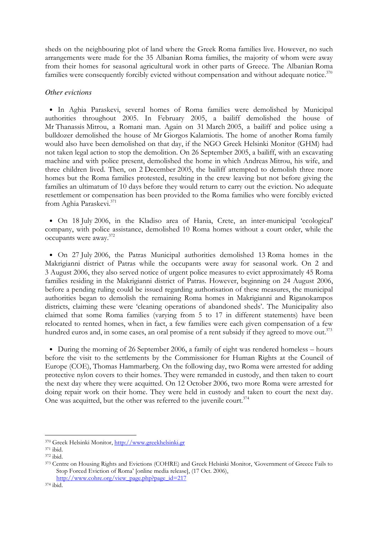sheds on the neighbouring plot of land where the Greek Roma families live. However, no such arrangements were made for the 35 Albanian Roma families, the majority of whom were away from their homes for seasonal agricultural work in other parts of Greece. The Albanian Roma families were consequently forcibly evicted without compensation and without adequate notice. $370$ 

## *Other evictions*

• In Aghia Paraskevi, several homes of Roma families were demolished by Municipal authorities throughout 2005. In February 2005, a bailiff demolished the house of Mr Thanassis Mitrou, a Romani man. Again on 31 March 2005, a bailiff and police using a bulldozer demolished the house of Mr Giorgos Kalamiotis. The home of another Roma family would also have been demolished on that day, if the NGO Greek Helsinki Monitor (GHM) had not taken legal action to stop the demolition. On 26 September 2005, a bailiff, with an excavating machine and with police present, demolished the home in which Andreas Mitrou, his wife, and three children lived. Then, on 2 December 2005, the bailiff attempted to demolish three more homes but the Roma families protested, resulting in the crew leaving but not before giving the families an ultimatum of 10 days before they would return to carry out the eviction. No adequate resettlement or compensation has been provided to the Roma families who were forcibly evicted from Aghia Paraskevi.<sup>371</sup>

• On 18 July 2006, in the Kladiso area of Hania, Crete, an inter-municipal 'ecological' company, with police assistance, demolished 10 Roma homes without a court order, while the occupants were away.<sup>372</sup>

• On 27 July 2006, the Patras Municipal authorities demolished 13 Roma homes in the Makrigianni district of Patras while the occupants were away for seasonal work. On 2 and 3 August 2006, they also served notice of urgent police measures to evict approximately 45 Roma families residing in the Makrigianni district of Patras. However, beginning on 24 August 2006, before a pending ruling could be issued regarding authorisation of these measures, the municipal authorities began to demolish the remaining Roma homes in Makrigianni and Riganokampos districts, claiming these were 'cleaning operations of abandoned sheds'. The Municipality also claimed that some Roma families (varying from 5 to 17 in different statements) have been relocated to rented homes, when in fact, a few families were each given compensation of a few hundred euros and, in some cases, an oral promise of a rent subsidy if they agreed to move out.<sup>373</sup>

• During the morning of 26 September 2006, a family of eight was rendered homeless – hours before the visit to the settlements by the Commissioner for Human Rights at the Council of Europe (COE), Thomas Hammarberg. On the following day, two Roma were arrested for adding protective nylon covers to their homes. They were remanded in custody, and then taken to court the next day where they were acquitted. On 12 October 2006, two more Roma were arrested for doing repair work on their home. They were held in custody and taken to court the next day. One was acquitted, but the other was referred to the juvenile court.<sup>374</sup>

-

<sup>370</sup> Greek Helsinki Monitor, http://www.greekhelsinki.gr

<sup>371</sup> ibid.

<sup>372</sup> ibid.

<sup>373</sup> Centre on Housing Rights and Evictions (COHRE) and Greek Helsinki Monitor, 'Government of Greece Fails to Stop Forced Eviction of Roma' [online media release], (17 Oct. 2006), http://www.cohre.org/view\_page.php?page\_id=217

<sup>374</sup> ibid.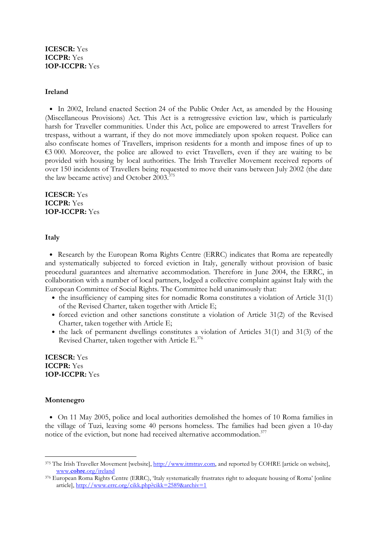# ICESCR: Yes ICCPR: Yes 1OP-ICCPR: Yes

## Ireland

• In 2002, Ireland enacted Section 24 of the Public Order Act, as amended by the Housing (Miscellaneous Provisions) Act. This Act is a retrogressive eviction law, which is particularly harsh for Traveller communities. Under this Act, police are empowered to arrest Travellers for trespass, without a warrant, if they do not move immediately upon spoken request. Police can also confiscate homes of Travellers, imprison residents for a month and impose fines of up to €3 000. Moreover, the police are allowed to evict Travellers, even if they are waiting to be provided with housing by local authorities. The Irish Traveller Movement received reports of over 150 incidents of Travellers being requested to move their vans between July 2002 (the date the law became active) and October  $2003$ <sup>375</sup>

ICESCR: Yes ICCPR: Yes 1OP-ICCPR: Yes

Italy

• Research by the European Roma Rights Centre (ERRC) indicates that Roma are repeatedly and systematically subjected to forced eviction in Italy, generally without provision of basic procedural guarantees and alternative accommodation. Therefore in June 2004, the ERRC, in collaboration with a number of local partners, lodged a collective complaint against Italy with the European Committee of Social Rights. The Committee held unanimously that:

- the insufficiency of camping sites for nomadic Roma constitutes a violation of Article 31(1) of the Revised Charter, taken together with Article E;
- forced eviction and other sanctions constitute a violation of Article 31(2) of the Revised Charter, taken together with Article E;
- the lack of permanent dwellings constitutes a violation of Articles 31(1) and 31(3) of the Revised Charter, taken together with Article E.<sup>376</sup>

ICESCR: Yes ICCPR: Yes 1OP-ICCPR: Yes

# Montenegro

• On 11 May 2005, police and local authorities demolished the homes of 10 Roma families in the village of Tuzi, leaving some 40 persons homeless. The families had been given a 10-day notice of the eviction, but none had received alternative accommodation.<sup>377</sup>

<sup>-</sup>375 The Irish Traveller Movement [website], http://www.itmtrav.com, and reported by COHRE [article on website], www.cohre.org/ireland

<sup>376</sup> European Roma Rights Centre (ERRC), 'Italy systematically frustrates right to adequate housing of Roma' [online article], http://www.errc.org/cikk.php?cikk=2589&archiv=1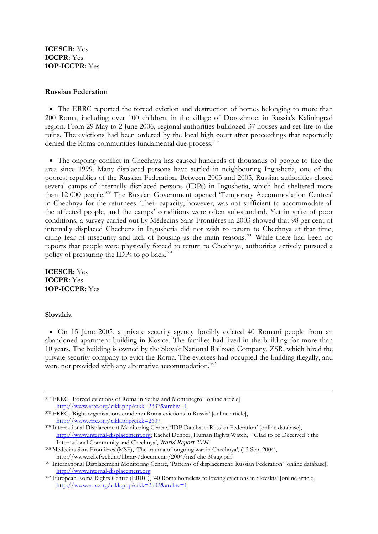# ICESCR: Yes ICCPR: Yes 1OP-ICCPR: Yes

## Russian Federation

• The ERRC reported the forced eviction and destruction of homes belonging to more than 200 Roma, including over 100 children, in the village of Dorozhnoe, in Russia's Kaliningrad region. From 29 May to 2 June 2006, regional authorities bulldozed 37 houses and set fire to the ruins. The evictions had been ordered by the local high court after proceedings that reportedly denied the Roma communities fundamental due process.<sup>378</sup>

• The ongoing conflict in Chechnya has caused hundreds of thousands of people to flee the area since 1999. Many displaced persons have settled in neighbouring Ingushetia, one of the poorest republics of the Russian Federation. Between 2003 and 2005, Russian authorities closed several camps of internally displaced persons (IDPs) in Ingushetia, which had sheltered more than 12 000 people.<sup>379</sup> The Russian Government opened 'Temporary Accommodation Centres' in Chechnya for the returnees. Their capacity, however, was not sufficient to accommodate all the affected people, and the camps' conditions were often sub-standard. Yet in spite of poor conditions, a survey carried out by Médecins Sans Frontières in 2003 showed that 98 per cent of internally displaced Chechens in Ingushetia did not wish to return to Chechnya at that time, citing fear of insecurity and lack of housing as the main reasons.<sup>380</sup> While there had been no reports that people were physically forced to return to Chechnya, authorities actively pursued a policy of pressuring the IDPs to go back.<sup>381</sup>

ICESCR: Yes ICCPR: Yes 1OP-ICCPR: Yes

## Slovakia

• On 15 June 2005, a private security agency forcibly evicted 40 Romani people from an abandoned apartment building in Kosice. The families had lived in the building for more than 10 years. The building is owned by the Slovak National Railroad Company, ZSR, which hired the private security company to evict the Roma. The evictees had occupied the building illegally, and were not provided with any alternative accommodation.<sup>382</sup>

<sup>-</sup><sup>377</sup> ERRC, 'Forced evictions of Roma in Serbia and Montenegro' [online article] http://www.errc.org/cikk.php?cikk=2337&archiv=1

<sup>378</sup> ERRC, 'Right organizations condemn Roma evictions in Russia' [online article], http://www.errc.org/cikk.php?cikk=2607

<sup>379</sup> International Displacement Monitoring Centre, 'IDP Database: Russian Federation' [online database], http://www.internal-displacement.org; Rachel Denber, Human Rights Watch, '"Glad to be Deceived": the International Community and Chechnya', *World Report 2004*.

<sup>380</sup> Médecins Sans Frontières (MSF), 'The trauma of ongoing war in Chechnya', (13 Sep. 2004), http://www.reliefweb.int/library/documents/2004/msf-che-30aug.pdf

<sup>381</sup> International Displacement Monitoring Centre, 'Patterns of displacement: Russian Federation' [online database], http://www.internal-displacement.org

<sup>382</sup> European Roma Rights Centre (ERRC), '40 Roma homeless following evictions in Slovakia' [online article] http://www.errc.org/cikk.php?cikk=2502&archiv=1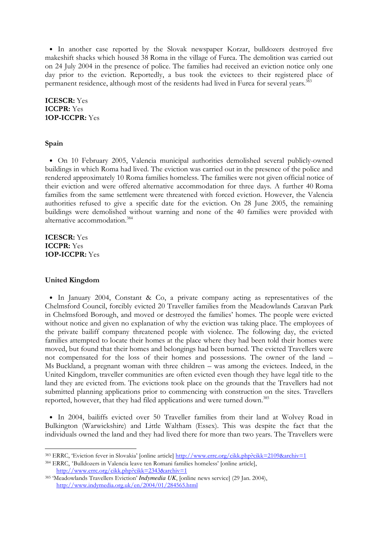• In another case reported by the Slovak newspaper Korzar, bulldozers destroyed five makeshift shacks which housed 38 Roma in the village of Furca. The demolition was carried out on 24 July 2004 in the presence of police. The families had received an eviction notice only one day prior to the eviction. Reportedly, a bus took the evictees to their registered place of permanent residence, although most of the residents had lived in Furca for several years.<sup>383</sup>

ICESCR: Yes ICCPR: Yes 1OP-ICCPR: Yes

#### Spain

• On 10 February 2005, Valencia municipal authorities demolished several publicly-owned buildings in which Roma had lived. The eviction was carried out in the presence of the police and rendered approximately 10 Roma families homeless. The families were not given official notice of their eviction and were offered alternative accommodation for three days. A further 40 Roma families from the same settlement were threatened with forced eviction. However, the Valencia authorities refused to give a specific date for the eviction. On 28 June 2005, the remaining buildings were demolished without warning and none of the 40 families were provided with alternative accommodation.<sup>384</sup>

ICESCR: Yes ICCPR: Yes 1OP-ICCPR: Yes

#### United Kingdom

-

• In January 2004, Constant & Co, a private company acting as representatives of the Chelmsford Council, forcibly evicted 20 Traveller families from the Meadowlands Caravan Park in Chelmsford Borough, and moved or destroyed the families' homes. The people were evicted without notice and given no explanation of why the eviction was taking place. The employees of the private bailiff company threatened people with violence. The following day, the evicted families attempted to locate their homes at the place where they had been told their homes were moved, but found that their homes and belongings had been burned. The evicted Travellers were not compensated for the loss of their homes and possessions. The owner of the land – Ms Buckland, a pregnant woman with three children – was among the evictees. Indeed, in the United Kingdom, traveller communities are often evicted even though they have legal title to the land they are evicted from. The evictions took place on the grounds that the Travellers had not submitted planning applications prior to commencing with construction on the sites. Travellers reported, however, that they had filed applications and were turned down.<sup>385</sup>

• In 2004, bailiffs evicted over 50 Traveller families from their land at Wolvey Road in Bulkington (Warwickshire) and Little Waltham (Essex). This was despite the fact that the individuals owned the land and they had lived there for more than two years. The Travellers were

<sup>384</sup> ERRC, 'Bulldozers in Valencia leave ten Romani families homeless' [online article], http://www.errc.org/cikk.php?cikk=2343&archiv=1

<sup>383</sup> ERRC, 'Eviction fever in Slovakia' [online article] http://www.errc.org/cikk.php?cikk=2109&archiv=1

<sup>385</sup> 'Meadowlands Travellers Eviction' *Indymedia UK*, [online news service] (29 Jan. 2004), http://www.indymedia.org.uk/en/2004/01/284565.html